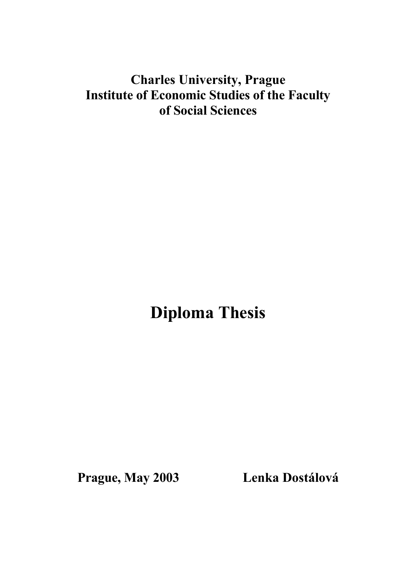# **Charles University, Prague Institute of Economic Studies of the Faculty of Social Sciences**

**Diploma Thesis**

**Prague, May 2003 Lenka Dostálová**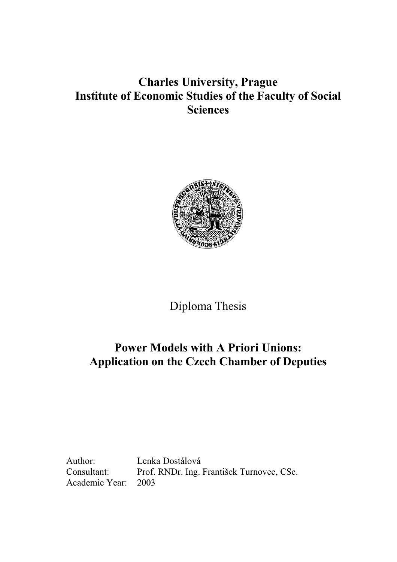# **Charles University, Prague Institute of Economic Studies of the Faculty of Social Sciences**



Diploma Thesis

# **Power Models with A Priori Unions: Application on the Czech Chamber of Deputies**

Author: Lenka Dostálová Academic Year: 2003

Consultant: Prof. RNDr. Ing. František Turnovec, CSc.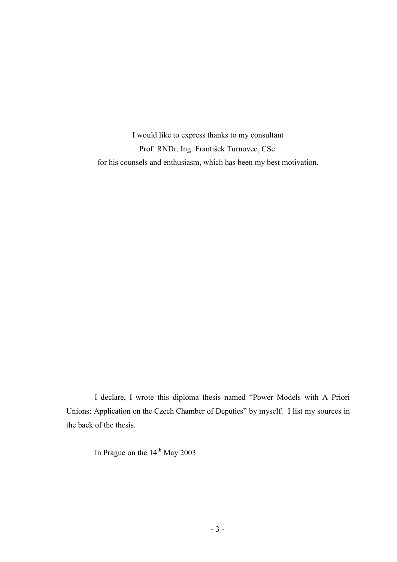I would like to express thanks to my consultant Prof. RNDr. Ing. František Turnovec, CSc. for his counsels and enthusiasm, which has been my best motivation.

I declare, I wrote this diploma thesis named "Power Models with A Priori Unions: Application on the Czech Chamber of Deputies" by myself. I list my sources in the back of the thesis.

In Prague on the 14<sup>th</sup> May 2003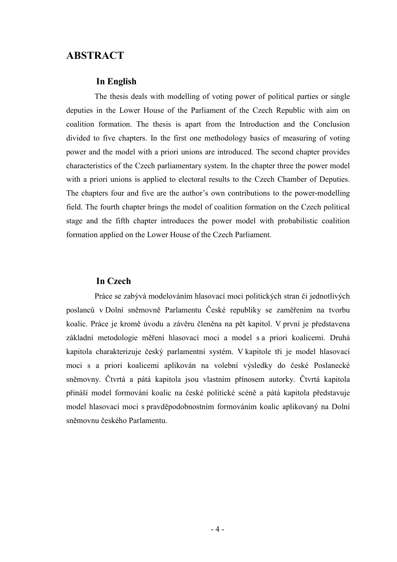## **ABSTRACT**

#### **In English**

The thesis deals with modelling of voting power of political parties or single deputies in the Lower House of the Parliament of the Czech Republic with aim on coalition formation. The thesis is apart from the Introduction and the Conclusion divided to five chapters. In the first one methodology basics of measuring of voting power and the model with a priori unions are introduced. The second chapter provides characteristics of the Czech parliamentary system. In the chapter three the power model with a priori unions is applied to electoral results to the Czech Chamber of Deputies. The chapters four and five are the author's own contributions to the power-modelling field. The fourth chapter brings the model of coalition formation on the Czech political stage and the fifth chapter introduces the power model with probabilistic coalition formation applied on the Lower House of the Czech Parliament.

#### **In Czech**

Práce se zabývá modelováním hlasovací moci politických stran či jednotlivých poslanců v Dolní sněmovně Parlamentu České republiky se zaměřením na tvorbu koalic. Práce je kromě úvodu a závěru členěna na pět kapitol. V první je představena základní metodologie měření hlasovací moci a model s a priori koalicemi. Druhá kapitola charakterizuje český parlamentní systém. V kapitole tři je model hlasovací moci s a priori koalicemi aplikován na volební výsledky do české Poslanecké sněmovny. Čtvrtá a pátá kapitola jsou vlastním přínosem autorky. Čtvrtá kapitola přináší model formování koalic na české politické scéně a pátá kapitola představuje model hlasovací moci s pravděpodobnostním formováním koalic aplikovaný na Dolní sněmovnu českého Parlamentu.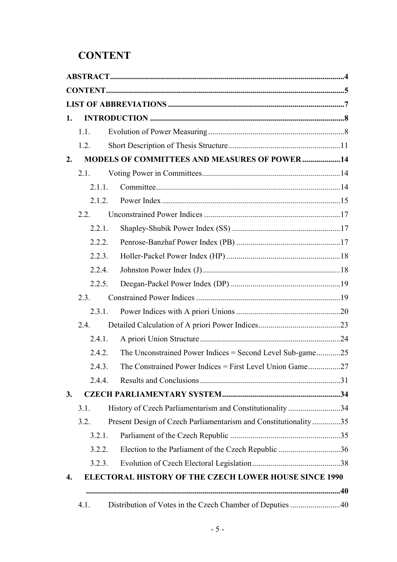# **CONTENT**

| 1. |        |                                                                 |  |
|----|--------|-----------------------------------------------------------------|--|
|    | 1.1.   |                                                                 |  |
|    | 1.2.   |                                                                 |  |
| 2. |        | <b>MODELS OF COMMITTEES AND MEASURES OF POWER14</b>             |  |
|    | 2.1.   |                                                                 |  |
|    | 2.1.1. |                                                                 |  |
|    | 2.1.2. |                                                                 |  |
|    | 2.2.   |                                                                 |  |
|    | 2.2.1. |                                                                 |  |
|    | 2.2.2. |                                                                 |  |
|    | 2.2.3. |                                                                 |  |
|    | 2.2.4. |                                                                 |  |
|    | 2.2.5. |                                                                 |  |
|    | 2.3.   |                                                                 |  |
|    | 2.3.1. |                                                                 |  |
|    | 2.4.   |                                                                 |  |
|    | 2.4.1. |                                                                 |  |
|    | 2.4.2. | The Unconstrained Power Indices = Second Level Sub-game25       |  |
|    | 2.4.3. | The Constrained Power Indices = First Level Union Game27        |  |
|    | 2.4.4  |                                                                 |  |
| 3. |        |                                                                 |  |
|    | 3.1.   | History of Czech Parliamentarism and Constitutionality 34       |  |
|    | 3.2.   | Present Design of Czech Parliamentarism and Constitutionality35 |  |
|    | 3.2.1. |                                                                 |  |
|    | 3.2.2. | Election to the Parliament of the Czech Republic 36             |  |
|    | 3.2.3. |                                                                 |  |
| 4. |        | ELECTORAL HISTORY OF THE CZECH LOWER HOUSE SINCE 1990           |  |
|    |        |                                                                 |  |
|    | 4.1.   | Distribution of Votes in the Czech Chamber of Deputies 40       |  |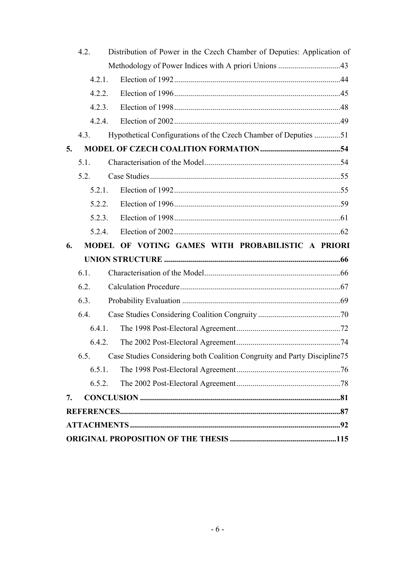|    | 4.2.    | Distribution of Power in the Czech Chamber of Deputies: Application of   |  |
|----|---------|--------------------------------------------------------------------------|--|
|    |         | Methodology of Power Indices with A priori Unions 43                     |  |
|    | 4.2.1.  |                                                                          |  |
|    | 4.2.2.  |                                                                          |  |
|    | 4.2.3.  |                                                                          |  |
|    | 4.2.4.  |                                                                          |  |
|    | 4.3.    | Hypothetical Configurations of the Czech Chamber of Deputies 51          |  |
| 5. |         |                                                                          |  |
|    | $5.1$ . |                                                                          |  |
|    | 5.2.    |                                                                          |  |
|    | 5.2.1.  |                                                                          |  |
|    | 5.2.2.  |                                                                          |  |
|    | 5.2.3.  |                                                                          |  |
|    | 5.2.4.  |                                                                          |  |
|    |         |                                                                          |  |
| 6. |         | MODEL OF VOTING GAMES WITH PROBABILISTIC A PRIORI                        |  |
|    |         |                                                                          |  |
|    | 6.1.    |                                                                          |  |
|    | 6.2.    |                                                                          |  |
|    | 6.3.    |                                                                          |  |
|    | 6.4.    |                                                                          |  |
|    | 6.4.1.  |                                                                          |  |
|    | 6.4.2.  |                                                                          |  |
|    | 6.5.    | Case Studies Considering both Coalition Congruity and Party Discipline75 |  |
|    | 6.5.1.  |                                                                          |  |
|    | 6.5.2.  |                                                                          |  |
| 7. |         |                                                                          |  |
|    |         |                                                                          |  |
|    |         |                                                                          |  |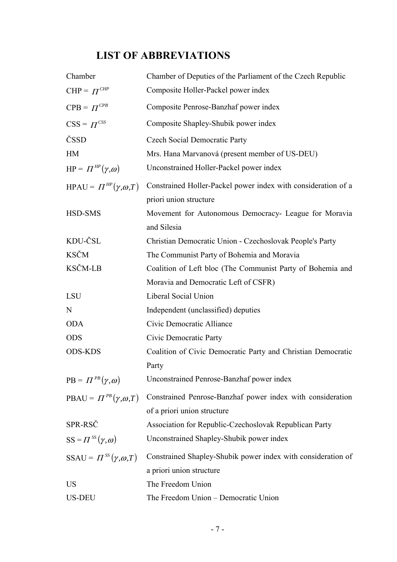# **LIST OF ABBREVIATIONS**

| Chamber                            | Chamber of Deputies of the Parliament of the Czech Republic                               |
|------------------------------------|-------------------------------------------------------------------------------------------|
| $CHP = \Pi^{CHP}$                  | Composite Holler-Packel power index                                                       |
| $CPB = \Pi^{CPB}$                  | Composite Penrose-Banzhaf power index                                                     |
| $CSS = \Pi^{CSS}$                  | Composite Shapley-Shubik power index                                                      |
| ČSSD                               | <b>Czech Social Democratic Party</b>                                                      |
| HM                                 | Mrs. Hana Marvanová (present member of US-DEU)                                            |
| $HP = \Pi^{HP}(\gamma, \omega)$    | Unconstrained Holler-Packel power index                                                   |
| HPAU = $\Pi^{HP}(\gamma,\omega,T)$ | Constrained Holler-Packel power index with consideration of a<br>priori union structure   |
| HSD-SMS                            | Movement for Autonomous Democracy- League for Moravia<br>and Silesia                      |
| KDU-ČSL                            | Christian Democratic Union - Czechoslovak People's Party                                  |
| <b>KSČM</b>                        | The Communist Party of Bohemia and Moravia                                                |
| <b>KSČM-LB</b>                     | Coalition of Left bloc (The Communist Party of Bohemia and                                |
|                                    | Moravia and Democratic Left of CSFR)                                                      |
| LSU                                | Liberal Social Union                                                                      |
| N                                  | Independent (unclassified) deputies                                                       |
| <b>ODA</b>                         | Civic Democratic Alliance                                                                 |
| <b>ODS</b>                         | Civic Democratic Party                                                                    |
| <b>ODS-KDS</b>                     | Coalition of Civic Democratic Party and Christian Democratic<br>Party                     |
| $PB = \Pi^{PB}(\gamma,\omega)$     | Unconstrained Penrose-Banzhaf power index                                                 |
| PBAU = $\Pi^{PB}(\gamma,\omega,T)$ | Constrained Penrose-Banzhaf power index with consideration<br>of a priori union structure |
| SPR-RSČ                            | Association for Republic-Czechoslovak Republican Party                                    |
| $SS = \Pi^{SS}(\gamma, \omega)$    | Unconstrained Shapley-Shubik power index                                                  |
| SSAU = $\Pi^{SS}(\gamma,\omega,T)$ | Constrained Shapley-Shubik power index with consideration of<br>a priori union structure  |
| <b>US</b>                          | The Freedom Union                                                                         |
| <b>US-DEU</b>                      | The Freedom Union - Democratic Union                                                      |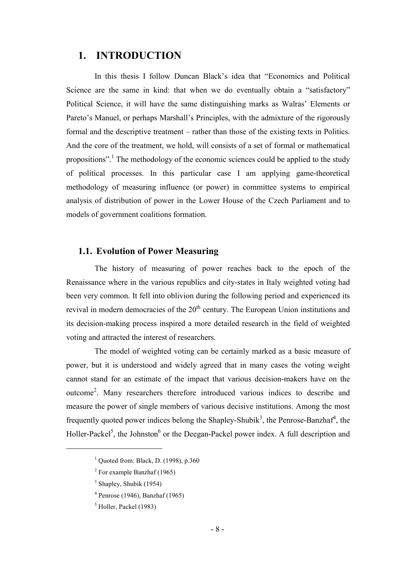## **1. INTRODUCTION**

In this thesis I follow Duncan Black's idea that "Economics and Political Science are the same in kind: that when we do eventually obtain a "satisfactory" Political Science, it will have the same distinguishing marks as Walras' Elements or Pareto's Manuel, or perhaps Marshall's Principles, with the admixture of the rigorously formal and the descriptive treatment – rather than those of the existing texts in Politics. And the core of the treatment, we hold, will consists of a set of formal or mathematical propositions".<sup>1</sup> The methodology of the economic sciences could be applied to the study of political processes. In this particular case I am applying game-theoretical methodology of measuring influence (or power) in committee systems to empirical analysis of distribution of power in the Lower House of the Czech Parliament and to models of government coalitions formation.

## **1.1. Evolution of Power Measuring**

The history of measuring of power reaches back to the epoch of the Renaissance where in the various republics and city-states in Italy weighted voting had been very common. It fell into oblivion during the following period and experienced its revival in modern democracies of the  $20<sup>th</sup>$  century. The European Union institutions and its decision-making process inspired a more detailed research in the field of weighted voting and attracted the interest of researchers.

The model of weighted voting can be certainly marked as a basic measure of power, but it is understood and widely agreed that in many cases the voting weight cannot stand for an estimate of the impact that various decision-makers have on the outcome<sup>2</sup>. Many researchers therefore introduced various indices to describe and measure the power of single members of various decisive institutions. Among the most frequently quoted power indices belong the Shapley-Shubik<sup>3</sup>, the Penrose-Banzhaf<sup>4</sup>, the Holler-Packel<sup>5</sup>, the Johnston<sup>6</sup> or the Deegan-Packel power index. A full description and

<sup>&</sup>lt;sup>1</sup> Quoted from: Black, D. (1998), p.360

 $2$  For example Banzhaf (1965)

 $3$  Shapley, Shubik (1954)

<sup>4</sup> Penrose (1946), Banzhaf (1965)

<sup>&</sup>lt;sup>5</sup> Holler, Packel (1983)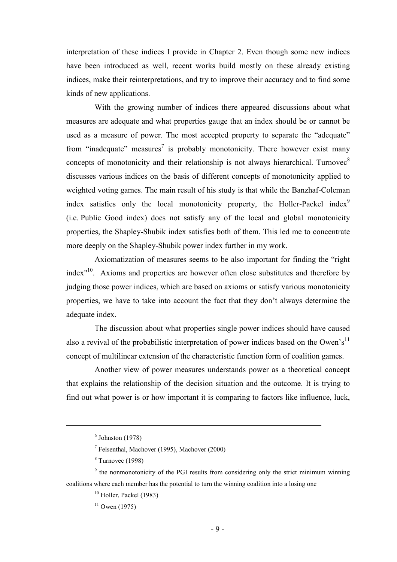interpretation of these indices I provide in Chapter 2. Even though some new indices have been introduced as well, recent works build mostly on these already existing indices, make their reinterpretations, and try to improve their accuracy and to find some kinds of new applications.

With the growing number of indices there appeared discussions about what measures are adequate and what properties gauge that an index should be or cannot be used as a measure of power. The most accepted property to separate the "adequate" from "inadequate" measures<sup>7</sup> is probably monotonicity. There however exist many concepts of monotonicity and their relationship is not always hierarchical. Turnovec<sup>8</sup> discusses various indices on the basis of different concepts of monotonicity applied to weighted voting games. The main result of his study is that while the Banzhaf-Coleman index satisfies only the local monotonicity property, the Holler-Packel index<sup>9</sup> (i.e. Public Good index) does not satisfy any of the local and global monotonicity properties, the Shapley-Shubik index satisfies both of them. This led me to concentrate more deeply on the Shapley-Shubik power index further in my work.

Axiomatization of measures seems to be also important for finding the "right index"10. Axioms and properties are however often close substitutes and therefore by judging those power indices, which are based on axioms or satisfy various monotonicity properties, we have to take into account the fact that they don't always determine the adequate index.

The discussion about what properties single power indices should have caused also a revival of the probabilistic interpretation of power indices based on the Owen's<sup>11</sup> concept of multilinear extension of the characteristic function form of coalition games.

Another view of power measures understands power as a theoretical concept that explains the relationship of the decision situation and the outcome. It is trying to find out what power is or how important it is comparing to factors like influence, luck,

 $\overline{a}$ 

<sup>9</sup> the nonmonotonicity of the PGI results from considering only the strict minimum winning coalitions where each member has the potential to turn the winning coalition into a losing one

 $11$  Owen (1975)

 $<sup>6</sup>$  Johnston (1978)</sup>

<sup>7</sup> Felsenthal, Machover (1995), Machover (2000)

 $8$  Turnovec (1998)

<sup>&</sup>lt;sup>10</sup> Holler, Packel (1983)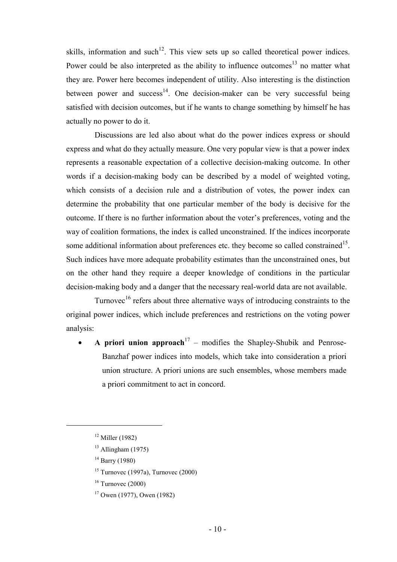skills, information and such<sup>12</sup>. This view sets up so called theoretical power indices. Power could be also interpreted as the ability to influence outcomes $13$  no matter what they are. Power here becomes independent of utility. Also interesting is the distinction between power and success<sup>14</sup>. One decision-maker can be very successful being satisfied with decision outcomes, but if he wants to change something by himself he has actually no power to do it.

Discussions are led also about what do the power indices express or should express and what do they actually measure. One very popular view is that a power index represents a reasonable expectation of a collective decision-making outcome. In other words if a decision-making body can be described by a model of weighted voting, which consists of a decision rule and a distribution of votes, the power index can determine the probability that one particular member of the body is decisive for the outcome. If there is no further information about the voter's preferences, voting and the way of coalition formations, the index is called unconstrained. If the indices incorporate some additional information about preferences etc. they become so called constrained<sup>15</sup>. Such indices have more adequate probability estimates than the unconstrained ones, but on the other hand they require a deeper knowledge of conditions in the particular decision-making body and a danger that the necessary real-world data are not available.

Turnovec<sup>16</sup> refers about three alternative ways of introducing constraints to the original power indices, which include preferences and restrictions on the voting power analysis:

A priori union approach<sup>17</sup> – modifies the Shapley-Shubik and Penrose-Banzhaf power indices into models, which take into consideration a priori union structure. A priori unions are such ensembles, whose members made a priori commitment to act in concord.

 $12$  Miller (1982)

 $13$  Allingham (1975)

 $14$  Barry (1980)

 $15$  Turnovec (1997a), Turnovec (2000)

 $16$  Turnovec (2000)

<sup>17</sup> Owen (1977), Owen (1982)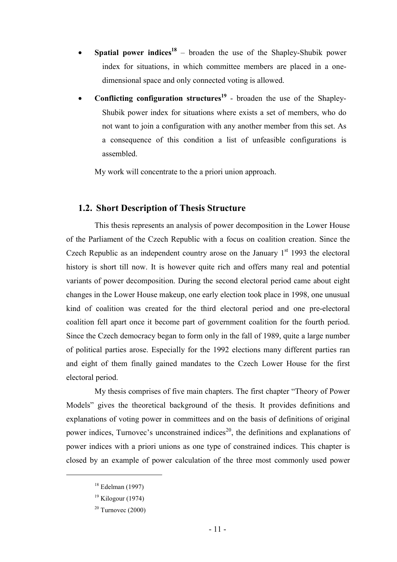- **Spatial power indices<sup>18</sup>** broaden the use of the Shapley-Shubik power index for situations, in which committee members are placed in a onedimensional space and only connected voting is allowed.
- **Conflicting configuration structures<sup>19</sup>** broaden the use of the Shapley-Shubik power index for situations where exists a set of members, who do not want to join a configuration with any another member from this set. As a consequence of this condition a list of unfeasible configurations is assembled.

My work will concentrate to the a priori union approach.

## **1.2. Short Description of Thesis Structure**

This thesis represents an analysis of power decomposition in the Lower House of the Parliament of the Czech Republic with a focus on coalition creation. Since the Czech Republic as an independent country arose on the January  $1<sup>st</sup>$  1993 the electoral history is short till now. It is however quite rich and offers many real and potential variants of power decomposition. During the second electoral period came about eight changes in the Lower House makeup, one early election took place in 1998, one unusual kind of coalition was created for the third electoral period and one pre-electoral coalition fell apart once it become part of government coalition for the fourth period. Since the Czech democracy began to form only in the fall of 1989, quite a large number of political parties arose. Especially for the 1992 elections many different parties ran and eight of them finally gained mandates to the Czech Lower House for the first electoral period.

My thesis comprises of five main chapters. The first chapter "Theory of Power Models" gives the theoretical background of the thesis. It provides definitions and explanations of voting power in committees and on the basis of definitions of original power indices, Turnovec's unconstrained indices<sup>20</sup>, the definitions and explanations of power indices with a priori unions as one type of constrained indices. This chapter is closed by an example of power calculation of the three most commonly used power

 $18$  Edelman (1997)

 $19$  Kilogour (1974)

 $20$  Turnovec (2000)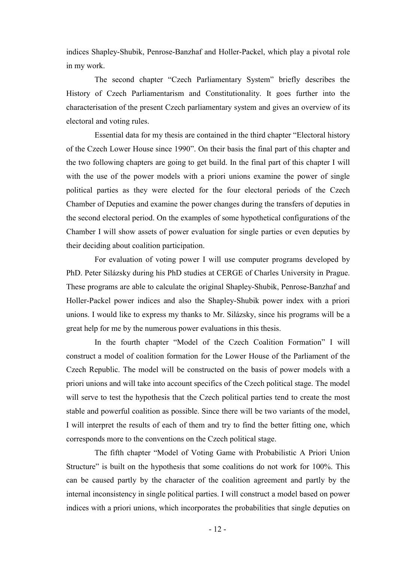indices Shapley-Shubik, Penrose-Banzhaf and Holler-Packel, which play a pivotal role in my work.

The second chapter "Czech Parliamentary System" briefly describes the History of Czech Parliamentarism and Constitutionality. It goes further into the characterisation of the present Czech parliamentary system and gives an overview of its electoral and voting rules.

Essential data for my thesis are contained in the third chapter "Electoral history of the Czech Lower House since 1990". On their basis the final part of this chapter and the two following chapters are going to get build. In the final part of this chapter I will with the use of the power models with a priori unions examine the power of single political parties as they were elected for the four electoral periods of the Czech Chamber of Deputies and examine the power changes during the transfers of deputies in the second electoral period. On the examples of some hypothetical configurations of the Chamber I will show assets of power evaluation for single parties or even deputies by their deciding about coalition participation.

For evaluation of voting power I will use computer programs developed by PhD. Peter Silázsky during his PhD studies at CERGE of Charles University in Prague. These programs are able to calculate the original Shapley-Shubik, Penrose-Banzhaf and Holler-Packel power indices and also the Shapley-Shubik power index with a priori unions. I would like to express my thanks to Mr. Silázsky, since his programs will be a great help for me by the numerous power evaluations in this thesis.

In the fourth chapter "Model of the Czech Coalition Formation" I will construct a model of coalition formation for the Lower House of the Parliament of the Czech Republic. The model will be constructed on the basis of power models with a priori unions and will take into account specifics of the Czech political stage. The model will serve to test the hypothesis that the Czech political parties tend to create the most stable and powerful coalition as possible. Since there will be two variants of the model, I will interpret the results of each of them and try to find the better fitting one, which corresponds more to the conventions on the Czech political stage.

The fifth chapter "Model of Voting Game with Probabilistic A Priori Union Structure" is built on the hypothesis that some coalitions do not work for 100%. This can be caused partly by the character of the coalition agreement and partly by the internal inconsistency in single political parties. I will construct a model based on power indices with a priori unions, which incorporates the probabilities that single deputies on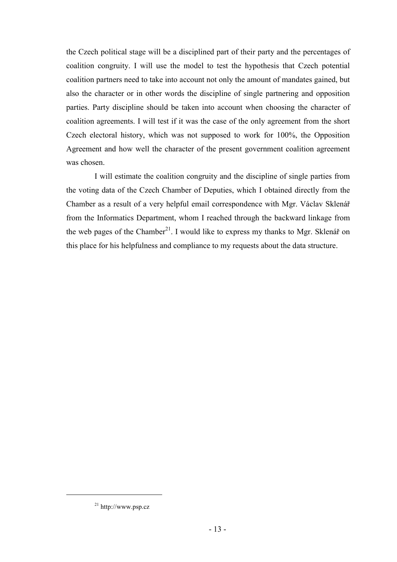the Czech political stage will be a disciplined part of their party and the percentages of coalition congruity. I will use the model to test the hypothesis that Czech potential coalition partners need to take into account not only the amount of mandates gained, but also the character or in other words the discipline of single partnering and opposition parties. Party discipline should be taken into account when choosing the character of coalition agreements. I will test if it was the case of the only agreement from the short Czech electoral history, which was not supposed to work for 100%, the Opposition Agreement and how well the character of the present government coalition agreement was chosen.

I will estimate the coalition congruity and the discipline of single parties from the voting data of the Czech Chamber of Deputies, which I obtained directly from the Chamber as a result of a very helpful email correspondence with Mgr. Václav Sklenář from the Informatics Department, whom I reached through the backward linkage from the web pages of the Chamber<sup>21</sup>. I would like to express my thanks to Mgr. Sklenář on this place for his helpfulness and compliance to my requests about the data structure.

<sup>21</sup> http://www.psp.cz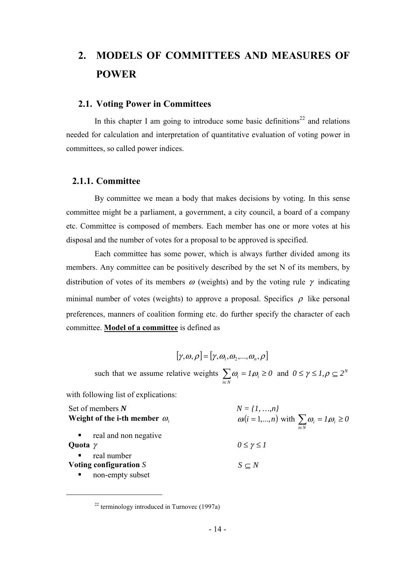# **2. MODELS OF COMMITTEES AND MEASURES OF POWER**

#### **2.1. Voting Power in Committees**

In this chapter I am going to introduce some basic definitions<sup>22</sup> and relations needed for calculation and interpretation of quantitative evaluation of voting power in committees, so called power indices.

### **2.1.1. Committee**

By committee we mean a body that makes decisions by voting. In this sense committee might be a parliament, a government, a city council, a board of a company etc. Committee is composed of members. Each member has one or more votes at his disposal and the number of votes for a proposal to be approved is specified.

Each committee has some power, which is always further divided among its members. Any committee can be positively described by the set N of its members, by distribution of votes of its members  $\omega$  (weights) and by the voting rule  $\gamma$  indicating minimal number of votes (weights) to approve a proposal. Specifics  $\rho$  like personal preferences, manners of coalition forming etc. do further specify the character of each committee. **Model of a committee** is defined as

$$
[\gamma,\omega,\rho] = [\gamma,\omega_1,\omega_2,...,\omega_n,\rho]
$$

such that we assume relative weights  $\sum \omega_i = I_i \omega_i \ge 0$  $\sum_{i\in N}$   $\omega_i = 1, \omega_i \geq$  $\omega_i = I_i \omega_i \ge 0$  and  $0 \le \gamma \le I_i \rho \subseteq 2^N$ 

with following list of explications:

| Set of members $N$                                                       | $N = \{1, , n\}$                                                          |
|--------------------------------------------------------------------------|---------------------------------------------------------------------------|
| Weight of the i-th member $\omega_i$                                     | $\omega(i=1,\dots,n)$ with $\sum \omega_i = l\omega_i \ge 0$<br>$i \in N$ |
| real and non negative<br>Quota $\gamma$                                  | $0 \leq \gamma \leq I$                                                    |
| real number<br>$\mathbf{R} \in \mathbb{R}^n$<br>Voting configuration $S$ | $S \subset N$                                                             |
| non-empty subset<br>$\blacksquare$                                       |                                                                           |

 $22$  terminology introduced in Turnovec (1997a)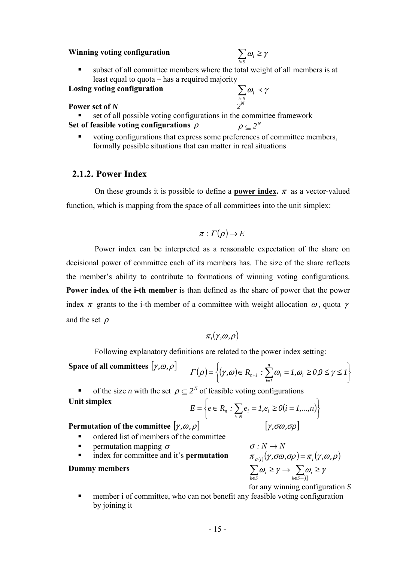#### **Winning voting configuration**

$$
\sum_{i\in S}\omega_i\geq \gamma
$$

 $\omega_i \prec \gamma$ 

*i*∈*S*

 subset of all committee members where the total weight of all members is at least equal to quota – has a required majority

**Losing voting configuration**

# **Power set of** *N*  $2^N$

set of all possible voting configurations in the committee framework

# **Set of feasible voting configurations**  $\rho$   $\rho \subseteq 2^N$

 voting configurations that express some preferences of committee members, formally possible situations that can matter in real situations

## **2.1.2. Power Index**

On these grounds it is possible to define a **power index.**  $\pi$  as a vector-valued function, which is mapping from the space of all committees into the unit simplex:

$$
\pi : \Gamma(\rho) \to E
$$

Power index can be interpreted as a reasonable expectation of the share on decisional power of committee each of its members has. The size of the share reflects the member's ability to contribute to formations of winning voting configurations. **Power index of the i-th member** is than defined as the share of power that the power index  $\pi$  grants to the i-th member of a committee with weight allocation  $\omega$ , quota γ and the set  $\rho$ 

$$
\pi_i(\gamma,\omega,\rho)
$$

Following explanatory definitions are related to the power index setting:

**Space of all committees** 
$$
[\gamma, \omega, \rho]
$$
  $\qquad$   $\Gamma(\rho) = \left\{ (\gamma, \omega) \in R_{n+1} : \sum_{i=1}^{n} \omega_i = 1, \omega_i \ge 0, 0 \le \gamma \le 1 \right\}$ 

of the size *n* with the set  $\rho \subseteq 2^N$  of feasible voting configurations **Unit simplex**  $E = \left\{ e \in R_n : \sum_{i \in N} e_i = 1, e_i \ge 0 (i = 1,...,n) \right\}$ 

$$
E = \left\{ e \in R_n : \sum_{i \in N} e_i = 1, e_i \ge 0 \quad (i = 1, ..., n) \right\}
$$

# **Permutation of the committee**  $[\gamma, \omega, \rho]$  [  $\gamma$ *,*  $\sigma\omega$ *,*  $\sigma\rho$ ]

- ordered list of members of the committee I
- I
- $index$  for committee and it's **permutation**

#### **Dummy members**

permutation mapping  $\sigma$ <br>index for committee and it's **permutation**  $\sigma : N \to N$ <br> $\pi_{\sigma(i)}(\gamma, \sigma\omega, \sigma\rho) = \pi_i(\gamma, \omega, \rho)$  $\sum_{k \in S} \omega_i \geq \gamma \rightarrow \sum_{k \in S - \{i\}} a$  $\geq \gamma \rightarrow \sum \omega_i \geq$  $k \in S - \{i\}$ *i k S*  $\omega_i \geq \gamma \rightarrow \sum \omega_i \geq \gamma$ for any winning configuration *S*

 member i of committee, who can not benefit any feasible voting configuration by joining it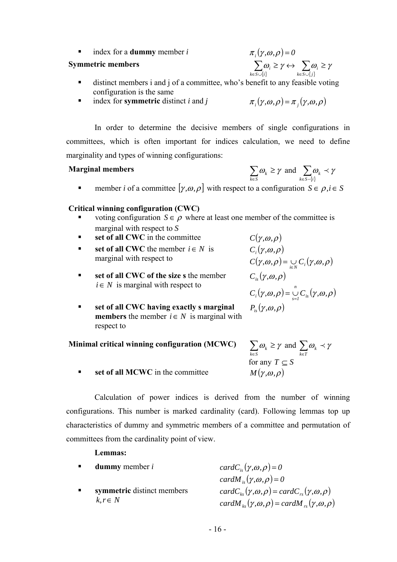index for a **dummy** member *i*  $\pi_i(\gamma, \omega, \rho) = 0$ 

#### **Symmetric members**

- $\sum_{i \in S \cup \{i\}} \omega_i \geq \gamma \leftrightarrow \sum_{k \in S \cup \{j\}} \alpha$  $\geq \gamma \leftrightarrow \sum \omega_i \geq$  $k$  $\in$   $S \cup \{j$ *i*  $k \in S \cup \{i$  $\omega_i \geq \gamma \leftrightarrow \sum \omega_i \geq \gamma$
- distinct members i and j of a committee, who's benefit to any feasible voting configuration is the same
- $\blacksquare$ index for **symmetric** distinct *i* and *j*

$$
\pi_i(\gamma,\omega,\rho) = \pi_j(\gamma,\omega,\rho)
$$

In order to determine the decisive members of single configurations in committees, which is often important for indices calculation, we need to define marginality and types of winning configurations:

#### **Marginal members**

$$
\sum_{k \in S} \omega_k \ge \gamma \text{ and } \sum_{k \in S - \{i\}} \omega_k \prec \gamma
$$

member *i* of a committee  $[\gamma, \omega, \rho]$  with respect to a configuration  $S \in \rho, i \in S$ 

## **Critical winning configuration (CWC)**

- voting configuration  $S \in \rho$  where at least one member of the committee is marginal with respect to *S*
- **set of all CWC** in the committee  $C(\gamma, \omega, \rho)$ Ī
- **■** set of all CWC the member  $i \in N$  is marginal with respect to
- **set of all CWC of the size s** the member  $i \in N$  is marginal with respect to

**Minimal critical winning configuration (MCWC)**

- **set of all CWC having exactly s marginal members** the member  $i \in N$  is marginal with respect to
- $C_i(\gamma, \omega, \rho)$  $C(\gamma, \omega, \rho) = \bigcup_{i \in N} C_i(\gamma, \omega, \rho)$  $C_{is}(\gamma,\omega,\rho)$  $C_i(\gamma, \omega, \rho) = \bigcup_{s=1}^n C_{is}(\gamma, \omega, \rho)$  $P_{i}(\gamma,\omega,\rho)$
- ∈ ≥  $\sum_{k \in S} \omega_k \ge \gamma$  and  $\sum_{k \in T}$  $\omega_{k} \prec \gamma$ for any  $T \subset S$
- **set of all MCWC** in the committee *M* ( $\gamma, \omega, \rho$ )

Calculation of power indices is derived from the number of winning configurations. This number is marked cardinality (card). Following lemmas top up characteristics of dummy and symmetric members of a committee and permutation of committees from the cardinality point of view.

### **Lemmas:**

| <b>dummy</b> member $i$    | card $C_{i}(\gamma,\omega,\rho)=0$                                                      |
|----------------------------|-----------------------------------------------------------------------------------------|
|                            | cardM <sub>is</sub> $(\gamma, \omega, \rho) = 0$                                        |
| symmetric distinct members | $cardC_{k_{\alpha}}(\gamma,\omega,\rho) = cardC_{k_{\alpha}}(\gamma,\omega,\rho)$       |
| $k, r \in N$               | cardM <sub>vs</sub> $(\gamma,\omega,\rho)$ = cardM <sub>vs</sub> $(\gamma,\omega,\rho)$ |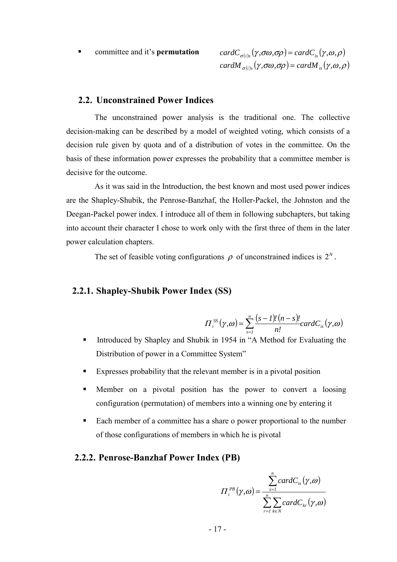committee and it's **permutation**  $cardC_{\sigma(i)s}(\gamma, \sigma \omega, \sigma \rho) = cardC_{is}(\gamma, \omega, \rho)$  $card M_{\sigma(i)s}(\gamma, \sigma\omega, \sigma\rho) = card M_{is}(\gamma, \omega, \rho)$ 

#### **2.2. Unconstrained Power Indices**

The unconstrained power analysis is the traditional one. The collective decision-making can be described by a model of weighted voting, which consists of a decision rule given by quota and of a distribution of votes in the committee. On the basis of these information power expresses the probability that a committee member is decisive for the outcome.

As it was said in the Introduction, the best known and most used power indices are the Shapley-Shubik, the Penrose-Banzhaf, the Holler-Packel, the Johnston and the Deegan-Packel power index. I introduce all of them in following subchapters, but taking into account their character I chose to work only with the first three of them in the later power calculation chapters.

The set of feasible voting configurations  $\rho$  of unconstrained indices is  $2^N$ .

## **2.2.1. Shapley-Shubik Power Index (SS)**

$$
\Pi_i^{SS}(\gamma, \omega) = \sum_{s=1}^n \frac{(s-1)!(n-s)!}{n!} cardC_{is}(\gamma, \omega)
$$

- Introduced by Shapley and Shubik in 1954 in "A Method for Evaluating the Distribution of power in a Committee System"
- Expresses probability that the relevant member is in a pivotal position
- Member on a pivotal position has the power to convert a loosing configuration (permutation) of members into a winning one by entering it
- Each member of a committee has a share o power proportional to the number of those configurations of members in which he is pivotal

#### **2.2.2. Penrose-Banzhaf Power Index (PB)**

$$
\Pi_i^{PB}(\gamma, \omega) = \frac{\sum_{s=1}^n cardC_{is}(\gamma, \omega)}{\sum_{r=1}^n \sum_{k \in N} cardC_{kr}(\gamma, \omega)}
$$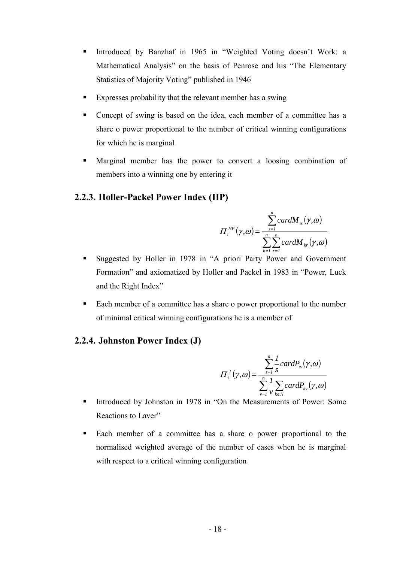- Introduced by Banzhaf in 1965 in "Weighted Voting doesn't Work: a Mathematical Analysis" on the basis of Penrose and his "The Elementary Statistics of Majority Voting" published in 1946
- Expresses probability that the relevant member has a swing
- Concept of swing is based on the idea, each member of a committee has a share o power proportional to the number of critical winning configurations for which he is marginal
- Marginal member has the power to convert a loosing combination of members into a winning one by entering it

## **2.2.3. Holler-Packel Power Index (HP)**

$$
\Pi_i^{HP}(\gamma, \omega) = \frac{\sum_{s=1}^n cardM_{is}(\gamma, \omega)}{\sum_{k=1}^n \sum_{r=1}^n cardM_{kr}(\gamma, \omega)}
$$

- Suggested by Holler in 1978 in "A priori Party Power and Government Formation" and axiomatized by Holler and Packel in 1983 in "Power, Luck and the Right Index"
- Each member of a committee has a share o power proportional to the number of minimal critical winning configurations he is a member of

## **2.2.4. Johnston Power Index (J)**

$$
\Pi_i^J(\gamma, \omega) = \frac{\sum_{s=1}^n \frac{1}{s} cardP_{is}(\gamma, \omega)}{\sum_{v=1}^n \frac{1}{v} \sum_{k \in N} cardP_{kv}(\gamma, \omega)}
$$

- Introduced by Johnston in 1978 in "On the Measurements of Power: Some Reactions to Laver"
- Each member of a committee has a share o power proportional to the normalised weighted average of the number of cases when he is marginal with respect to a critical winning configuration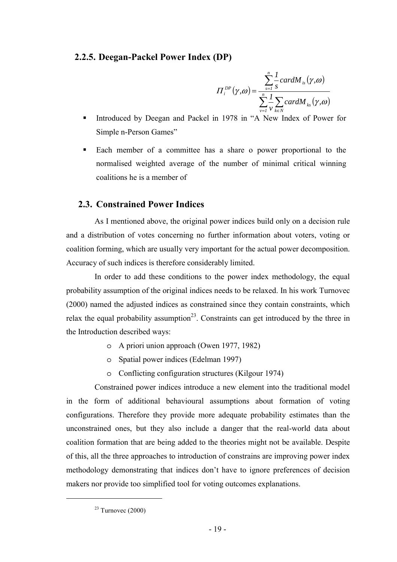## **2.2.5. Deegan-Packel Power Index (DP)**

$$
\Pi_i^{DP}(\gamma, \omega) = \frac{\sum_{s=1}^n \frac{1}{s} cardM_{is}(\gamma, \omega)}{\sum_{v=1}^n \frac{1}{v} \sum_{k \in N} cardM_{ks}(\gamma, \omega)}
$$

- Introduced by Deegan and Packel in 1978 in "A New Index of Power for Simple n-Person Games"
- Each member of a committee has a share o power proportional to the normalised weighted average of the number of minimal critical winning coalitions he is a member of

## **2.3. Constrained Power Indices**

As I mentioned above, the original power indices build only on a decision rule and a distribution of votes concerning no further information about voters, voting or coalition forming, which are usually very important for the actual power decomposition. Accuracy of such indices is therefore considerably limited.

In order to add these conditions to the power index methodology, the equal probability assumption of the original indices needs to be relaxed. In his work Turnovec (2000) named the adjusted indices as constrained since they contain constraints, which relax the equal probability assumption<sup>23</sup>. Constraints can get introduced by the three in the Introduction described ways:

- o A priori union approach (Owen 1977, 1982)
- o Spatial power indices (Edelman 1997)
- o Conflicting configuration structures (Kilgour 1974)

Constrained power indices introduce a new element into the traditional model in the form of additional behavioural assumptions about formation of voting configurations. Therefore they provide more adequate probability estimates than the unconstrained ones, but they also include a danger that the real-world data about coalition formation that are being added to the theories might not be available. Despite of this, all the three approaches to introduction of constrains are improving power index methodology demonstrating that indices don't have to ignore preferences of decision makers nor provide too simplified tool for voting outcomes explanations.

 $23$  Turnovec (2000)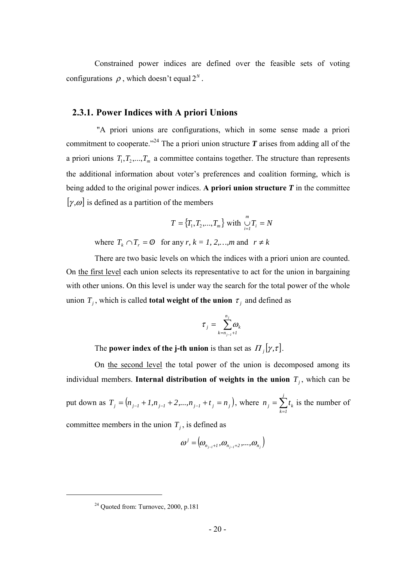Constrained power indices are defined over the feasible sets of voting configurations  $\rho$ , which doesn't equal  $2^N$ .

#### **2.3.1. Power Indices with A priori Unions**

 "A priori unions are configurations, which in some sense made a priori commitment to cooperate.<sup>"24</sup> The a priori union structure  $T$  arises from adding all of the a priori unions  $T_1, T_2, ..., T_m$  a committee contains together. The structure than represents the additional information about voter's preferences and coalition forming, which is being added to the original power indices. A priori union structure  $T$  in the committee  $[\gamma, \omega]$  is defined as a partition of the members

$$
T = \{T_1, T_2, ..., T_m\} \text{ with } \bigcup_{i=1}^{m} T_i = N
$$

where  $T_k \cap T_r = \emptyset$  for any  $r, k = 1, 2, \ldots, m$  and  $r \neq k$ 

There are two basic levels on which the indices with a priori union are counted. On the first level each union selects its representative to act for the union in bargaining with other unions. On this level is under way the search for the total power of the whole union  $T_i$ , which is called **total weight of the union**  $\tau_i$  and defined as

$$
\tau_j = \sum_{k=n_{j-1}+1}^{n_j} \omega_k
$$

The **power index of the j-th union** is than set as  $\Pi_i[\gamma, \tau]$ .

On the second level the total power of the union is decomposed among its individual members. **Internal distribution of weights in the union**  $T_i$ , which can be put down as  $T_j = (n_{j-1} + 1, n_{j-1} + 2, ..., n_{j-1} + t_j = n_j)$ , where  $n_j = \sum_{k=1}^{j}$ = *j k 1*  $n_i = \sum t_k$  is the number of committee members in the union  $T_j$ , is defined as

$$
\boldsymbol{\omega}^{j} = (\omega_{n_{j-1}+1}, \omega_{n_{j-1}+2}, ..., \omega_{n_{j}})
$$

 $24$  Quoted from: Turnovec, 2000, p.181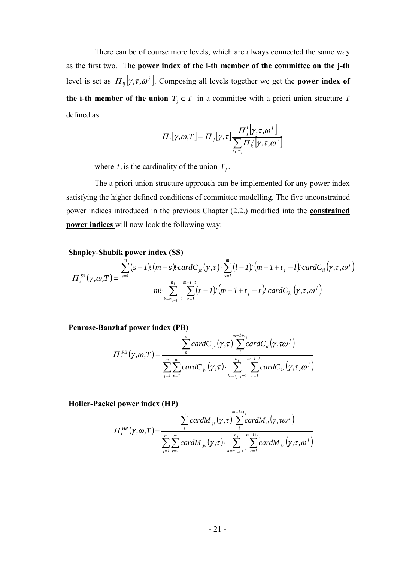There can be of course more levels, which are always connected the same way as the first two. The **power index of the i-th member of the committee on the j-th** level is set as  $\Pi_{ij}[\gamma, \tau, \omega^j]$ . Composing all levels together we get the **power index of the i-th member of the union**  $T<sub>j</sub> \in T$  in a committee with a priori union structure *T* defined as

$$
\Pi_i[\gamma, \omega, T] = \Pi_j[\gamma, \tau] \frac{\Pi_j^i[\gamma, \tau, \omega^j]}{\sum_{k \in T_j} \Pi_k^j[\gamma, \tau, \omega^j]}
$$

where  $t_j$  is the cardinality of the union  $T_j$ .

The a priori union structure approach can be implemented for any power index satisfying the higher defined conditions of committee modelling. The five unconstrained power indices introduced in the previous Chapter (2.2.) modified into the **constrained power indices** will now look the following way:

#### **Shapley-Shubik power index (SS)**

$$
\Pi_{i}^{SS}(\gamma,\omega,T) = \frac{\sum_{s=1}^{m} (s-l)!(m-s)!cardC_{js}(\gamma,\tau) \cdot \sum_{s=1}^{m} (l-l)!(m-l+t_j-l)!cardC_{il}(\gamma,\tau,\omega^{j})}{m! \cdot \sum_{k=n_{j-l}+1}^{n_{j}} \sum_{r=1}^{m-l+t_{j}} (r-l)!(m-l+t_j-r)!cardC_{kr}(\gamma,\tau,\omega^{j})}
$$

**Penrose-Banzhaf power index (PB)**

$$
\Pi_i^{PB}(\gamma,\omega,T) = \frac{\sum_{s}^{n}cardC_{js}(\gamma,\tau)\sum_{l}^{m-l+t_j}cardC_{il}(\gamma,\tau\omega^{j})}{\sum_{j=l}^{m}\sum_{v=1}^{m}cardC_{jv}(\gamma,\tau)\cdot\sum_{k=n_{j-1}+l}^{n_j}\sum_{r=1}^{m-l+t_j}cardC_{kr}(\gamma,\tau,\omega^{j})}
$$

**Holler-Packel power index (HP)**

$$
\Pi_i^{HP}(\gamma, \omega, T) = \frac{\sum_{s}^{n} cardM_{js}(\gamma, \tau) \sum_{l}^{m-l+t_j} cardM_{il}(\gamma, \tau \omega^{j})}{\sum_{j=1}^{m} \sum_{\nu=1}^{m} cardM_{js}(\gamma, \tau) \cdot \sum_{k=n_{j-1}+1}^{n_j} \sum_{r=1}^{m-l+t_j} cardM_{kr}(\gamma, \tau, \omega^{j})}
$$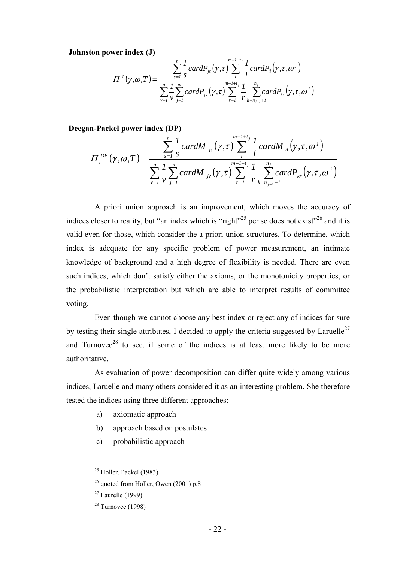**Johnston power index (J)**

$$
\Pi_{i}^{J}(\gamma, \omega, T) = \frac{\sum_{s=1}^{n} \frac{1}{s} cardP_{js}(\gamma, \tau) \sum_{l}^{m-l+t_{j}} \frac{1}{l} cardP_{il}(\gamma, \tau, \omega^{j})}{\sum_{v=1}^{n} \frac{1}{v} \sum_{j=1}^{m} cardP_{jv}(\gamma, \tau) \sum_{r=1}^{m-l+t_{j}} \frac{1}{r} \sum_{k=n_{j-l}+1}^{n_{j}} cardP_{kr}(\gamma, \tau, \omega^{j})}
$$

**Deegan-Packel power index (DP)**

$$
\Pi_i^{DP}(\gamma, \omega, T) = \frac{\sum_{s=1}^n \sum_{s=1}^T cardM_{j_s}(\gamma, \tau) \sum_{l=1}^{m-l+t_j} \frac{1}{l} cardM_{il}(\gamma, \tau, \omega^l)}{\sum_{v=1}^n \sum_{v=1}^T cardM_{j_v}(\gamma, \tau) \sum_{r=1}^{m-l+t_j} \frac{1}{r} \sum_{k=n_{j-l}+1}^{n_j} cardP_{kr}(\gamma, \tau, \omega^l)}
$$

A priori union approach is an improvement, which moves the accuracy of indices closer to reality, but "an index which is "right"<sup>25</sup> per se does not exist"<sup>26</sup> and it is valid even for those, which consider the a priori union structures. To determine, which index is adequate for any specific problem of power measurement, an intimate knowledge of background and a high degree of flexibility is needed. There are even such indices, which don't satisfy either the axioms, or the monotonicity properties, or the probabilistic interpretation but which are able to interpret results of committee voting.

Even though we cannot choose any best index or reject any of indices for sure by testing their single attributes, I decided to apply the criteria suggested by Laruelle<sup>27</sup> and Turnovec<sup>28</sup> to see, if some of the indices is at least more likely to be more authoritative.

As evaluation of power decomposition can differ quite widely among various indices, Laruelle and many others considered it as an interesting problem. She therefore tested the indices using three different approaches:

- a) axiomatic approach
- b) approach based on postulates
- c) probabilistic approach

 $25$  Holler, Packel (1983)

 $^{26}$  quoted from Holler, Owen (2001) p.8

 $27$  Laurelle (1999)

 $28$  Turnovec (1998)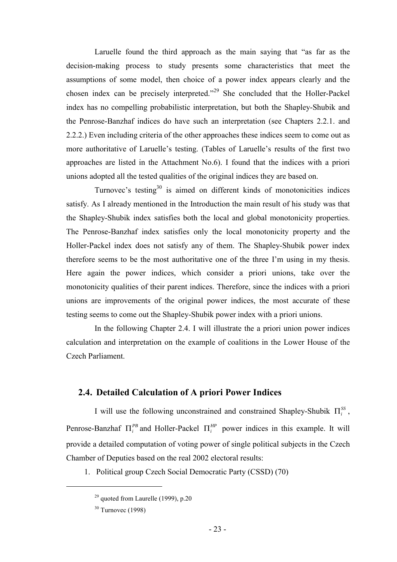Laruelle found the third approach as the main saying that "as far as the decision-making process to study presents some characteristics that meet the assumptions of some model, then choice of a power index appears clearly and the chosen index can be precisely interpreted."29 She concluded that the Holler-Packel index has no compelling probabilistic interpretation, but both the Shapley-Shubik and the Penrose-Banzhaf indices do have such an interpretation (see Chapters 2.2.1. and 2.2.2.) Even including criteria of the other approaches these indices seem to come out as more authoritative of Laruelle's testing. (Tables of Laruelle's results of the first two approaches are listed in the Attachment No.6). I found that the indices with a priori unions adopted all the tested qualities of the original indices they are based on.

Turnovec's testing $30$  is aimed on different kinds of monotonicities indices satisfy. As I already mentioned in the Introduction the main result of his study was that the Shapley-Shubik index satisfies both the local and global monotonicity properties. The Penrose-Banzhaf index satisfies only the local monotonicity property and the Holler-Packel index does not satisfy any of them. The Shapley-Shubik power index therefore seems to be the most authoritative one of the three I'm using in my thesis. Here again the power indices, which consider a priori unions, take over the monotonicity qualities of their parent indices. Therefore, since the indices with a priori unions are improvements of the original power indices, the most accurate of these testing seems to come out the Shapley-Shubik power index with a priori unions.

In the following Chapter 2.4. I will illustrate the a priori union power indices calculation and interpretation on the example of coalitions in the Lower House of the Czech Parliament.

## **2.4. Detailed Calculation of A priori Power Indices**

I will use the following unconstrained and constrained Shapley-Shubik  $\Pi_i^{SS}$ , Penrose-Banzhaf  $\Pi_i^{PB}$  and Holler-Packel  $\Pi_i^{HP}$  power indices in this example. It will provide a detailed computation of voting power of single political subjects in the Czech Chamber of Deputies based on the real 2002 electoral results:

1. Political group Czech Social Democratic Party (CSSD) (70)

 $29$  quoted from Laurelle (1999), p.20

 $30$  Turnovec (1998)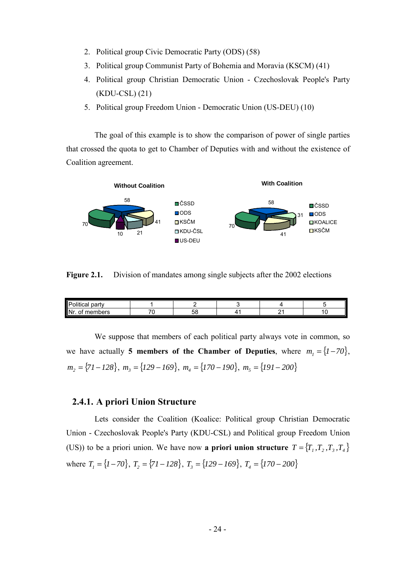- 2. Political group Civic Democratic Party (ODS) (58)
- 3. Political group Communist Party of Bohemia and Moravia (KSCM) (41)
- 4. Political group Christian Democratic Union Czechoslovak People's Party (KDU-CSL) (21)
- 5. Political group Freedom Union Democratic Union (US-DEU) (10)

The goal of this example is to show the comparison of power of single parties that crossed the quota to get to Chamber of Deputies with and without the existence of Coalition agreement.



**Figure 2.1.** Division of mandates among single subjects after the 2002 elections

| <br>∽<br>party<br>- ت<br>ıtıcal<br>ונ |                          |    |   |     |
|---------------------------------------|--------------------------|----|---|-----|
| Nr<br>members<br>Οl                   | $\overline{\phantom{a}}$ | ບເ | - | . . |

We suppose that members of each political party always vote in common, so we have actually **5 members of the Chamber of Deputies**, where  $m_1 = \{1 - 70\}$ ,  $m_2 = \{ 71 - 128 \}, m_3 = \{ 129 - 169 \}, m_4 = \{ 170 - 190 \}, m_5 = \{ 191 - 200 \}$ 

### **2.4.1. A priori Union Structure**

Lets consider the Coalition (Koalice: Political group Christian Democratic Union - Czechoslovak People's Party (KDU-CSL) and Political group Freedom Union (US)) to be a priori union. We have now **a priori union structure**  $T = \{T_1, T_2, T_3, T_4\}$ where  $T_1 = \{1 - 70\}$ ,  $T_2 = \{71 - 128\}$ ,  $T_3 = \{129 - 169\}$ ,  $T_4 = \{170 - 200\}$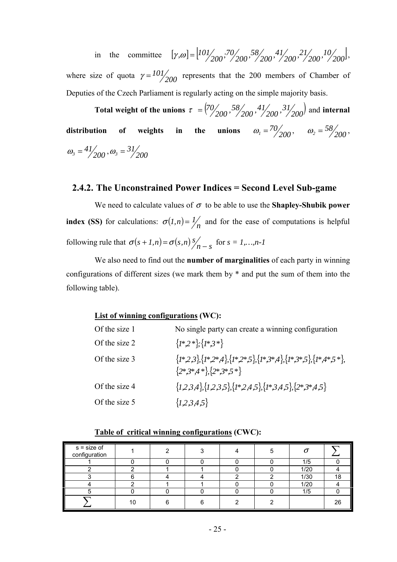in the committee  $[\gamma,\omega] = [101/000, 70/0000, 58/000000]$ ,  $[10/0000, 7/0000000]$ ,  $[10/0000, 7/00000000]$ where size of quota  $\gamma = \frac{101}{200}$  represents that the 200 members of Chamber of Deputies of the Czech Parliament is regularly acting on the simple majority basis.

**Total weight of the unions**  $\tau = \left( \frac{70}{200}, \frac{58}{200}, \frac{41}{200}, \frac{31}{200} \right)$  and **internal distribution of weights in the unions**  $\omega_1 = \frac{70}{200}$ **,**  $\omega_2 = \frac{58}{200}$ **,**  $\omega_3 = \frac{41}{200}, \omega_3 = \frac{31}{200}$ 

## **2.4.2. The Unconstrained Power Indices = Second Level Sub-game**

We need to calculate values of  $\sigma$  to be able to use the **Shapley-Shubik power index (SS)** for calculations:  $\sigma(1,n) = \frac{1}{n}$  and for the ease of computations is helpful following rule that  $\sigma(s+1,n) = \sigma(s,n) \frac{s}{n-s}$  for  $s = 1,...,n-1$ 

We also need to find out the **number of marginalities** of each party in winning configurations of different sizes (we mark them by \* and put the sum of them into the following table).

### **List of winning configurations (WC):**

| Of the size 1 | No single party can create a winning configuration                                                             |
|---------------|----------------------------------------------------------------------------------------------------------------|
| Of the size 2 | $\{I^*,2^*\}; \{I^*,3^*\}$                                                                                     |
| Of the size 3 | $\{1*,2,3\}, \{1*,2*,4\}, \{1*,2*,5\}, \{1*,3*,4\}, \{1*,3*,5\}, \{1*,4*,5*\},$<br>${2*,}3*,4*$ , ${2*,}3*,5*$ |
| Of the size 4 | $\{1,2,3,4\},\{1,2,3,5\},\{1^*,2,4,5\},\{1^*,3,4,5\},\{2^*,3^*,4,5\}$                                          |
| Of the size 5 | $\{1,2,3,4,5\}$                                                                                                |

| s = size of<br>configuration |    |  |  |      |    |
|------------------------------|----|--|--|------|----|
|                              |    |  |  | 1/5  |    |
|                              |    |  |  | 1/20 |    |
|                              |    |  |  | 1/30 | 18 |
|                              |    |  |  | 1/20 |    |
|                              |    |  |  | 1/5  |    |
|                              | 10 |  |  |      | 26 |

#### **Table of critical winning configurations (CWC):**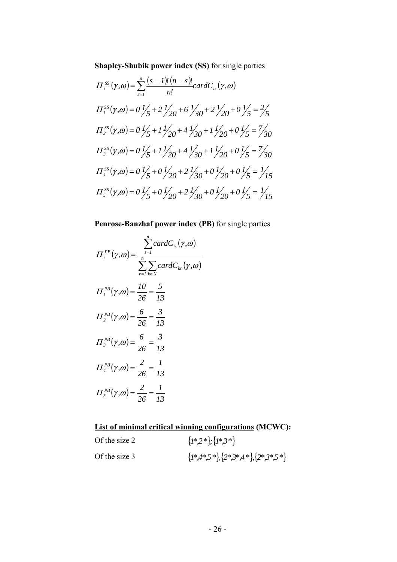**Shapley-Shubik power index (SS)** for single parties

$$
\Pi_{i}^{SS}(\gamma,\omega) = \sum_{s=1}^{n} \frac{(s-1)!(n-s)!}{n!} cardC_{is}(\gamma,\omega)
$$
  
\n
$$
\Pi_{1}^{SS}(\gamma,\omega) = 0 \frac{1}{5} + 2\frac{1}{20} + 6\frac{1}{30} + 2\frac{1}{20} + 0\frac{1}{5} = \frac{2}{5}
$$
  
\n
$$
\Pi_{2}^{SS}(\gamma,\omega) = 0 \frac{1}{5} + 1\frac{1}{20} + 4\frac{1}{30} + 1\frac{1}{20} + 0\frac{1}{5} = \frac{7}{30}
$$
  
\n
$$
\Pi_{3}^{SS}(\gamma,\omega) = 0 \frac{1}{5} + 1\frac{1}{20} + 4\frac{1}{30} + 1\frac{1}{20} + 0\frac{1}{5} = \frac{7}{30}
$$
  
\n
$$
\Pi_{4}^{SS}(\gamma,\omega) = 0 \frac{1}{5} + 0\frac{1}{20} + 2\frac{1}{30} + 0\frac{1}{20} + 0\frac{1}{5} = \frac{1}{15}
$$
  
\n
$$
\Pi_{5}^{SS}(\gamma,\omega) = 0 \frac{1}{5} + 0\frac{1}{20} + 2\frac{1}{30} + 0\frac{1}{20} + 0\frac{1}{5} = \frac{1}{15}
$$

## **Penrose-Banzhaf power index (PB)** for single parties

$$
\Pi_i^{PB}(\gamma, \omega) = \frac{\sum_{s=1}^n cardC_{is}(\gamma, \omega)}{\sum_{r=1}^n \sum_{k \in N} cardC_{kr}(\gamma, \omega)}
$$
  

$$
\Pi_i^{PB}(\gamma, \omega) = \frac{10}{26} = \frac{5}{13}
$$
  

$$
\Pi_2^{PB}(\gamma, \omega) = \frac{6}{26} = \frac{3}{13}
$$
  

$$
\Pi_3^{PB}(\gamma, \omega) = \frac{6}{26} = \frac{3}{13}
$$
  

$$
\Pi_4^{PB}(\gamma, \omega) = \frac{2}{26} = \frac{1}{13}
$$
  

$$
\Pi_5^{PB}(\gamma, \omega) = \frac{2}{26} = \frac{1}{13}
$$

## **List of minimal critical winning configurations (MCWC):**

| Of the size 2 | $\{I^*,2^*\}; \{I^*,3^*\}$                        |
|---------------|---------------------------------------------------|
| Of the size 3 | $\{1^*,4^*,5^*\},\{2^*,3^*,4^*\},\{2^*,3^*,5^*\}$ |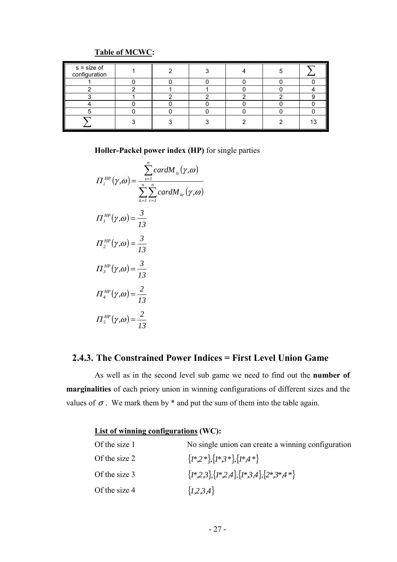## **Table of MCWC:**

| s = size of<br>configuration |  |  |  |
|------------------------------|--|--|--|
|                              |  |  |  |
|                              |  |  |  |
|                              |  |  |  |
|                              |  |  |  |
|                              |  |  |  |
|                              |  |  |  |

**Holler-Packel power index (HP)** for single parties

$$
\Pi_i^{HP}(\gamma, \omega) = \frac{\sum_{s=1}^n cardM_{is}(\gamma, \omega)}{\sum_{k=1}^n \sum_{r=1}^n cardM_{kr}(\gamma, \omega)}
$$
  

$$
\Pi_i^{HP}(\gamma, \omega) = \frac{3}{13}
$$
  

$$
\Pi_j^{HP}(\gamma, \omega) = \frac{3}{13}
$$
  

$$
\Pi_j^{HP}(\gamma, \omega) = \frac{2}{13}
$$
  

$$
\Pi_j^{HP}(\gamma, \omega) = \frac{2}{13}
$$
  

$$
\Pi_j^{HP}(\gamma, \omega) = \frac{2}{13}
$$

## **2.4.3. The Constrained Power Indices = First Level Union Game**

As well as in the second level sub game we need to find out the **number of marginalities** of each priory union in winning configurations of different sizes and the values of  $\sigma$ . We mark them by  $*$  and put the sum of them into the table again.

## **List of winning configurations (WC):**

| Of the size 1 | No single union can create a winning configuration       |
|---------------|----------------------------------------------------------|
| Of the size 2 | $\{I^*,2^*\}, \{I^*,3^*\}, \{I^*,4^*\}$                  |
| Of the size 3 | $\{I^*,2,3\}, \{I^*,2,4\}, \{I^*,3,4\}, \{2^*,3^*,4^*\}$ |
| Of the size 4 | $\{1,2,3,4\}$                                            |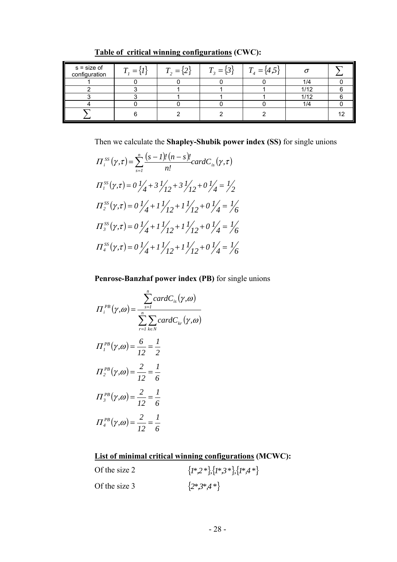| $s = size of$<br>configuration | $\bm{T}$<br>$=$<br>i I | $\mathbf{\tau}$<br>$=$ | $T_3 = \{3\}$ | $T_4 = \{4,5\}$ |      |    |
|--------------------------------|------------------------|------------------------|---------------|-----------------|------|----|
|                                |                        |                        |               |                 | 1/4  |    |
|                                |                        |                        |               |                 | 1/12 |    |
|                                |                        |                        |               |                 | 1/12 |    |
|                                |                        |                        |               |                 | 1/4  |    |
|                                |                        |                        |               |                 |      | 12 |

**Table of critical winning configurations (CWC):**

Then we calculate the **Shapley-Shubik power index (SS)** for single unions

$$
\Pi_{i}^{SS}(\gamma,\tau) = \sum_{s=1}^{n} \frac{(s-1)!(n-s)!}{n!} cardC_{is}(\gamma,\tau)
$$
  

$$
\Pi_{i}^{SS}(\gamma,\tau) = 0 \frac{1}{4} + 3 \frac{1}{12} + 3 \frac{1}{12} + 0 \frac{1}{4} = \frac{1}{2}
$$
  

$$
\Pi_{2}^{SS}(\gamma,\tau) = 0 \frac{1}{4} + 1 \frac{1}{12} + 1 \frac{1}{12} + 0 \frac{1}{4} = \frac{1}{6}
$$
  

$$
\Pi_{3}^{SS}(\gamma,\tau) = 0 \frac{1}{4} + 1 \frac{1}{12} + 1 \frac{1}{12} + 0 \frac{1}{4} = \frac{1}{6}
$$
  

$$
\Pi_{4}^{SS}(\gamma,\tau) = 0 \frac{1}{4} + 1 \frac{1}{12} + 1 \frac{1}{12} + 0 \frac{1}{4} = \frac{1}{6}
$$

**Penrose-Banzhaf power index (PB)** for single unions

$$
\Pi_i^{PB}(\gamma, \omega) = \frac{\sum_{s=1}^n cardC_{is}(\gamma, \omega)}{\sum_{r=1}^n \sum_{k \in N} cardC_{kr}(\gamma, \omega)}
$$
  

$$
\Pi_i^{PB}(\gamma, \omega) = \frac{6}{12} = \frac{1}{2}
$$
  

$$
\Pi_2^{PB}(\gamma, \omega) = \frac{2}{12} = \frac{1}{6}
$$
  

$$
\Pi_3^{PB}(\gamma, \omega) = \frac{2}{12} = \frac{1}{6}
$$
  

$$
\Pi_4^{PB}(\gamma, \omega) = \frac{2}{12} = \frac{1}{6}
$$

## **List of minimal critical winning configurations (MCWC):**

| Of the size 2 | $\{I^*,2^*\}, \{I^*,3^*\}, \{I^*,4^*\}$ |
|---------------|-----------------------------------------|
| Of the size 3 | $\{2*,3*,4*\}$                          |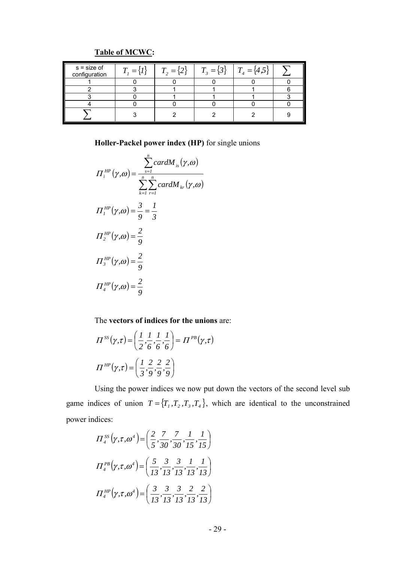| $s = size of$<br>configuration | $T_{\rm c} = \langle I$ | $T_{2} = \{2\}$ | $T_{3} = \{3\}$ | $T_4 = \{4,5$ |  |
|--------------------------------|-------------------------|-----------------|-----------------|---------------|--|
|                                |                         |                 |                 |               |  |
|                                |                         |                 |                 |               |  |
|                                |                         |                 |                 |               |  |
|                                |                         |                 |                 |               |  |
|                                |                         |                 |                 |               |  |

## **Table of MCWC:**

**Holler-Packel power index (HP)** for single unions

$$
H_i^{HP}(\gamma, \omega) = \frac{\sum_{s=1}^n cardM_{is}(\gamma, \omega)}{\sum_{k=1}^n \sum_{r=1}^n cardM_{kr}(\gamma, \omega)}
$$
  

$$
H_i^{HP}(\gamma, \omega) = \frac{3}{9} = \frac{1}{3}
$$
  

$$
H_2^{HP}(\gamma, \omega) = \frac{2}{9}
$$
  

$$
H_i^{HP}(\gamma, \omega) = \frac{2}{9}
$$
  

$$
H_4^{HP}(\gamma, \omega) = \frac{2}{9}
$$

The **vectors of indices for the unions** are:

$$
\Pi^{SS}(\gamma,\tau) = \left(\frac{1}{2}, \frac{1}{6}, \frac{1}{6}, \frac{1}{6}\right) = \Pi^{PB}(\gamma,\tau)
$$

$$
\Pi^{HP}(\gamma,\tau) = \left(\frac{1}{3}, \frac{2}{9}, \frac{2}{9}, \frac{2}{9}\right)
$$

Using the power indices we now put down the vectors of the second level sub game indices of union  $T = \{T_1, T_2, T_3, T_4\}$ , which are identical to the unconstrained power indices:

$$
\Pi_4^{SS}(\gamma, \tau, \omega^4) = \left(\frac{2}{5}, \frac{7}{30}, \frac{7}{30}, \frac{1}{15}, \frac{1}{15}\right)
$$
\n
$$
\Pi_4^{PB}(\gamma, \tau, \omega^4) = \left(\frac{5}{13}, \frac{3}{13}, \frac{3}{13}, \frac{1}{13}, \frac{1}{13}\right)
$$
\n
$$
\Pi_4^{HP}(\gamma, \tau, \omega^4) = \left(\frac{3}{13}, \frac{3}{13}, \frac{3}{13}, \frac{2}{13}, \frac{2}{13}\right)
$$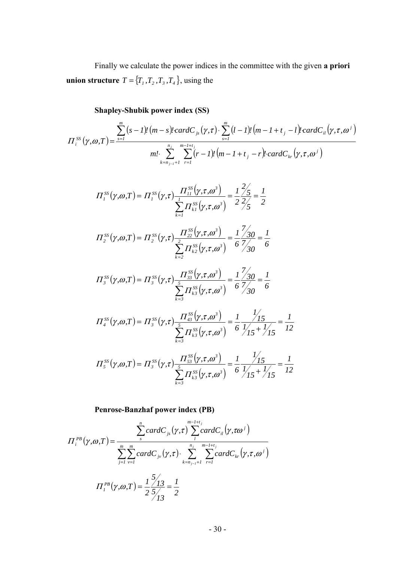Finally we calculate the power indices in the committee with the given **a priori union structure**  $T = \{T_1, T_2, T_3, T_4\}$ , using the

**Shapley-Shubik power index (SS)**

$$
\Pi_{i}^{SS}(\gamma, \omega, T) = \frac{\sum_{s=1}^{m} (s-1)! (m-s)! cardC_{js}(\gamma, \tau) \cdot \sum_{s=1}^{m} (l-1)! (m-l+t_j-l)! cardC_{il}(\gamma, \tau, \omega^{j})}{m! \cdot \sum_{k=n_{j-1}+1}^{n_{j}} \sum_{r=1}^{m-l+t_j} (r-l)! (m-l+t_j-r)! cardC_{kr}(\gamma, \tau, \omega^{j})}
$$

$$
\Pi_{I}^{SS}(\gamma, \omega, T) = \Pi_{I}^{SS}(\gamma, \tau) \frac{\Pi_{II}^{SS}(\gamma, \tau, \omega^{3})}{\sum_{k=1}^{I} \Pi_{kI}^{SS}(\gamma, \tau, \omega^{3})} = \frac{1}{2} \frac{2/5}{2/5} = \frac{1}{2}
$$

$$
\Pi_2^{SS}(\gamma,\omega,T) = \Pi_2^{SS}(\gamma,\tau) \frac{\Pi_{22}^{SS}(\gamma,\tau,\omega^3)}{\sum_{k=2}^2 \Pi_{k2}^{SS}(\gamma,\tau,\omega^3)} = \frac{1}{6} \frac{7}{7/30} = \frac{1}{6}
$$

$$
\Pi_{3}^{SS}(\gamma,\omega,T) = \Pi_{3}^{SS}(\gamma,\tau) \frac{\Pi_{33}^{SS}(\gamma,\tau,\omega^{3})}{\sum_{k=3}^{5} \Pi_{k3}^{SS}(\gamma,\tau,\omega^{3})} = \frac{1}{6} \frac{7}{7/30} = \frac{1}{6}
$$

$$
\Pi_4^{SS}(\gamma,\omega,T) = \Pi_3^{SS}(\gamma,\tau) \frac{\Pi_{43}^{SS}(\gamma,\tau,\omega^3)}{\sum_{k=3}^5 \Pi_{k3}^{SS}(\gamma,\tau,\omega^3)} = \frac{1}{6} \frac{1}{1/15} + \frac{1}{15} = \frac{1}{12}
$$

$$
\Pi_{5}^{SS}(\gamma,\omega,T) = \Pi_{3}^{SS}(\gamma,\tau) \frac{\Pi_{53}^{SS}(\gamma,\tau,\omega^{3})}{\sum_{k=3}^{5} \Pi_{k3}^{SS}(\gamma,\tau,\omega^{3})} = \frac{1}{6} \frac{1}{1/15} + \frac{1}{15} = \frac{1}{12}
$$

**Penrose-Banzhaf power index (PB)**

$$
\Pi_i^{PB}(\gamma, \omega, T) = \frac{\sum_{s}^{n} cardC_{js}(\gamma, \tau) \sum_{l}^{m-l+t_j} cardC_{il}(\gamma, \tau \omega^{j})}{\sum_{j=1}^{m} \sum_{v=1}^{m} cardC_{jv}(\gamma, \tau) \cdot \sum_{k=n_{j-1}+1}^{n_{j}} \sum_{r=1}^{m-l+t_j} cardC_{kr}(\gamma, \tau, \omega^{j})}
$$

$$
\Pi_i^{PB}(\gamma, \omega, T) = \frac{1}{2} \frac{5/13}{5/13} = \frac{1}{2}
$$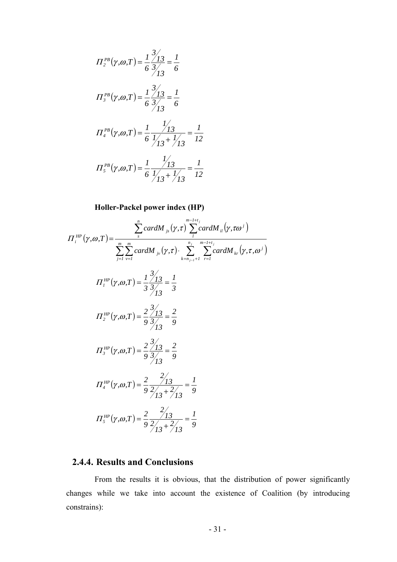$$
\Pi_2^{PB}(\gamma,\omega,T) = \frac{1}{6} \frac{\frac{3}{3}}{\frac{3}{13}} = \frac{1}{6}
$$
  

$$
\Pi_3^{PB}(\gamma,\omega,T) = \frac{1}{6} \frac{\frac{3}{3}}{\frac{3}{13}} = \frac{1}{6}
$$
  

$$
\Pi_4^{PB}(\gamma,\omega,T) = \frac{1}{6} \frac{\frac{1}{3}}{\frac{1}{3} + \frac{1}{3}} = \frac{1}{12}
$$
  

$$
\Pi_5^{PB}(\gamma,\omega,T) = \frac{1}{6} \frac{\frac{1}{3}}{\frac{1}{3} + \frac{1}{3}} = \frac{1}{12}
$$

**Holler-Packel power index (HP)**

$$
\Pi_{i}^{HP}(\gamma, \omega, T) = \frac{\sum_{s}^{n} cardM_{js}(\gamma, \tau) \sum_{i}^{m-1+t_{j}} cardM_{il}(\gamma, \tau \omega^{j})}{\sum_{j=1}^{m} \sum_{v=1}^{m} cardM_{js}(\gamma, \tau) \cdot \sum_{k=n_{j-1}+1}^{n_{j}} \sum_{r=1}^{m-1+t_{j}} cardM_{kr}(\gamma, \tau, \omega^{j})}
$$
\n
$$
\Pi_{i}^{HP}(\gamma, \omega, T) = \frac{1}{3} \frac{3/13}{3/13} = \frac{1}{3}
$$
\n
$$
\Pi_{i}^{HP}(\gamma, \omega, T) = \frac{2}{9} \frac{3/13}{3/13} = \frac{2}{9}
$$
\n
$$
\Pi_{i}^{HP}(\gamma, \omega, T) = \frac{2}{9} \frac{3/13}{3/13} = \frac{2}{9}
$$
\n
$$
\Pi_{i}^{HP}(\gamma, \omega, T) = \frac{2}{9} \frac{2/13}{2/13} + \frac{2}{13} = \frac{1}{9}
$$
\n
$$
\Pi_{i}^{HP}(\gamma, \omega, T) = \frac{2}{9} \frac{2/13}{2/13} + \frac{2}{13} = \frac{1}{9}
$$

### **2.4.4. Results and Conclusions**

From the results it is obvious, that the distribution of power significantly changes while we take into account the existence of Coalition (by introducing constrains):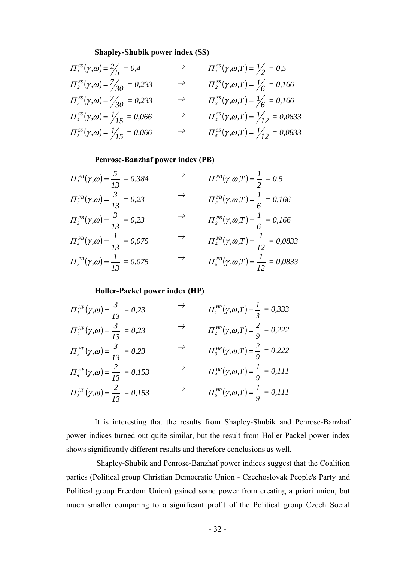#### **Shapley-Shubik power index (SS)**

$$
H_1^{SS}(\gamma, \omega) = \frac{2}{5} = 0,4 \qquad \rightarrow \qquad H_1^{SS}(\gamma, \omega, T) = \frac{1}{2} = 0,5
$$
  
\n
$$
H_2^{SS}(\gamma, \omega) = \frac{7}{30} = 0,233 \qquad \rightarrow \qquad H_2^{SS}(\gamma, \omega, T) = \frac{1}{6} = 0,166
$$
  
\n
$$
H_3^{SS}(\gamma, \omega) = \frac{7}{30} = 0,233 \qquad \rightarrow \qquad H_3^{SS}(\gamma, \omega, T) = \frac{1}{6} = 0,166
$$
  
\n
$$
H_4^{SS}(\gamma, \omega) = \frac{1}{15} = 0,066 \qquad \rightarrow \qquad H_4^{SS}(\gamma, \omega, T) = \frac{1}{12} = 0,0833
$$
  
\n
$$
H_5^{SS}(\gamma, \omega) = \frac{1}{15} = 0,066 \qquad \rightarrow \qquad H_5^{SS}(\gamma, \omega, T) = \frac{1}{12} = 0,0833
$$

#### **Penrose-Banzhaf power index (PB)**

| $\Pi_I^{PB}(\gamma,\omega) = \frac{5}{13} = 0.384$   | $\rightarrow$ | $\Pi_I^{PB}(\gamma,\omega,T) = \frac{1}{2} = 0.5$     |
|------------------------------------------------------|---------------|-------------------------------------------------------|
| $\Pi_2^{PB}(\gamma,\omega) = \frac{3}{13} = 0.23$    | $\rightarrow$ | $\Pi_2^{PB}(\gamma,\omega,T) = \frac{1}{6} = 0.166$   |
| $\Pi_3^{PB}(\gamma,\omega) = \frac{3}{13} = 0.23$    | $\rightarrow$ | $\Pi_3^{PB}(\gamma,\omega,T) = \frac{1}{6} = 0.166$   |
| $\Pi_4^{PB}(\gamma,\omega) = \frac{1}{13} = 0.075$   | $\rightarrow$ | $\Pi_4^{PB}(\gamma,\omega,T) = \frac{1}{12} = 0.0833$ |
| $\Pi_{5}^{PB}(\gamma,\omega) = \frac{1}{13} = 0.075$ | $\rightarrow$ | $\Pi_5^{PB}(\gamma,\omega,T) = \frac{1}{12} = 0.0833$ |

#### **Holler-Packel power index (HP)**

| $\Pi_I^{HP}(\gamma,\omega) = \frac{3}{13} = 0.23$        | $\rightarrow$ | $\Pi_I^{HP}(\gamma,\omega,T) = \frac{1}{3} = 0.333$ |
|----------------------------------------------------------|---------------|-----------------------------------------------------|
| $\Pi_2^{HP}(\gamma,\omega) = \frac{3}{13} = 0.23$        | $\rightarrow$ | $\Pi_2^{HP}(\gamma,\omega,T) = \frac{2}{9} = 0.222$ |
| $\Pi_3^{\text{HP}}(\gamma,\omega) = \frac{3}{13} = 0.23$ | $\rightarrow$ | $\Pi_3^{HP}(\gamma,\omega,T) = \frac{2}{9} = 0.222$ |
| $\Pi_4^{HP}(\gamma,\omega) = \frac{2}{13} = 0.153$       | $\rightarrow$ | $\Pi_4^{HP}(\gamma,\omega,T) = \frac{1}{9} = 0.111$ |
| $\Pi_5^{HP}(\gamma,\omega) = \frac{2}{13} = 0.153$       | $\rightarrow$ | $\Pi_5^{HP}(\gamma,\omega,T) = \frac{1}{9} = 0.111$ |

It is interesting that the results from Shapley-Shubik and Penrose-Banzhaf power indices turned out quite similar, but the result from Holler-Packel power index shows significantly different results and therefore conclusions as well.

 Shapley-Shubik and Penrose-Banzhaf power indices suggest that the Coalition parties (Political group Christian Democratic Union - Czechoslovak People's Party and Political group Freedom Union) gained some power from creating a priori union, but much smaller comparing to a significant profit of the Political group Czech Social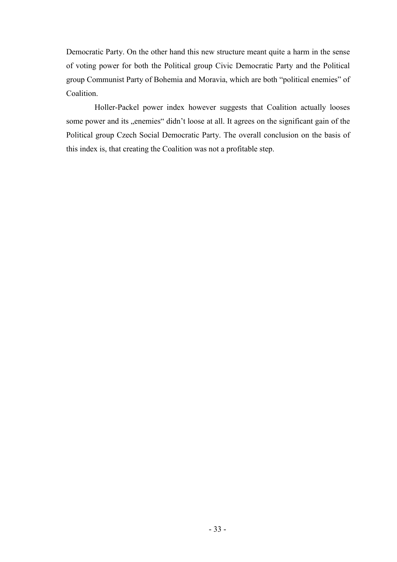Democratic Party. On the other hand this new structure meant quite a harm in the sense of voting power for both the Political group Civic Democratic Party and the Political group Communist Party of Bohemia and Moravia, which are both "political enemies" of Coalition.

Holler-Packel power index however suggests that Coalition actually looses some power and its "enemies" didn't loose at all. It agrees on the significant gain of the Political group Czech Social Democratic Party. The overall conclusion on the basis of this index is, that creating the Coalition was not a profitable step.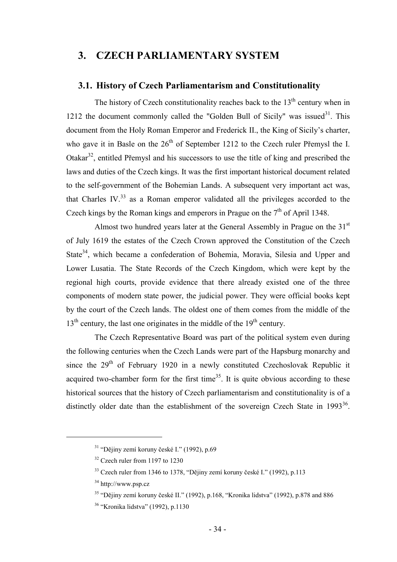## **3. CZECH PARLIAMENTARY SYSTEM**

### **3.1. History of Czech Parliamentarism and Constitutionality**

The history of Czech constitutionality reaches back to the  $13<sup>th</sup>$  century when in 1212 the document commonly called the "Golden Bull of Sicily" was issued  $31$ . This document from the Holy Roman Emperor and Frederick II., the King of Sicily's charter, who gave it in Basle on the  $26<sup>th</sup>$  of September 1212 to the Czech ruler Přemysl the I. Otakar $32$ , entitled Přemysl and his successors to use the title of king and prescribed the laws and duties of the Czech kings. It was the first important historical document related to the self-government of the Bohemian Lands. A subsequent very important act was, that Charles IV. $33$  as a Roman emperor validated all the privileges accorded to the Czech kings by the Roman kings and emperors in Prague on the  $7<sup>th</sup>$  of April 1348.

Almost two hundred years later at the General Assembly in Prague on the 31<sup>st</sup> of July 1619 the estates of the Czech Crown approved the Constitution of the Czech State<sup>34</sup>, which became a confederation of Bohemia, Moravia, Silesia and Upper and Lower Lusatia. The State Records of the Czech Kingdom, which were kept by the regional high courts, provide evidence that there already existed one of the three components of modern state power, the judicial power. They were official books kept by the court of the Czech lands. The oldest one of them comes from the middle of the  $13<sup>th</sup>$  century, the last one originates in the middle of the  $19<sup>th</sup>$  century.

The Czech Representative Board was part of the political system even during the following centuries when the Czech Lands were part of the Hapsburg monarchy and since the  $29<sup>th</sup>$  of February 1920 in a newly constituted Czechoslovak Republic it acquired two-chamber form for the first time<sup>35</sup>. It is quite obvious according to these historical sources that the history of Czech parliamentarism and constitutionality is of a distinctly older date than the establishment of the sovereign Czech State in  $1993^{36}$ .

<sup>&</sup>lt;sup>31</sup> "Dějiny zemí koruny české I." (1992), p.69

<sup>&</sup>lt;sup>32</sup> Czech ruler from 1197 to 1230

<sup>&</sup>lt;sup>33</sup> Czech ruler from 1346 to 1378, "Dějiny zemí koruny české I." (1992), p.113

<sup>34</sup> http://www.psp.cz

<sup>35 &</sup>quot;Dějiny zemí koruny české II." (1992), p.168, "Kronika lidstva" (1992), p.878 and 886

<sup>36 &</sup>quot;Kronika lidstva" (1992), p.1130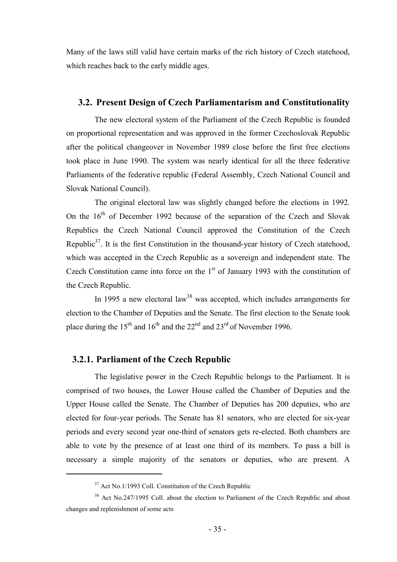Many of the laws still valid have certain marks of the rich history of Czech statehood, which reaches back to the early middle ages.

#### **3.2. Present Design of Czech Parliamentarism and Constitutionality**

The new electoral system of the Parliament of the Czech Republic is founded on proportional representation and was approved in the former Czechoslovak Republic after the political changeover in November 1989 close before the first free elections took place in June 1990. The system was nearly identical for all the three federative Parliaments of the federative republic (Federal Assembly, Czech National Council and Slovak National Council).

The original electoral law was slightly changed before the elections in 1992. On the  $16<sup>th</sup>$  of December 1992 because of the separation of the Czech and Slovak Republics the Czech National Council approved the Constitution of the Czech Republic<sup>37</sup>. It is the first Constitution in the thousand-year history of Czech statehood, which was accepted in the Czech Republic as a sovereign and independent state. The Czech Constitution came into force on the  $1<sup>st</sup>$  of January 1993 with the constitution of the Czech Republic.

In 1995 a new electoral law<sup>38</sup> was accepted, which includes arrangements for election to the Chamber of Deputies and the Senate. The first election to the Senate took place during the 15<sup>th</sup> and 16<sup>th</sup> and the 22<sup>nd</sup> and 23<sup>rd</sup> of November 1996.

#### **3.2.1. Parliament of the Czech Republic**

 $\overline{a}$ 

The legislative power in the Czech Republic belongs to the Parliament. It is comprised of two houses, the Lower House called the Chamber of Deputies and the Upper House called the Senate. The Chamber of Deputies has 200 deputies, who are elected for four-year periods. The Senate has 81 senators, who are elected for six-year periods and every second year one-third of senators gets re-elected. Both chambers are able to vote by the presence of at least one third of its members. To pass a bill is necessary a simple majority of the senators or deputies, who are present. A

<sup>&</sup>lt;sup>37</sup> Act No.1/1993 Coll. Constitution of the Czech Republic

<sup>&</sup>lt;sup>38</sup> Act No.247/1995 Coll. about the election to Parliament of the Czech Republic and about changes and replenishment of some acts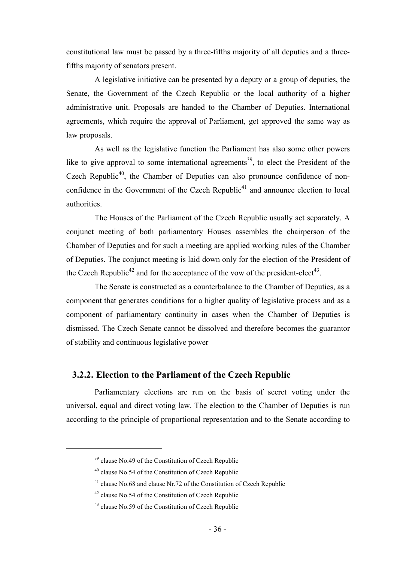constitutional law must be passed by a three-fifths majority of all deputies and a threefifths majority of senators present.

A legislative initiative can be presented by a deputy or a group of deputies, the Senate, the Government of the Czech Republic or the local authority of a higher administrative unit. Proposals are handed to the Chamber of Deputies. International agreements, which require the approval of Parliament, get approved the same way as law proposals.

As well as the legislative function the Parliament has also some other powers like to give approval to some international agreements<sup>39</sup>, to elect the President of the Czech Republic<sup>40</sup>, the Chamber of Deputies can also pronounce confidence of nonconfidence in the Government of the Czech Republic<sup>41</sup> and announce election to local authorities.

The Houses of the Parliament of the Czech Republic usually act separately. A conjunct meeting of both parliamentary Houses assembles the chairperson of the Chamber of Deputies and for such a meeting are applied working rules of the Chamber of Deputies. The conjunct meeting is laid down only for the election of the President of the Czech Republic<sup>42</sup> and for the acceptance of the vow of the president-elect<sup>43</sup>.

The Senate is constructed as a counterbalance to the Chamber of Deputies, as a component that generates conditions for a higher quality of legislative process and as a component of parliamentary continuity in cases when the Chamber of Deputies is dismissed. The Czech Senate cannot be dissolved and therefore becomes the guarantor of stability and continuous legislative power

#### **3.2.2. Election to the Parliament of the Czech Republic**

Parliamentary elections are run on the basis of secret voting under the universal, equal and direct voting law. The election to the Chamber of Deputies is run according to the principle of proportional representation and to the Senate according to

<sup>&</sup>lt;sup>39</sup> clause No.49 of the Constitution of Czech Republic

 $40$  clause No.54 of the Constitution of Czech Republic

<sup>&</sup>lt;sup>41</sup> clause No.68 and clause Nr.72 of the Constitution of Czech Republic

 $42$  clause No.54 of the Constitution of Czech Republic

<sup>43</sup> clause No.59 of the Constitution of Czech Republic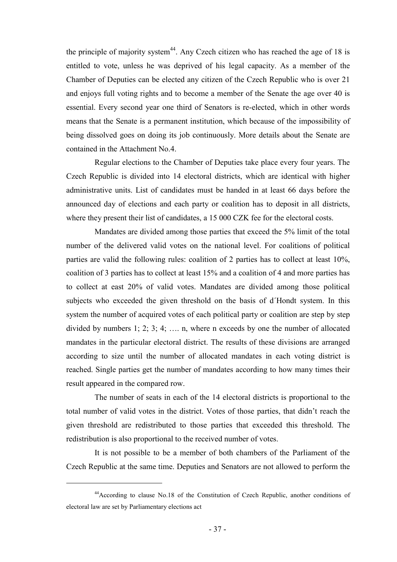the principle of majority system<sup>44</sup>. Any Czech citizen who has reached the age of 18 is entitled to vote, unless he was deprived of his legal capacity. As a member of the Chamber of Deputies can be elected any citizen of the Czech Republic who is over 21 and enjoys full voting rights and to become a member of the Senate the age over 40 is essential. Every second year one third of Senators is re-elected, which in other words means that the Senate is a permanent institution, which because of the impossibility of being dissolved goes on doing its job continuously. More details about the Senate are contained in the Attachment No.4.

Regular elections to the Chamber of Deputies take place every four years. The Czech Republic is divided into 14 electoral districts, which are identical with higher administrative units. List of candidates must be handed in at least 66 days before the announced day of elections and each party or coalition has to deposit in all districts, where they present their list of candidates, a 15 000 CZK fee for the electoral costs.

Mandates are divided among those parties that exceed the 5% limit of the total number of the delivered valid votes on the national level. For coalitions of political parties are valid the following rules: coalition of 2 parties has to collect at least 10%, coalition of 3 parties has to collect at least 15% and a coalition of 4 and more parties has to collect at east 20% of valid votes. Mandates are divided among those political subjects who exceeded the given threshold on the basis of d´Hondt system. In this system the number of acquired votes of each political party or coalition are step by step divided by numbers 1; 2; 3; 4; …. n, where n exceeds by one the number of allocated mandates in the particular electoral district. The results of these divisions are arranged according to size until the number of allocated mandates in each voting district is reached. Single parties get the number of mandates according to how many times their result appeared in the compared row.

The number of seats in each of the 14 electoral districts is proportional to the total number of valid votes in the district. Votes of those parties, that didn't reach the given threshold are redistributed to those parties that exceeded this threshold. The redistribution is also proportional to the received number of votes.

It is not possible to be a member of both chambers of the Parliament of the Czech Republic at the same time. Deputies and Senators are not allowed to perform the

<sup>44</sup>According to clause No.18 of the Constitution of Czech Republic, another conditions of electoral law are set by Parliamentary elections act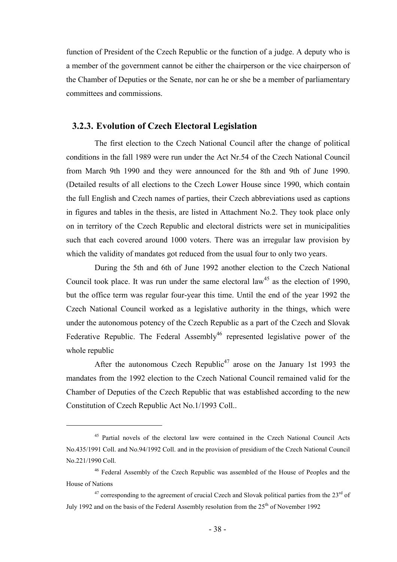function of President of the Czech Republic or the function of a judge. A deputy who is a member of the government cannot be either the chairperson or the vice chairperson of the Chamber of Deputies or the Senate, nor can he or she be a member of parliamentary committees and commissions.

#### **3.2.3. Evolution of Czech Electoral Legislation**

The first election to the Czech National Council after the change of political conditions in the fall 1989 were run under the Act Nr.54 of the Czech National Council from March 9th 1990 and they were announced for the 8th and 9th of June 1990. (Detailed results of all elections to the Czech Lower House since 1990, which contain the full English and Czech names of parties, their Czech abbreviations used as captions in figures and tables in the thesis, are listed in Attachment No.2. They took place only on in territory of the Czech Republic and electoral districts were set in municipalities such that each covered around 1000 voters. There was an irregular law provision by which the validity of mandates got reduced from the usual four to only two years.

During the 5th and 6th of June 1992 another election to the Czech National Council took place. It was run under the same electoral law<sup>45</sup> as the election of 1990, but the office term was regular four-year this time. Until the end of the year 1992 the Czech National Council worked as a legislative authority in the things, which were under the autonomous potency of the Czech Republic as a part of the Czech and Slovak Federative Republic. The Federal Assembly<sup>46</sup> represented legislative power of the whole republic

After the autonomous Czech Republic<sup>47</sup> arose on the January 1st 1993 the mandates from the 1992 election to the Czech National Council remained valid for the Chamber of Deputies of the Czech Republic that was established according to the new Constitution of Czech Republic Act No.1/1993 Coll..

<sup>&</sup>lt;sup>45</sup> Partial novels of the electoral law were contained in the Czech National Council Acts No.435/1991 Coll. and No.94/1992 Coll. and in the provision of presidium of the Czech National Council No.221/1990 Coll.

<sup>46</sup> Federal Assembly of the Czech Republic was assembled of the House of Peoples and the House of Nations

 $47$  corresponding to the agreement of crucial Czech and Slovak political parties from the  $23<sup>rd</sup>$  of July 1992 and on the basis of the Federal Assembly resolution from the  $25<sup>th</sup>$  of November 1992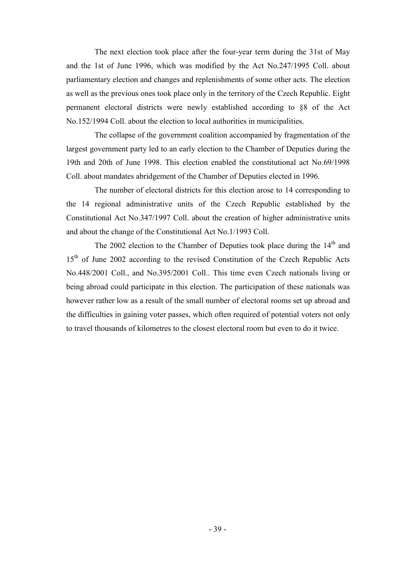The next election took place after the four-year term during the 31st of May and the 1st of June 1996, which was modified by the Act No.247/1995 Coll. about parliamentary election and changes and replenishments of some other acts. The election as well as the previous ones took place only in the territory of the Czech Republic. Eight permanent electoral districts were newly established according to §8 of the Act No.152/1994 Coll. about the election to local authorities in municipalities.

The collapse of the government coalition accompanied by fragmentation of the largest government party led to an early election to the Chamber of Deputies during the 19th and 20th of June 1998. This election enabled the constitutional act No.69/1998 Coll. about mandates abridgement of the Chamber of Deputies elected in 1996.

The number of electoral districts for this election arose to 14 corresponding to the 14 regional administrative units of the Czech Republic established by the Constitutional Act No.347/1997 Coll. about the creation of higher administrative units and about the change of the Constitutional Act No.1/1993 Coll.

The 2002 election to the Chamber of Deputies took place during the  $14<sup>th</sup>$  and 15<sup>th</sup> of June 2002 according to the revised Constitution of the Czech Republic Acts No.448/2001 Coll., and No.395/2001 Coll.. This time even Czech nationals living or being abroad could participate in this election. The participation of these nationals was however rather low as a result of the small number of electoral rooms set up abroad and the difficulties in gaining voter passes, which often required of potential voters not only to travel thousands of kilometres to the closest electoral room but even to do it twice.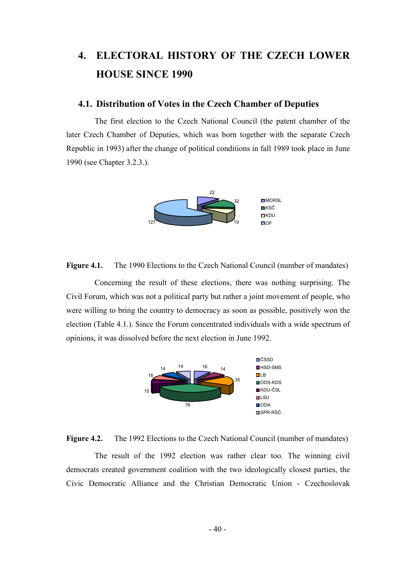# **4. ELECTORAL HISTORY OF THE CZECH LOWER HOUSE SINCE 1990**

#### **4.1. Distribution of Votes in the Czech Chamber of Deputies**

The first election to the Czech National Council (the patent chamber of the later Czech Chamber of Deputies, which was born together with the separate Czech Republic in 1993) after the change of political conditions in fall 1989 took place in June 1990 (see Chapter 3.2.3.).



**Figure 4.1.** The 1990 Elections to the Czech National Council (number of mandates)

Concerning the result of these elections, there was nothing surprising. The Civil Forum, which was not a political party but rather a joint movement of people, who were willing to bring the country to democracy as soon as possible, positively won the election (Table 4.1.). Since the Forum concentrated individuals with a wide spectrum of opinions, it was dissolved before the next election in June 1992.



**Figure 4.2.** The 1992 Elections to the Czech National Council (number of mandates)

The result of the 1992 election was rather clear too. The winning civil democrats created government coalition with the two ideologically closest parties, the Civic Democratic Alliance and the Christian Democratic Union - Czechoslovak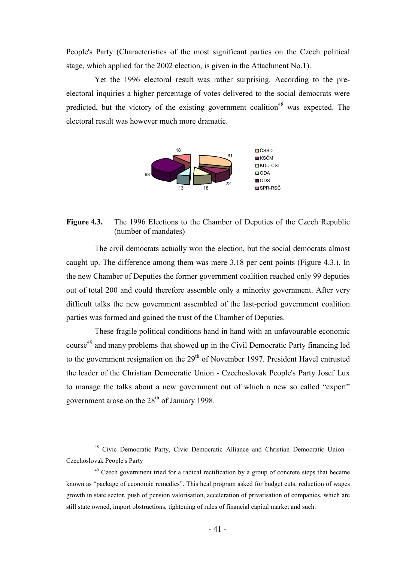People's Party (Characteristics of the most significant parties on the Czech political stage, which applied for the 2002 election, is given in the Attachment No.1).

Yet the 1996 electoral result was rather surprising. According to the preelectoral inquiries a higher percentage of votes delivered to the social democrats were predicted, but the victory of the existing government coalition<sup>48</sup> was expected. The electoral result was however much more dramatic.



#### Figure 4.3. The 1996 Elections to the Chamber of Deputies of the Czech Republic (number of mandates)

The civil democrats actually won the election, but the social democrats almost caught up. The difference among them was mere 3,18 per cent points (Figure 4.3.). In the new Chamber of Deputies the former government coalition reached only 99 deputies out of total 200 and could therefore assemble only a minority government. After very difficult talks the new government assembled of the last-period government coalition parties was formed and gained the trust of the Chamber of Deputies.

These fragile political conditions hand in hand with an unfavourable economic course<sup>49</sup> and many problems that showed up in the Civil Democratic Party financing led to the government resignation on the  $29<sup>th</sup>$  of November 1997. President Havel entrusted the leader of the Christian Democratic Union - Czechoslovak People's Party Josef Lux to manage the talks about a new government out of which a new so called "expert" government arose on the 28<sup>th</sup> of January 1998.

<sup>48</sup> Civic Democratic Party, Civic Democratic Alliance and Christian Democratic Union - Czechoslovak People's Party

<sup>&</sup>lt;sup>49</sup> Czech government tried for a radical rectification by a group of concrete steps that became known as "package of economic remedies". This heal program asked for budget cuts, reduction of wages growth in state sector, push of pension valorisation, acceleration of privatisation of companies, which are still state owned, import obstructions, tightening of rules of financial capital market and such.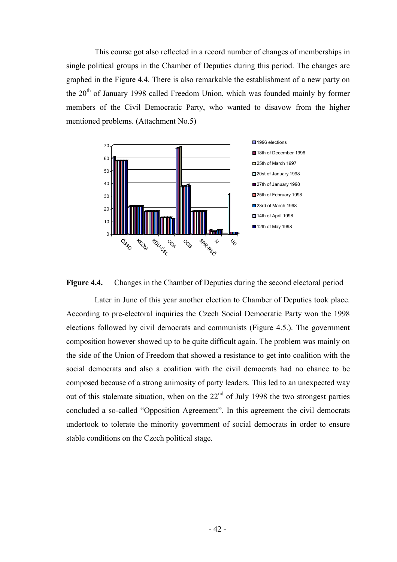This course got also reflected in a record number of changes of memberships in single political groups in the Chamber of Deputies during this period. The changes are graphed in the Figure 4.4. There is also remarkable the establishment of a new party on the 20<sup>th</sup> of January 1998 called Freedom Union, which was founded mainly by former members of the Civil Democratic Party, who wanted to disavow from the higher mentioned problems. (Attachment No.5)





Later in June of this year another election to Chamber of Deputies took place. According to pre-electoral inquiries the Czech Social Democratic Party won the 1998 elections followed by civil democrats and communists (Figure 4.5.). The government composition however showed up to be quite difficult again. The problem was mainly on the side of the Union of Freedom that showed a resistance to get into coalition with the social democrats and also a coalition with the civil democrats had no chance to be composed because of a strong animosity of party leaders. This led to an unexpected way out of this stalemate situation, when on the  $22<sup>nd</sup>$  of July 1998 the two strongest parties concluded a so-called "Opposition Agreement". In this agreement the civil democrats undertook to tolerate the minority government of social democrats in order to ensure stable conditions on the Czech political stage.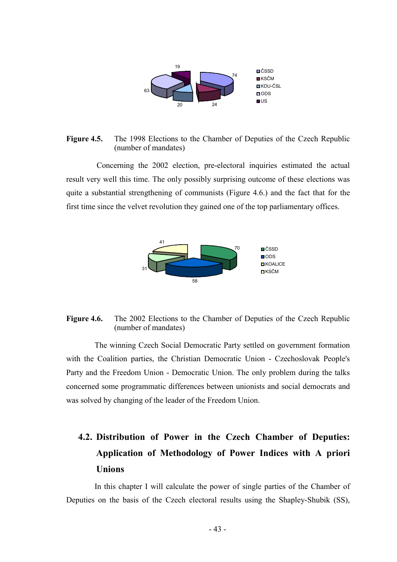

#### Figure 4.5. The 1998 Elections to the Chamber of Deputies of the Czech Republic (number of mandates)

 Concerning the 2002 election, pre-electoral inquiries estimated the actual result very well this time. The only possibly surprising outcome of these elections was quite a substantial strengthening of communists (Figure 4.6.) and the fact that for the first time since the velvet revolution they gained one of the top parliamentary offices.



### **Figure 4.6.** The 2002 Elections to the Chamber of Deputies of the Czech Republic (number of mandates)

The winning Czech Social Democratic Party settled on government formation with the Coalition parties, the Christian Democratic Union - Czechoslovak People's Party and the Freedom Union - Democratic Union. The only problem during the talks concerned some programmatic differences between unionists and social democrats and was solved by changing of the leader of the Freedom Union.

# **4.2. Distribution of Power in the Czech Chamber of Deputies: Application of Methodology of Power Indices with A priori Unions**

In this chapter I will calculate the power of single parties of the Chamber of Deputies on the basis of the Czech electoral results using the Shapley-Shubik (SS),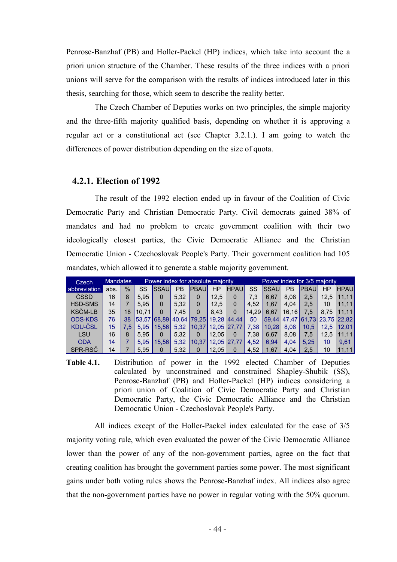Penrose-Banzhaf (PB) and Holler-Packel (HP) indices, which take into account the a priori union structure of the Chamber. These results of the three indices with a priori unions will serve for the comparison with the results of indices introduced later in this thesis, searching for those, which seem to describe the reality better.

The Czech Chamber of Deputies works on two principles, the simple majority and the three-fifth majority qualified basis, depending on whether it is approving a regular act or a constitutional act (see Chapter 3.2.1.). I am going to watch the differences of power distribution depending on the size of quota.

#### **4.2.1. Election of 1992**

The result of the 1992 election ended up in favour of the Coalition of Civic Democratic Party and Christian Democratic Party. Civil democrats gained 38% of mandates and had no problem to create government coalition with their two ideologically closest parties, the Civic Democratic Alliance and the Christian Democratic Union - Czechoslovak People's Party. Their government coalition had 105 mandates, which allowed it to generate a stable majority government.

| Czech,         | <b>Mandates</b> |      |       |             |      | Power index for absolute majority |       |             |       |               |           | Power index for 3/5 majority  |      |             |
|----------------|-----------------|------|-------|-------------|------|-----------------------------------|-------|-------------|-------|---------------|-----------|-------------------------------|------|-------------|
| abbreviation   | abs.            | $\%$ | SS    | <b>SSAU</b> | PВ   | <b>PBAU</b>                       | ΗP    | <b>HPAU</b> | SS    | <b>ISSAUI</b> | <b>PB</b> | <b>PBAU</b>                   | ΗP   | <b>HPAU</b> |
| ČSSD           | 16              | 8    | 5.95  |             | 5.32 | 0                                 | 12.5  |             | 7.3   | 6.67          | 8.08      | 2,5                           | 12.5 | 11.11       |
| <b>HSD-SMS</b> | 14              | 7    | 5.95  |             | 5.32 | 0                                 | 12.5  | 0           | 4.52  | 1.67          | 4.04      | $2.5\,$                       | 10   | 11.11       |
| <b>KSČM-LB</b> | 35              | 18   | 10.71 |             | 7.45 | 0                                 | 8.43  | $\Omega$    | 14.29 | 6.67          | 16.16     | 7.5                           | 8.75 | 11.11       |
| <b>ODS-KDS</b> | 76              | 38   |       | 53.57 68.89 |      | $140.64$ 79.25                    |       | 19.28 44.44 | 50    |               |           | 59,44 47,47 61,73 23,75 22,82 |      |             |
| <b>KDU-ČSL</b> | 15              | 7.5  | 5.95  | 15.56       | 5.32 | 10.37                             |       | 12,05 27,77 | 7,38  | 10.28         | 8.08      | 10.5                          | 12.5 | 12.01       |
| LSU            | 16              | 8    | 5.95  |             | 5.32 | 0                                 | 12.05 | 0           | 7,38  | 6.67          | 8.08      | 7.5                           | 12.5 | 11.11       |
| <b>ODA</b>     | 14              |      | 5.95  | 15.56       | 5.32 | 10.37                             |       | 12,05 27,77 | 4.52  | 6.94          | 4.04      | 5.25                          | 10   | 9.61        |
| SPR-RSČ        | 14              |      | 5.95  |             | 5,32 | 0                                 | 12.05 | 0           | 4,52  | 1.67          | 4.04      | $2.5\,$                       | 10   | 11.11       |

**Table 4.1.** Distribution of power in the 1992 elected Chamber of Deputies calculated by unconstrained and constrained Shapley-Shubik (SS), Penrose-Banzhaf (PB) and Holler-Packel (HP) indices considering a priori union of Coalition of Civic Democratic Party and Christian Democratic Party, the Civic Democratic Alliance and the Christian Democratic Union - Czechoslovak People's Party.

All indices except of the Holler-Packel index calculated for the case of 3/5 majority voting rule, which even evaluated the power of the Civic Democratic Alliance lower than the power of any of the non-government parties, agree on the fact that creating coalition has brought the government parties some power. The most significant gains under both voting rules shows the Penrose-Banzhaf index. All indices also agree that the non-government parties have no power in regular voting with the 50% quorum.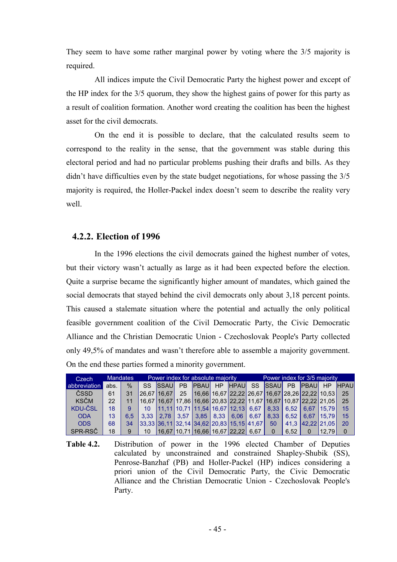They seem to have some rather marginal power by voting where the 3/5 majority is required.

All indices impute the Civil Democratic Party the highest power and except of the HP index for the 3/5 quorum, they show the highest gains of power for this party as a result of coalition formation. Another word creating the coalition has been the highest asset for the civil democrats.

On the end it is possible to declare, that the calculated results seem to correspond to the reality in the sense, that the government was stable during this electoral period and had no particular problems pushing their drafts and bills. As they didn't have difficulties even by the state budget negotiations, for whose passing the 3/5 majority is required, the Holler-Packel index doesn't seem to describe the reality very well.

# **4.2.2. Election of 1996**

In the 1996 elections the civil democrats gained the highest number of votes, but their victory wasn't actually as large as it had been expected before the election. Quite a surprise became the significantly higher amount of mandates, which gained the social democrats that stayed behind the civil democrats only about 3,18 percent points. This caused a stalemate situation where the potential and actually the only political feasible government coalition of the Civil Democratic Party, the Civic Democratic Alliance and the Christian Democratic Union - Czechoslovak People's Party collected only 49,5% of mandates and wasn't therefore able to assemble a majority government. On the end these parties formed a minority government.

| Czech        |      | <b>Mandates</b> |                 |               |           | Power index for absolute majority |           |                                               |           | Power index for 3/5 majority                                                          |      |              |            |             |
|--------------|------|-----------------|-----------------|---------------|-----------|-----------------------------------|-----------|-----------------------------------------------|-----------|---------------------------------------------------------------------------------------|------|--------------|------------|-------------|
| abbreviation | abs. | $\%$            | SS.             | <b>SSAU</b>   | <b>PB</b> | <b>PBAUL</b>                      | <b>HP</b> | <b>HPAU</b>                                   | <b>SS</b> | <b>SSAUL</b>                                                                          | PB   | <b>PBAUL</b> | HP         | <b>HPAU</b> |
| ČSSD         | 61   | 31              | 26.67 16.67     |               | 25        |                                   |           |                                               |           | $16,66$ 16,67 22,22 26,67 16,67 28,26 22,22 10,53                                     |      |              |            | 25          |
| KSČM         | 22   |                 |                 |               |           |                                   |           |                                               |           | 16,67   16,67   17,86   16,66   20,83   22,22   11,67   16,67   10,87   22,22   21,05 |      |              |            | 25          |
| KDU-ČSL      | 18   | 9               | 10              |               |           |                                   |           |                                               |           | 11.11 10.71 11.54 16.67 12.13 6.67 8.33                                               | 6.52 |              | 6.67 15.79 | 15          |
| <b>ODA</b>   | 13   | 6.5             |                 | $3.33$   2.78 |           |                                   |           | $3,57$   3,85   8,33   6,06   6,67            |           | 8.33                                                                                  | 6.52 | 6.67         | 115.791    | 15          |
| <b>ODS</b>   | 68   | 34              |                 |               |           |                                   |           | $ 33,33 36,11 32,14 34,62 20,83 15,15 41,67 $ |           | 50                                                                                    | 41.3 | 42.22 21.05  |            | 20          |
| SPR-RSČ      | 18   | 9               | 10 <sup>°</sup> |               |           |                                   |           | $16,67$ 10,71 16,66 16,67 22,22 6,67          |           | $\Omega$                                                                              | 6.52 |              | 12.79      | $\Omega$    |

**Table 4.2.** Distribution of power in the 1996 elected Chamber of Deputies calculated by unconstrained and constrained Shapley-Shubik (SS), Penrose-Banzhaf (PB) and Holler-Packel (HP) indices considering a priori union of the Civil Democratic Party, the Civic Democratic Alliance and the Christian Democratic Union - Czechoslovak People's Party.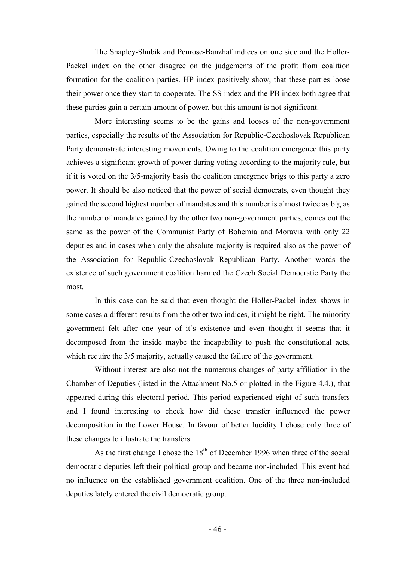The Shapley-Shubik and Penrose-Banzhaf indices on one side and the Holler-Packel index on the other disagree on the judgements of the profit from coalition formation for the coalition parties. HP index positively show, that these parties loose their power once they start to cooperate. The SS index and the PB index both agree that these parties gain a certain amount of power, but this amount is not significant.

More interesting seems to be the gains and looses of the non-government parties, especially the results of the Association for Republic-Czechoslovak Republican Party demonstrate interesting movements. Owing to the coalition emergence this party achieves a significant growth of power during voting according to the majority rule, but if it is voted on the 3/5-majority basis the coalition emergence brigs to this party a zero power. It should be also noticed that the power of social democrats, even thought they gained the second highest number of mandates and this number is almost twice as big as the number of mandates gained by the other two non-government parties, comes out the same as the power of the Communist Party of Bohemia and Moravia with only 22 deputies and in cases when only the absolute majority is required also as the power of the Association for Republic-Czechoslovak Republican Party. Another words the existence of such government coalition harmed the Czech Social Democratic Party the most.

In this case can be said that even thought the Holler-Packel index shows in some cases a different results from the other two indices, it might be right. The minority government felt after one year of it's existence and even thought it seems that it decomposed from the inside maybe the incapability to push the constitutional acts, which require the  $3/5$  majority, actually caused the failure of the government.

Without interest are also not the numerous changes of party affiliation in the Chamber of Deputies (listed in the Attachment No.5 or plotted in the Figure 4.4.), that appeared during this electoral period. This period experienced eight of such transfers and I found interesting to check how did these transfer influenced the power decomposition in the Lower House. In favour of better lucidity I chose only three of these changes to illustrate the transfers.

As the first change I chose the  $18<sup>th</sup>$  of December 1996 when three of the social democratic deputies left their political group and became non-included. This event had no influence on the established government coalition. One of the three non-included deputies lately entered the civil democratic group.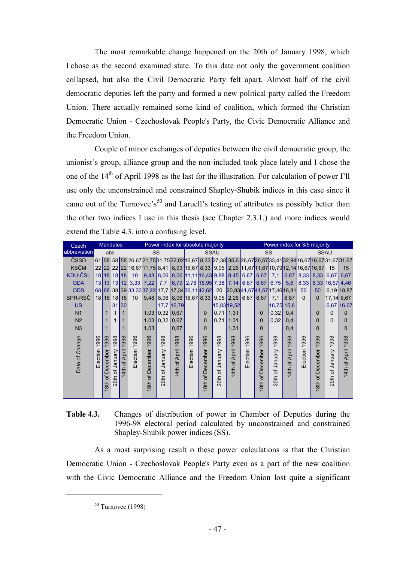The most remarkable change happened on the 20th of January 1998, which I chose as the second examined state. To this date not only the government coalition collapsed, but also the Civil Democratic Party felt apart. Almost half of the civil democratic deputies left the party and formed a new political party called the Freedom Union. There actually remained some kind of coalition, which formed the Christian Democratic Union - Czechoslovak People's Party, the Civic Democratic Alliance and the Freedom Union.

Couple of minor exchanges of deputies between the civil democratic group, the unionist's group, alliance group and the non-included took place lately and I chose the one of the 14th of April 1998 as the last for the illustration. For calculation of power I'll use only the unconstrained and constrained Shapley-Shubik indices in this case since it came out of the Turnovec's<sup>50</sup> and Laruell's testing of attributes as possibly better than the other two indices I use in this thesis (see Chapter 2.3.1.) and more indices would extend the Table 4.3. into a confusing level.

| Czech          |                                |                               | <b>Mandates</b>         |                         |                           |                                 |                                                                            |                                       | Power index for absolute majority              |                          |                             |                                          |                                             |                                                        |                                                                 |                         |                      | Power index for 3/5 majority                                                                              |                                              |                          |
|----------------|--------------------------------|-------------------------------|-------------------------|-------------------------|---------------------------|---------------------------------|----------------------------------------------------------------------------|---------------------------------------|------------------------------------------------|--------------------------|-----------------------------|------------------------------------------|---------------------------------------------|--------------------------------------------------------|-----------------------------------------------------------------|-------------------------|----------------------|-----------------------------------------------------------------------------------------------------------|----------------------------------------------|--------------------------|
| abbreviation   |                                | abs.                          |                         |                         |                           | <b>SS</b>                       |                                                                            |                                       |                                                | <b>SSAU</b>              |                             |                                          |                                             |                                                        | SS                                                              |                         |                      | <b>SSAU</b>                                                                                               |                                              |                          |
| ČSSD           |                                |                               |                         |                         |                           |                                 |                                                                            |                                       |                                                |                          |                             |                                          |                                             |                                                        |                                                                 |                         |                      | 61 58 58 58 26,67 21,75 31,75 32,02 16,67 8,33 27,38 35,6 26,67 26,67 33,41 32,94 16,67 16,67 31,67 31,67 |                                              |                          |
| <b>KSČM</b>    |                                |                               |                         |                         |                           |                                 |                                                                            |                                       |                                                |                          |                             |                                          |                                             |                                                        |                                                                 |                         |                      | 22 22 22 22 16,67 11,75 8,41 8,93 16,67 8,33 9,05 2,26 11,67 11,67 10,79 12,14 16,67 16,67                | 15                                           | 15                       |
| KDU-ČSL        |                                |                               | 18 18 18 18             |                         | 10 <sup>°</sup>           |                                 |                                                                            |                                       | 9.48 8.06 8.06 11,11 16,43 9.88 8.45 6.67 6.67 |                          |                             |                                          |                                             |                                                        | 7,1                                                             | 6,87                    |                      | $8,33$   $8,33$   $6,67$                                                                                  |                                              | 6.67                     |
| <b>ODA</b>     |                                |                               | 13 13 13 12             |                         | 3,33                      | 7,22                            | 7,7                                                                        |                                       | 6.79 2.78 15.95 7.38 7.14 6.67                 |                          |                             |                                          |                                             | 6,67                                                   | 6,75                                                            | 5,6                     | 8,33                 | 8,33                                                                                                      | $ 16,67 $ 4,46                               |                          |
| <b>ODS</b>     |                                |                               |                         |                         | 68 68 38 39 33, 33 37, 22 |                                 |                                                                            |                                       | 17,7 17,34 36,11 42,62                         |                          |                             |                                          |                                             |                                                        | 20 20,8341,6741,67 17,46 18,81                                  |                         | 50                   | 50                                                                                                        | 6,19 18,87                                   |                          |
| SPR-RSČ        |                                |                               | 18 18 18 18             |                         | 10 <sup>°</sup>           | 9,48                            |                                                                            |                                       | 8,06 8,06 16,67 8,33 9,05 2,26 6,67            |                          |                             |                                          |                                             | 6,67                                                   | 7,1                                                             | 6,87                    | $\Omega$             | $\Omega$                                                                                                  | $17,14$ 6.67                                 |                          |
| <b>US</b>      |                                |                               | 31                      | 30                      |                           |                                 |                                                                            | 17,7 16,79                            |                                                |                          |                             | 15,83 19,52                              |                                             |                                                        | 16,75 15,6                                                      |                         |                      |                                                                                                           |                                              | 6,67 16,67               |
| N <sub>1</sub> |                                |                               |                         |                         |                           | 1,03                            | 0,32                                                                       | 0,67                                  |                                                | $\Omega$                 | $0,71$ 1,31                 |                                          |                                             | 0                                                      | 0,32                                                            | 0,4                     |                      | $\Omega$                                                                                                  | 0                                            |                          |
| N <sub>2</sub> |                                |                               |                         |                         |                           | 1,03                            | 0,32                                                                       | 0,67                                  |                                                | $\mathbf{0}$             | 0,71                        | 1,31                                     |                                             | 0                                                      | 0,32                                                            | 0,4                     |                      | 0                                                                                                         | $\Omega$                                     |                          |
| N <sub>3</sub> |                                |                               |                         |                         |                           | 1,03                            |                                                                            | 0,67                                  |                                                | $\mathbf 0$              |                             | 1,31                                     |                                             | 0                                                      |                                                                 | 0,4                     |                      | 0                                                                                                         |                                              |                          |
| Date of Change | 996<br>$\tilde{ }$<br>Election | 1996<br>December<br>ិ<br>18th | 1998<br>20th of January | 1998<br>April<br>4th of | 996<br>╤<br>Election      | 996<br>ᆕ<br>December<br>18th of | 998<br>$\overline{\phantom{0}}$<br>Vienuary<br>$\overline{\sigma}$<br>20th | 998<br>$\tilde{ }$<br>April<br>4th of | 996<br>$\overline{\phantom{0}}$<br>Election    | 1996<br>18th of December | 998<br>╤<br>20th of January | 998<br>$\tilde{ }$<br>April<br>Ⴆ.<br>4th | 996<br>$\overline{\phantom{0}}$<br>Election | 996<br>$\overline{\phantom{0}}$<br>December<br>18th of | 998<br>$\overline{ }$<br>Vienuel<br>$\overline{\sigma}$<br>20th | 1998<br>April<br>4th of | 996<br>╤<br>Election | 996<br>$\overline{\phantom{0}}$<br>December<br>18th of                                                    | 998<br>$\overline{ }$<br>Vienuary<br>20th of | 998<br>April<br>৳<br>4th |

#### **Table 4.3.** Changes of distribution of power in Chamber of Deputies during the 1996-98 electoral period calculated by unconstrained and constrained Shapley-Shubik power indices (SS).

As a most surprising result o these power calculations is that the Christian Democratic Union - Czechoslovak People's Party even as a part of the new coalition with the Civic Democratic Alliance and the Freedom Union lost quite a significant

 $50$  Turnovec (1998)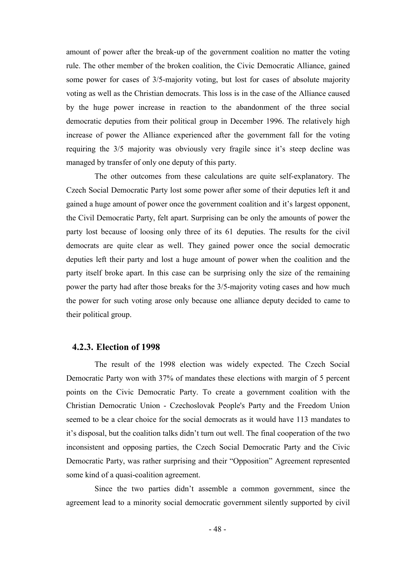amount of power after the break-up of the government coalition no matter the voting rule. The other member of the broken coalition, the Civic Democratic Alliance, gained some power for cases of 3/5-majority voting, but lost for cases of absolute majority voting as well as the Christian democrats. This loss is in the case of the Alliance caused by the huge power increase in reaction to the abandonment of the three social democratic deputies from their political group in December 1996. The relatively high increase of power the Alliance experienced after the government fall for the voting requiring the 3/5 majority was obviously very fragile since it's steep decline was managed by transfer of only one deputy of this party.

The other outcomes from these calculations are quite self-explanatory. The Czech Social Democratic Party lost some power after some of their deputies left it and gained a huge amount of power once the government coalition and it's largest opponent, the Civil Democratic Party, felt apart. Surprising can be only the amounts of power the party lost because of loosing only three of its 61 deputies. The results for the civil democrats are quite clear as well. They gained power once the social democratic deputies left their party and lost a huge amount of power when the coalition and the party itself broke apart. In this case can be surprising only the size of the remaining power the party had after those breaks for the 3/5-majority voting cases and how much the power for such voting arose only because one alliance deputy decided to came to their political group.

#### **4.2.3. Election of 1998**

The result of the 1998 election was widely expected. The Czech Social Democratic Party won with 37% of mandates these elections with margin of 5 percent points on the Civic Democratic Party. To create a government coalition with the Christian Democratic Union - Czechoslovak People's Party and the Freedom Union seemed to be a clear choice for the social democrats as it would have 113 mandates to it's disposal, but the coalition talks didn't turn out well. The final cooperation of the two inconsistent and opposing parties, the Czech Social Democratic Party and the Civic Democratic Party, was rather surprising and their "Opposition" Agreement represented some kind of a quasi-coalition agreement.

Since the two parties didn't assemble a common government, since the agreement lead to a minority social democratic government silently supported by civil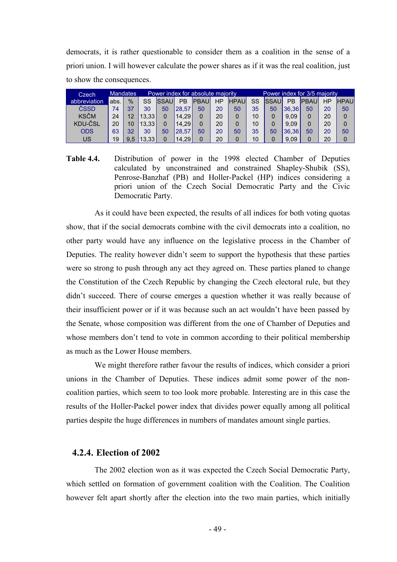democrats, it is rather questionable to consider them as a coalition in the sense of a priori union. I will however calculate the power shares as if it was the real coalition, just to show the consequences.

| Czech        |      | Mandates      |       |              |                    | Power index for absolute majority |    |             |    |              |       | Power index for 3/5 majority |    |             |
|--------------|------|---------------|-------|--------------|--------------------|-----------------------------------|----|-------------|----|--------------|-------|------------------------------|----|-------------|
| abbreviation | abs. | $\frac{0}{2}$ | SS    | <b>ISSAU</b> | РB                 | <b>PBAU</b>                       | ΗP | <b>HPAU</b> | SS | <b>ISSAU</b> | РB    | <b>PBAU</b>                  | НP | <b>HPAU</b> |
| ČSSD         | 74   | 37            | 30    | 50           | 28.57              | 50                                | 20 | 50          | 35 | 50           | 36.36 | 50                           | 20 | 50          |
| <b>KSČM</b>  | 24   | 12            | 13.33 | 0            | 14.29              |                                   | 20 | 0           | 10 |              | 9.09  |                              | 20 |             |
| KDU-ČSL      | 20   |               | 13.33 | 0            | 14.29              |                                   | 20 | 0           | 10 |              | 9.09  |                              | 20 |             |
| <b>ODS</b>   | 63   | 32            | 30    | 50           | 28.57              | 50                                | 20 | 50          | 35 | 50           | 36.36 | 50                           | 20 | 50          |
| US           | 19   | 9,5           | 13.33 | 0            | 14.29 <sub>1</sub> |                                   | 20 | 0           | 10 |              | 9.09  |                              | 20 |             |

**Table 4.4.** Distribution of power in the 1998 elected Chamber of Deputies calculated by unconstrained and constrained Shapley-Shubik (SS), Penrose-Banzhaf (PB) and Holler-Packel (HP) indices considering a priori union of the Czech Social Democratic Party and the Civic Democratic Party.

As it could have been expected, the results of all indices for both voting quotas show, that if the social democrats combine with the civil democrats into a coalition, no other party would have any influence on the legislative process in the Chamber of Deputies. The reality however didn't seem to support the hypothesis that these parties were so strong to push through any act they agreed on. These parties planed to change the Constitution of the Czech Republic by changing the Czech electoral rule, but they didn't succeed. There of course emerges a question whether it was really because of their insufficient power or if it was because such an act wouldn't have been passed by the Senate, whose composition was different from the one of Chamber of Deputies and whose members don't tend to vote in common according to their political membership as much as the Lower House members.

We might therefore rather favour the results of indices, which consider a priori unions in the Chamber of Deputies. These indices admit some power of the noncoalition parties, which seem to too look more probable. Interesting are in this case the results of the Holler-Packel power index that divides power equally among all political parties despite the huge differences in numbers of mandates amount single parties.

#### **4.2.4. Election of 2002**

The 2002 election won as it was expected the Czech Social Democratic Party, which settled on formation of government coalition with the Coalition. The Coalition however felt apart shortly after the election into the two main parties, which initially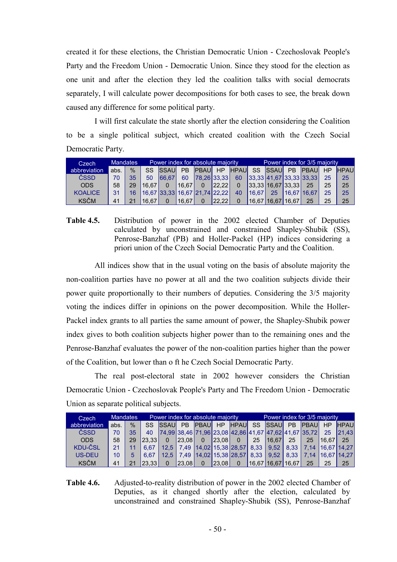created it for these elections, the Christian Democratic Union - Czechoslovak People's Party and the Freedom Union - Democratic Union. Since they stood for the election as one unit and after the election they led the coalition talks with social democrats separately, I will calculate power decompositions for both cases to see, the break down caused any difference for some political party.

I will first calculate the state shortly after the election considering the Coalition to be a single political subject, which created coalition with the Czech Social Democratic Party.

| Czech          |      | <b>Mandates</b> |                                       | Power index for absolute majority |                |             |       |             |           |                       |                | Power index for 3/5 majority |    |             |
|----------------|------|-----------------|---------------------------------------|-----------------------------------|----------------|-------------|-------|-------------|-----------|-----------------------|----------------|------------------------------|----|-------------|
| abbreviation   | abs. | $\frac{0}{0}$   | <b>SS</b>                             | <b>ISSAUL</b>                     | P <sub>B</sub> | <b>PBAU</b> | HP    | <b>HPAU</b> | <b>SS</b> | <b>SSAU</b>           | P <sub>B</sub> | <b>PBAU</b>                  | HP | <b>HPAU</b> |
| ČSSD           | 70   | 35              | 50                                    | 66.67                             | 60             | 78.26 33.33 |       | 60          |           |                       |                | 33.33 41.67 33.33 33.33      | 25 | 25          |
| <b>ODS</b>     | 58   | 29              | 16.67                                 |                                   | 16.67          | $\Omega$    | 22.22 | $\Omega$    |           | 33.33 16.67 33.33     |                | 25                           | 25 | 25          |
| <b>KOALICE</b> | 31   | 16              | 16.67   33.33   16.67   21.74   22.22 |                                   |                |             |       | 40          | 16.67     | 25                    |                | 16.67   16.67                | 25 | 25          |
| <b>KSČM</b>    | 41   |                 | 16.67                                 |                                   | '16.67         |             | 22.22 |             |           | 16.67   16.67   16.67 |                | 25 <sub>1</sub>              | 25 | 25          |

**Table 4.5.** Distribution of power in the 2002 elected Chamber of Deputies calculated by unconstrained and constrained Shapley-Shubik (SS), Penrose-Banzhaf (PB) and Holler-Packel (HP) indices considering a priori union of the Czech Social Democratic Party and the Coalition.

All indices show that in the usual voting on the basis of absolute majority the non-coalition parties have no power at all and the two coalition subjects divide their power quite proportionally to their numbers of deputies. Considering the 3/5 majority voting the indices differ in opinions on the power decomposition. While the Holler-Packel index grants to all parties the same amount of power, the Shapley-Shubik power index gives to both coalition subjects higher power than to the remaining ones and the Penrose-Banzhaf evaluates the power of the non-coalition parties higher than the power of the Coalition, but lower than o ft he Czech Social Democratic Party.

The real post-electoral state in 2002 however considers the Christian Democratic Union - Czechoslovak People's Party and The Freedom Union - Democratic Union as separate political subjects.

| Czech         |      | Mandates      |        |                |                | Power index for absolute majority          |                        |                |           |                       |                | Power index for 3/5 majority                  |       |             |
|---------------|------|---------------|--------|----------------|----------------|--------------------------------------------|------------------------|----------------|-----------|-----------------------|----------------|-----------------------------------------------|-------|-------------|
| abbreviation  | abs. | $\frac{0}{6}$ | SS.    | <b>ISSAUL</b>  | P <sub>B</sub> | <b>PBAUL</b>                               | H <sub>P</sub>         | <b>HPAU</b>    | <b>SS</b> | <b>SSAU</b>           | P <sub>B</sub> | <b>PBAU</b>                                   | HP    | <b>HPAU</b> |
| ČSSD          | 70   | 35            | 40     |                |                |                                            |                        |                |           |                       |                | 24.9938.4671.9623.0842.8641.6747.6241.6735.72 | 25    | 21.43       |
| <b>ODS</b>    | 58   | 29            | 23.33  |                | 23.08          | $\Omega$                                   | 23.08                  | $\overline{0}$ | 25        | 16.67                 | 25             | 25                                            | 16.67 | 25          |
| KDU-ČSL       | 21   |               | 6.67   | 12.5           |                | 7,49   14,02   15,38   28,57   8,33   9,52 |                        |                |           |                       |                | 8.33   7.14   16.67   14.27                   |       |             |
| <b>US-DEU</b> | 10   |               | 6.67   | $12.5^{\circ}$ | 7.49           |                                            | 14,02 15,38 28,57 8,33 |                |           | 9.52                  | 8.33           | 7.14                                          |       | 16.67 14.27 |
| <b>KSČM</b>   | 41   |               | 123.33 |                | 23.08          | $\Omega$                                   | 23.08                  | $\mathbf{0}$   |           | 16.67   16.67   16.67 |                | 25                                            | 25    | 25          |

**Table 4.6.** Adjusted-to-reality distribution of power in the 2002 elected Chamber of Deputies, as it changed shortly after the election, calculated by unconstrained and constrained Shapley-Shubik (SS), Penrose-Banzhaf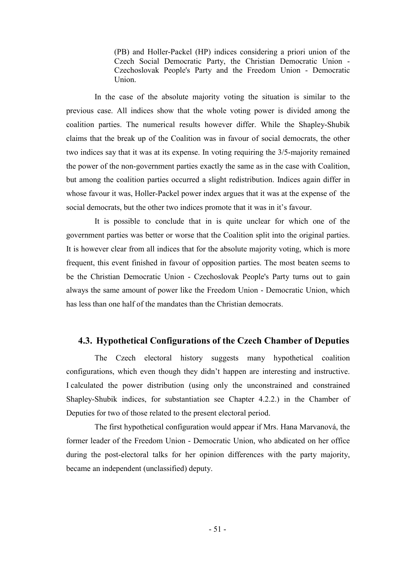(PB) and Holler-Packel (HP) indices considering a priori union of the Czech Social Democratic Party, the Christian Democratic Union - Czechoslovak People's Party and the Freedom Union - Democratic Union.

In the case of the absolute majority voting the situation is similar to the previous case. All indices show that the whole voting power is divided among the coalition parties. The numerical results however differ. While the Shapley-Shubik claims that the break up of the Coalition was in favour of social democrats, the other two indices say that it was at its expense. In voting requiring the 3/5-majority remained the power of the non-government parties exactly the same as in the case with Coalition, but among the coalition parties occurred a slight redistribution. Indices again differ in whose favour it was, Holler-Packel power index argues that it was at the expense of the social democrats, but the other two indices promote that it was in it's favour.

It is possible to conclude that in is quite unclear for which one of the government parties was better or worse that the Coalition split into the original parties. It is however clear from all indices that for the absolute majority voting, which is more frequent, this event finished in favour of opposition parties. The most beaten seems to be the Christian Democratic Union - Czechoslovak People's Party turns out to gain always the same amount of power like the Freedom Union - Democratic Union, which has less than one half of the mandates than the Christian democrats.

# **4.3. Hypothetical Configurations of the Czech Chamber of Deputies**

The Czech electoral history suggests many hypothetical coalition configurations, which even though they didn't happen are interesting and instructive. I calculated the power distribution (using only the unconstrained and constrained Shapley-Shubik indices, for substantiation see Chapter 4.2.2.) in the Chamber of Deputies for two of those related to the present electoral period.

The first hypothetical configuration would appear if Mrs. Hana Marvanová, the former leader of the Freedom Union - Democratic Union, who abdicated on her office during the post-electoral talks for her opinion differences with the party majority, became an independent (unclassified) deputy.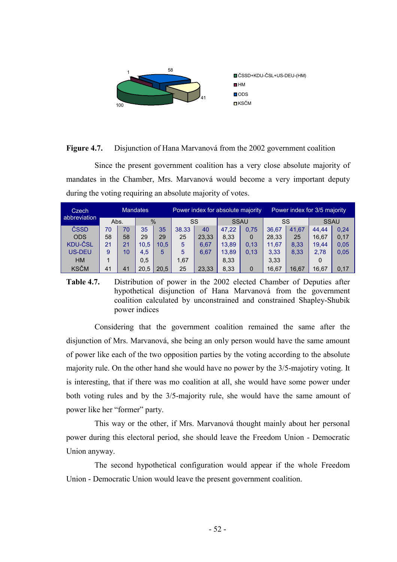

#### **Figure 4.7.** Disjunction of Hana Marvanová from the 2002 government coalition

Since the present government coalition has a very close absolute majority of mandates in the Chamber, Mrs. Marvanová would become a very important deputy during the voting requiring an absolute majority of votes.

| Czech          |      |    | <b>Mandates</b> |                |       |       | Power index for absolute majority |             |       |       | Power index for 3/5 majority |      |
|----------------|------|----|-----------------|----------------|-------|-------|-----------------------------------|-------------|-------|-------|------------------------------|------|
| abbreviation   | Abs. |    | $\frac{0}{0}$   |                | SS    |       | SSAU                              |             | SS    |       | <b>SSAU</b>                  |      |
| ČSSD           | 70   | 70 | 35              | 35             | 38.33 | 40    | 47,22                             | 0,75        | 36.67 | 41.67 | 44.44                        | 0,24 |
| <b>ODS</b>     | 58   | 58 | 29              | 29             | 25    | 23.33 | 8.33                              | $\mathbf 0$ | 28.33 | 25    | 16.67                        | 0,17 |
| <b>KDU-ČSL</b> | 21   | 21 | 10.5            | $10.5^{\circ}$ | 5     | 6.67  | 13,89                             | 0.13        | 11.67 | 8.33  | 19.44                        | 0,05 |
| <b>US-DEU</b>  | 9    | 10 | 4,5             | 5              | 5     | 6.67  | 13,89                             | 0.13        | 3,33  | 8,33  | 2,78                         | 0,05 |
| <b>HM</b>      |      |    | 0,5             |                | 1.67  |       | 8,33                              |             | 3,33  |       | 0                            |      |
| <b>KSČM</b>    | 41   | 41 | 20,5            | 20.5           | 25    | 23.33 | 8,33                              | $\mathbf 0$ | 16,67 | 16.67 | 16,67                        | 0,17 |

**Table 4.7.** Distribution of power in the 2002 elected Chamber of Deputies after hypothetical disjunction of Hana Marvanová from the government coalition calculated by unconstrained and constrained Shapley-Shubik power indices

Considering that the government coalition remained the same after the disjunction of Mrs. Marvanová, she being an only person would have the same amount of power like each of the two opposition parties by the voting according to the absolute majority rule. On the other hand she would have no power by the 3/5-majotiry voting. It is interesting, that if there was mo coalition at all, she would have some power under both voting rules and by the 3/5-majority rule, she would have the same amount of power like her "former" party.

This way or the other, if Mrs. Marvanová thought mainly about her personal power during this electoral period, she should leave the Freedom Union - Democratic Union anyway.

The second hypothetical configuration would appear if the whole Freedom Union - Democratic Union would leave the present government coalition.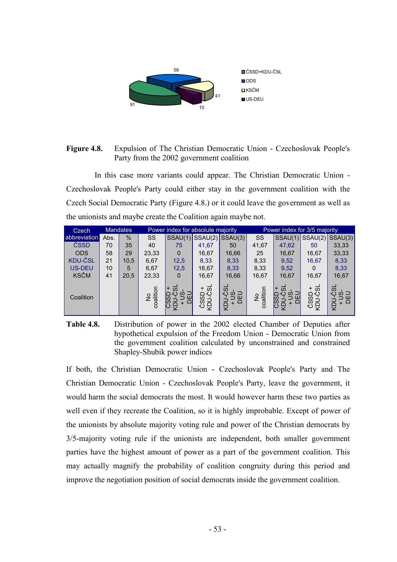

#### **Figure 4.8.** Expulsion of The Christian Democratic Union - Czechoslovak People's Party from the 2002 government coalition

In this case more variants could appear. The Christian Democratic Union - Czechoslovak People's Party could either stay in the government coalition with the Czech Social Democratic Party (Figure 4.8.) or it could leave the government as well as the unionists and maybe create the Coalition again maybe not.

| Czech          |      | <b>Mandates</b> |                 | Power index for absolute majority           |                                             |                            |                 | Power index for 3/5 majority       |                                      |                           |
|----------------|------|-----------------|-----------------|---------------------------------------------|---------------------------------------------|----------------------------|-----------------|------------------------------------|--------------------------------------|---------------------------|
| abbreviation   | Abs. | $\%$            | SS              |                                             |                                             | $SSAU(1)$ SSAU(2) SSAU(3)  | SS              |                                    |                                      | $SSAU(1)$ SSAU(2) SSAU(3) |
| ČSSD           | 70   | 35              | 40              | 75                                          | 41,67                                       | 50                         | 41,67           | 47,62                              | 50                                   | 33,33                     |
| <b>ODS</b>     | 58   | 29              | 23,33           | $\Omega$                                    | 16,67                                       | 16,66                      | 25              | 16,67                              | 16,67                                | 33,33                     |
| <b>KDU-ČSL</b> | 21   | 10,5            | 6,67            | 12,5                                        | 8,33                                        | 8,33                       | 8,33            | 9,52                               | 16,67                                | 8,33                      |
| <b>US-DEU</b>  | 10   | 5               | 6,67            | 12,5                                        | 16,67                                       | 8,33                       | 8,33            | 9,52                               | 0                                    | 8,33                      |
| <b>KSČM</b>    | 41   | 20,5            | 23,33           | $\Omega$                                    | 16,67                                       | 16,66                      | 16,67           | 16,67                              | 16,67                                | 16,67                     |
| Coalition      |      |                 | No<br>coalition | $\overline{\omega}$<br>$\omega$<br>lЮ<br>lഗ | ್<br>$\pm$<br>∩∾<br>SSI<br><b>LON</b><br>ىٰ | ದ<br>≌ ≌<br>$\circ$<br>RDN | No<br>coalition | ದ<br>$\pm$<br>$\omega$<br>CSS<br>Ĝ | + ದ<br>ČSSD<br>COSD<br>COLL-Č<br>POY | ぁ<br>×۶<br>ω =<br>ה<br>ה  |

**Table 4.8.** Distribution of power in the 2002 elected Chamber of Deputies after hypothetical expulsion of the Freedom Union - Democratic Union from the government coalition calculated by unconstrained and constrained Shapley-Shubik power indices

If both, the Christian Democratic Union - Czechoslovak People's Party and The Christian Democratic Union - Czechoslovak People's Party, leave the government, it would harm the social democrats the most. It would however harm these two parties as well even if they recreate the Coalition, so it is highly improbable. Except of power of the unionists by absolute majority voting rule and power of the Christian democrats by 3/5-majority voting rule if the unionists are independent, both smaller government parties have the highest amount of power as a part of the government coalition. This may actually magnify the probability of coalition congruity during this period and improve the negotiation position of social democrats inside the government coalition.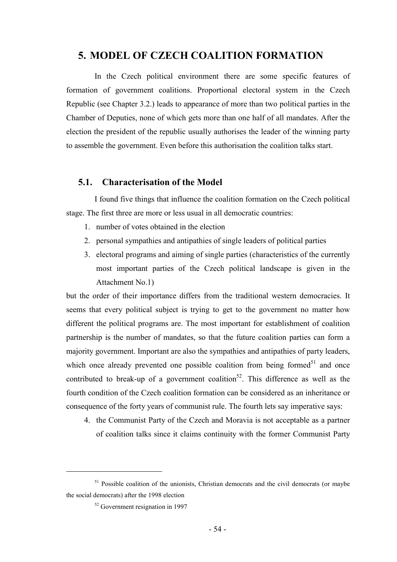# **5. MODEL OF CZECH COALITION FORMATION**

In the Czech political environment there are some specific features of formation of government coalitions. Proportional electoral system in the Czech Republic (see Chapter 3.2.) leads to appearance of more than two political parties in the Chamber of Deputies, none of which gets more than one half of all mandates. After the election the president of the republic usually authorises the leader of the winning party to assemble the government. Even before this authorisation the coalition talks start.

#### **5.1. Characterisation of the Model**

I found five things that influence the coalition formation on the Czech political stage. The first three are more or less usual in all democratic countries:

- 1. number of votes obtained in the election
- 2. personal sympathies and antipathies of single leaders of political parties
- 3. electoral programs and aiming of single parties (characteristics of the currently most important parties of the Czech political landscape is given in the Attachment No.1)

but the order of their importance differs from the traditional western democracies. It seems that every political subject is trying to get to the government no matter how different the political programs are. The most important for establishment of coalition partnership is the number of mandates, so that the future coalition parties can form a majority government. Important are also the sympathies and antipathies of party leaders, which once already prevented one possible coalition from being formed<sup>51</sup> and once contributed to break-up of a government coalition<sup>52</sup>. This difference as well as the fourth condition of the Czech coalition formation can be considered as an inheritance or consequence of the forty years of communist rule. The fourth lets say imperative says:

4. the Communist Party of the Czech and Moravia is not acceptable as a partner of coalition talks since it claims continuity with the former Communist Party

 $51$  Possible coalition of the unionists, Christian democrats and the civil democrats (or maybe the social democrats) after the 1998 election

<sup>52</sup> Government resignation in 1997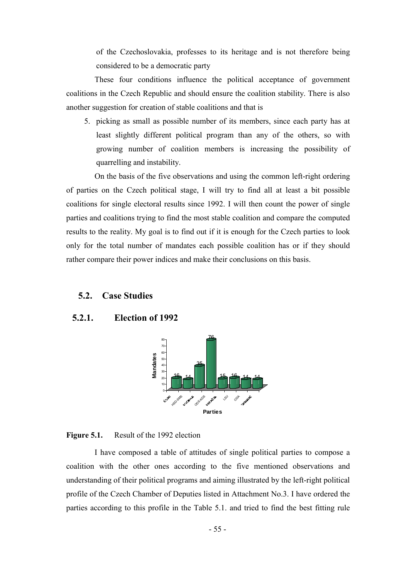of the Czechoslovakia, professes to its heritage and is not therefore being considered to be a democratic party

These four conditions influence the political acceptance of government coalitions in the Czech Republic and should ensure the coalition stability. There is also another suggestion for creation of stable coalitions and that is

5. picking as small as possible number of its members, since each party has at least slightly different political program than any of the others, so with growing number of coalition members is increasing the possibility of quarrelling and instability.

On the basis of the five observations and using the common left-right ordering of parties on the Czech political stage, I will try to find all at least a bit possible coalitions for single electoral results since 1992. I will then count the power of single parties and coalitions trying to find the most stable coalition and compare the computed results to the reality. My goal is to find out if it is enough for the Czech parties to look only for the total number of mandates each possible coalition has or if they should rather compare their power indices and make their conclusions on this basis.

#### **5.2. Case Studies**

#### **5.2.1. Election of 1992**



#### **Figure 5.1.** Result of the 1992 election

I have composed a table of attitudes of single political parties to compose a coalition with the other ones according to the five mentioned observations and understanding of their political programs and aiming illustrated by the left-right political profile of the Czech Chamber of Deputies listed in Attachment No.3. I have ordered the parties according to this profile in the Table 5.1. and tried to find the best fitting rule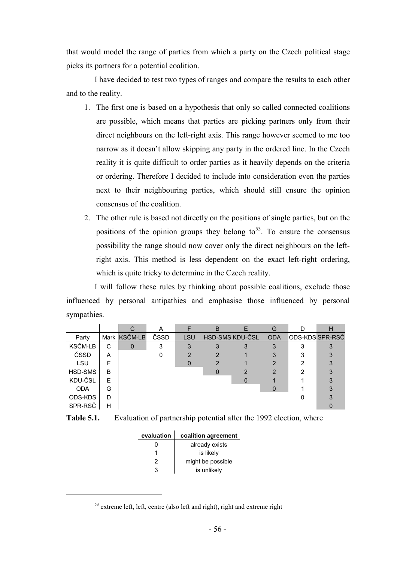that would model the range of parties from which a party on the Czech political stage picks its partners for a potential coalition.

I have decided to test two types of ranges and compare the results to each other and to the reality.

- 1. The first one is based on a hypothesis that only so called connected coalitions are possible, which means that parties are picking partners only from their direct neighbours on the left-right axis. This range however seemed to me too narrow as it doesn't allow skipping any party in the ordered line. In the Czech reality it is quite difficult to order parties as it heavily depends on the criteria or ordering. Therefore I decided to include into consideration even the parties next to their neighbouring parties, which should still ensure the opinion consensus of the coalition.
- 2. The other rule is based not directly on the positions of single parties, but on the positions of the opinion groups they belong to<sup>53</sup>. To ensure the consensus possibility the range should now cover only the direct neighbours on the leftright axis. This method is less dependent on the exact left-right ordering, which is quite tricky to determine in the Czech reality.

I will follow these rules by thinking about possible coalitions, exclude those influenced by personal antipathies and emphasise those influenced by personal sympathies.

|            |   |              | A    |            | B | F               | G          |   | Н               |
|------------|---|--------------|------|------------|---|-----------------|------------|---|-----------------|
| Party      |   | Mark KSČM-LB | ČSSD | <b>LSU</b> |   | HSD-SMS KDU-ČSL | <b>ODA</b> |   | ODS-KDS SPR-RSČ |
| KSČM-LB    | С | $\Omega$     | 3    | 3          | 3 | 3               | 3          |   | 3               |
| ČSSD       | A |              |      | 2          | 2 |                 | 3          |   | 3               |
| LSU        | F |              |      | $\Omega$   |   |                 | 2          | າ | 3               |
| HSD-SMS    | B |              |      |            | 0 |                 | 2          | າ | 3               |
| KDU-ČSL    | F |              |      |            |   |                 |            |   |                 |
| <b>ODA</b> | G |              |      |            |   |                 | 0          |   | 3               |
| ODS-KDS    | D |              |      |            |   |                 |            |   |                 |
| SPR-RSČ    | н |              |      |            |   |                 |            |   |                 |

**Table 5.1.** Evaluation of partnership potential after the 1992 election, where

| evaluation | coalition agreement |
|------------|---------------------|
| O          | already exists      |
|            | is likely           |
| 2          | might be possible   |
| 3          | is unlikely         |

 $53$  extreme left, left, centre (also left and right), right and extreme right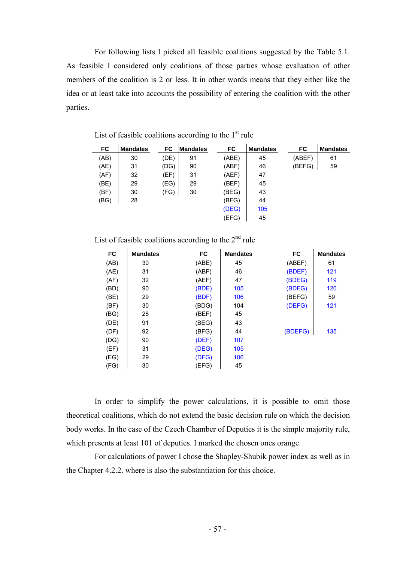For following lists I picked all feasible coalitions suggested by the Table 5.1. As feasible I considered only coalitions of those parties whose evaluation of other members of the coalition is 2 or less. It in other words means that they either like the idea or at least take into accounts the possibility of entering the coalition with the other parties.

| FC   | <b>Mandates</b> | FC   | <b>Mandates</b> | <b>FC</b> | <b>Mandates</b> | FC     | <b>Mandates</b> |
|------|-----------------|------|-----------------|-----------|-----------------|--------|-----------------|
| (AB) | 30              | (DE) | 91              | (ABE)     | 45              | (ABEF) | 61              |
| (AE) | 31              | (DG) | 90              | (ABF)     | 46              | (BEFG) | 59              |
| (AF) | 32              | (EF) | 31              | (AEF)     | 47              |        |                 |
| (BE) | 29              | (EG) | 29              | (BEF)     | 45              |        |                 |
| (BF) | 30              | (FG) | 30              | (BEG)     | 43              |        |                 |
| (BG) | 28              |      |                 | (BFG)     | 44              |        |                 |
|      |                 |      |                 | (DEG)     | 105             |        |                 |
|      |                 |      |                 | (EFG)     | 45              |        |                 |
|      |                 |      |                 |           |                 |        |                 |

List of feasible coalitions according to the  $1<sup>st</sup>$  rule  $\sim 10^7$ 

|  |  |  |  |  | List of feasible coalitions according to the $2nd$ rule |  |  |  |  |
|--|--|--|--|--|---------------------------------------------------------|--|--|--|--|
|--|--|--|--|--|---------------------------------------------------------|--|--|--|--|

| FC   | <b>Mandates</b> | FC    | <b>Mandates</b> | FC      | <b>Mandates</b> |
|------|-----------------|-------|-----------------|---------|-----------------|
| (AB) | 30              | (ABE) | 45              | (ABEF)  | 61              |
| (AE) | 31              | (ABF) | 46              | (BDEF)  | 121             |
| (AF) | 32              | (AEF) | 47              | (BDEG)  | 119             |
| (BD) | 90              | (BDE) | 105             | (BDFG)  | 120             |
| (BE) | 29              | (BDF) | 106             | (BEFG)  | 59              |
| (BF) | 30              | (BDG) | 104             | (DEFG)  | 121             |
| (BG) | 28              | (BEF) | 45              |         |                 |
| (DE) | 91              | (BEG) | 43              |         |                 |
| (DF) | 92              | (BFG) | 44              | (BDEFG) | 135             |
| (DG) | 90              | (DEF) | 107             |         |                 |
| (EF) | 31              | (DEG) | 105             |         |                 |
| (EG) | 29              | (DFG) | 106             |         |                 |
| (FG) | 30              | (EFG) | 45              |         |                 |

In order to simplify the power calculations, it is possible to omit those theoretical coalitions, which do not extend the basic decision rule on which the decision body works. In the case of the Czech Chamber of Deputies it is the simple majority rule, which presents at least 101 of deputies. I marked the chosen ones orange.

For calculations of power I chose the Shapley-Shubik power index as well as in the Chapter 4.2.2. where is also the substantiation for this choice.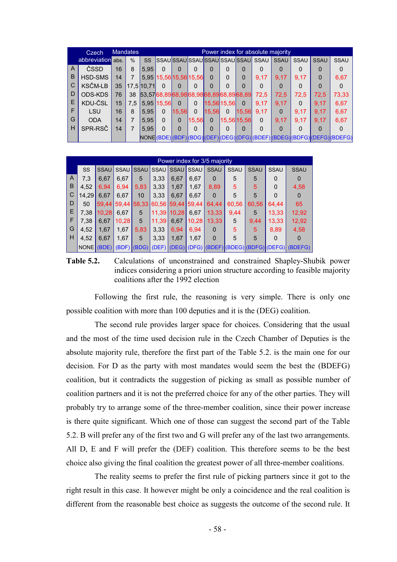|   | Czech             |    | <b>Mandates</b> |            | Power index for absolute majority |              |          |             |          |                                     |          |             |             |             |                                                                   |
|---|-------------------|----|-----------------|------------|-----------------------------------|--------------|----------|-------------|----------|-------------------------------------|----------|-------------|-------------|-------------|-------------------------------------------------------------------|
|   | abbreviation abs. |    | $\frac{0}{0}$   | SS         |                                   |              |          |             |          | SSAUSSAUSSAUSSAUSSAUSSAUSSAU        | SSAU     | <b>SSAU</b> | <b>SSAU</b> | <b>SSAU</b> | <b>SSAU</b>                                                       |
| A | ČSSD              | 16 | 8               | 5,95       | ŋ                                 |              | 0        | 0           | U        | ი                                   | 0        |             | 0           | 0           |                                                                   |
| B | HSD-SMS           | 14 |                 |            | 5,95 15,56 15,56 15,56            |              |          | 0           | 0        | 0                                   | 9.17     | 9.17        | 9,17        | 0           | 6,67                                                              |
| C | <b>KSČM-LB</b>    | 35 |                 | 17.5 10.71 | 0                                 |              | 0        | 0           | ŋ        | 0                                   | 0        |             | 0           | 0           | 0                                                                 |
| D | ODS-KDS           | 76 | 38              |            |                                   |              |          |             |          | 53,5768,8968,9868,9868,8968,8968,89 | 72.5     | 72,5        | 72,5        | 72,5        | 73,33                                                             |
| E | KDU-ČSL           | 15 | 7.5             |            | 5,95 15,56                        | $\Omega$     | 0        | 15,56 15,56 |          | $\Omega$                            | 9.17     | 9.17        | 0           | 9.17        | 6,67                                                              |
|   | LSU               | 16 | 8               | 5,95       | 0                                 | 15,56        | $\Omega$ | 15,56       | $\Omega$ | 15,56                               | 9.17     | $\Omega$    | 9,17        | 9.17        | 6,67                                                              |
| G | <b>ODA</b>        | 14 |                 | 5,95       | 0                                 | $\mathbf{0}$ | 15.56    | $\Omega$    |          | 15,56 15,56                         | $\Omega$ | 9.17        | 9.17        | 9.17        | 6,67                                                              |
| H | SPR-RSČ           | 14 |                 | 5.95       | O                                 |              | 0        | O           | O        | ი                                   | O        |             | 0           | ŋ           |                                                                   |
|   |                   |    |                 |            |                                   |              |          |             |          |                                     |          |             |             |             | NONE(BDE)(BDF)(BDG)(DEF)(DEG)(DFG)(BDEF)(BDEG)(BDFG)(DEFG)(BDEFG) |

|                | Power index for 3/5 majority |             |             |             |                         |             |       |             |       |             |             |                                                                   |  |
|----------------|------------------------------|-------------|-------------|-------------|-------------------------|-------------|-------|-------------|-------|-------------|-------------|-------------------------------------------------------------------|--|
|                | <b>SS</b>                    | <b>SSAU</b> | <b>SSAU</b> | <b>SSAU</b> |                         | SSAU SSAU   | SSAU  | <b>SSAU</b> | SSAU  | <b>SSAU</b> | <b>SSAU</b> | <b>SSAU</b>                                                       |  |
| $\overline{A}$ | 7,3                          | 6,67        | 6,67        | 5           | 3,33                    | 6,67        | 6,67  | $\mathbf 0$ | 5     | 5           | 0           | 0                                                                 |  |
| B              | 4.52                         | 6.94        | 6,94        | 5,83        | 3,33                    | 1,67        | 1,67  | 8,89        | 5     | 5           | $\Omega$    | 4,58                                                              |  |
| C              | 14.29                        | 6.67        | 6,67        | 10          | 3,33                    | 6,67        | 6,67  | 0           | 5     | 5           | $\Omega$    | 0                                                                 |  |
| D              | 50                           |             | 59,44 59,44 |             | 58,33 60,56 59,44 59,44 |             |       | 64,44       | 60,56 | 60,56       | 64,44       | 65                                                                |  |
| E              | 7.38                         | 10,28       | 6,67        | 5           |                         | 11,39 10,28 | 6,67  | 13,33       | 9,44  | 5           | 13,33       | 12,92                                                             |  |
| F              | 7.38                         | 6,67        | 10,28       | 5           | 11,39                   | 6,67        | 10,28 | 13,33       | 5     | 9,44        | 13,33       | 12,92                                                             |  |
| G              | 4.52                         | 1,67        | 1,67        | 5,83        | 3,33                    | 6,94        | 6.94  | $\mathbf 0$ | 5     | 5           | 8,89        | 4,58                                                              |  |
| H              | 4.52                         | 6,67        | 1,67        | 5           | 3.33                    | 1,67        | 1.67  | $\Omega$    | 5     | 5           | $\Omega$    | $\Omega$                                                          |  |
|                | <b>NONE</b>                  | (BDE)       |             |             |                         |             |       |             |       |             |             | (BDF) (BDG) (DEF) (DEG) (DFG) (BDEF) (BDEG) (BDFG) (DEFG) (BDEFG) |  |

**Table 5.2.** Calculations of unconstrained and constrained Shapley-Shubik power indices considering a priori union structure according to feasible majority coalitions after the 1992 election

Following the first rule, the reasoning is very simple. There is only one possible coalition with more than 100 deputies and it is the (DEG) coalition.

The second rule provides larger space for choices. Considering that the usual and the most of the time used decision rule in the Czech Chamber of Deputies is the absolute majority rule, therefore the first part of the Table 5.2. is the main one for our decision. For D as the party with most mandates would seem the best the (BDEFG) coalition, but it contradicts the suggestion of picking as small as possible number of coalition partners and it is not the preferred choice for any of the other parties. They will probably try to arrange some of the three-member coalition, since their power increase is there quite significant. Which one of those can suggest the second part of the Table 5.2. B will prefer any of the first two and G will prefer any of the last two arrangements. All D, E and F will prefer the (DEF) coalition. This therefore seems to be the best choice also giving the final coalition the greatest power of all three-member coalitions.

The reality seems to prefer the first rule of picking partners since it got to the right result in this case. It however might be only a coincidence and the real coalition is different from the reasonable best choice as suggests the outcome of the second rule. It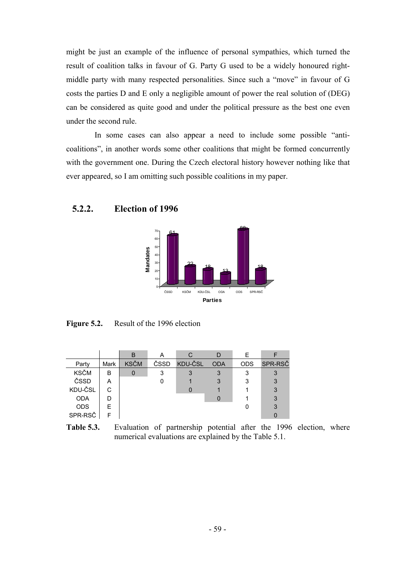might be just an example of the influence of personal sympathies, which turned the result of coalition talks in favour of G. Party G used to be a widely honoured rightmiddle party with many respected personalities. Since such a "move" in favour of G costs the parties D and E only a negligible amount of power the real solution of (DEG) can be considered as quite good and under the political pressure as the best one even under the second rule.

In some cases can also appear a need to include some possible "anticoalitions", in another words some other coalitions that might be formed concurrently with the government one. During the Czech electoral history however nothing like that ever appeared, so I am omitting such possible coalitions in my paper.

#### **5.2.2. Election of 1996**



**Figure 5.2.** Result of the 1996 election

|             |             | B           | А    |         |            |            |         |
|-------------|-------------|-------------|------|---------|------------|------------|---------|
| Party       | <b>Mark</b> | <b>KSČM</b> | ČSSD | KDU-ČSL | <b>ODA</b> | <b>ODS</b> | SPR-RSČ |
| <b>KSČM</b> | в           | 0           | 3    |         |            |            | 3       |
| ČSSD        | Α           |             |      |         |            |            | 3       |
| KDU-ČSL     | C           |             |      |         |            |            | 3       |
| <b>ODA</b>  | D           |             |      |         |            |            | 3       |
| <b>ODS</b>  | F           |             |      |         |            |            |         |
| SPR-RSČ     | ⊏           |             |      |         |            |            |         |

**Table 5.3.** Evaluation of partnership potential after the 1996 election, where numerical evaluations are explained by the Table 5.1.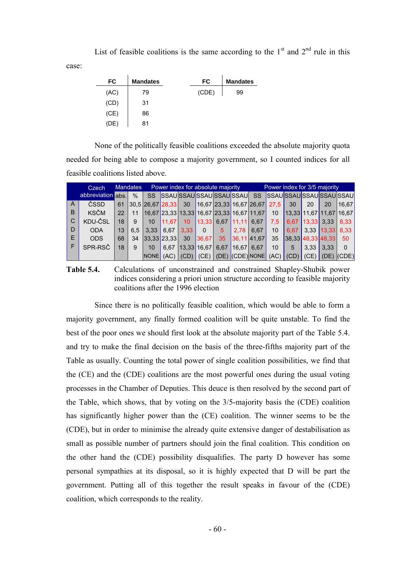List of feasible coalitions is the same according to the  $1<sup>st</sup>$  and  $2<sup>nd</sup>$  rule in this

case:

| FC   | <b>Mandates</b> | FC    | <b>Mandates</b> |
|------|-----------------|-------|-----------------|
| (AC) | 79              | (CDE) | 99              |
| (CD) | 31              |       |                 |
| (CE) | 86              |       |                 |
| (DE) | 81              |       |                 |

None of the politically feasible coalitions exceeded the absolute majority quota needed for being able to compose a majority government, so I counted indices for all feasible coalitions listed above.

|                | <b>Mandates</b><br>Czech |    |      |                                                 | Power index for absolute majority |      |                      |      |                       |                   |      | Power index for 3/5 majority |                       |                         |                         |
|----------------|--------------------------|----|------|-------------------------------------------------|-----------------------------------|------|----------------------|------|-----------------------|-------------------|------|------------------------------|-----------------------|-------------------------|-------------------------|
|                | abbreviation abs.        |    | $\%$ | <b>SS</b>                                       |                                   |      | SSAUSSAUSSAUSSAUSSAU |      |                       |                   |      |                              |                       |                         | SS SSAUSSAUSSAUSSAUSSAU |
| l A            | ČSSD                     | 61 |      | $ 30,5 26,67 28,33 30 16,67 23,33 16,67 26,67 $ |                                   |      |                      |      |                       |                   | 27.5 | 30                           | 20                    | 20                      | 16.67                   |
| $\overline{B}$ | <b>KSČM</b>              | 22 | 11   | $ 16,67 23,33 13,33 16,67 23,33 16,67 11,67 $   |                                   |      |                      |      |                       |                   | 10   |                              |                       | 13.33 11.67 11.67 16.67 |                         |
| l C            | KDU-ČSL                  | 18 |      | 10                                              | 11.67                             | 10   | 13,33                |      | $6,67$   11,11   6,67 |                   | 7.5  |                              | $6,67$   13,33   3,33 |                         | 8.33                    |
| D              | <b>ODA</b>               | 13 | 6.5  | 3.33                                            | 6.67                              | 3.33 | $\mathbf{0}$         | 5    | 2.78                  | 6.67              | 10   | $6.67 \mid$                  |                       | $3,33$ 13,33            | 8.33                    |
| E              | ODS.                     | 68 | 34   | 33.33 23.33                                     |                                   | 30   | 136.671              | 35   |                       | 36.11 41.67       | 35   |                              |                       | $ 38,33 $ 48, 33 48, 33 | 50                      |
| -F             | SPR-RSČ                  | 18 | 9    | 10                                              | 6.67                              |      | 13,33 16,67          | 6.67 | 16.67 6.67            |                   | 10   | 5                            | 3.33                  | 3.33                    | $\Omega$                |
|                |                          |    |      | <b>NONE</b>                                     | (AC)                              | (CD) | (CE)                 |      |                       | $(DE)$ (CDE) NONE | (AC) | (CD)                         | (CE)                  |                         | $(DE)$ $(CDE)$          |

**Table 5.4.** Calculations of unconstrained and constrained Shapley-Shubik power indices considering a priori union structure according to feasible majority coalitions after the 1996 election

Since there is no politically feasible coalition, which would be able to form a majority government, any finally formed coalition will be quite unstable. To find the best of the poor ones we should first look at the absolute majority part of the Table 5.4. and try to make the final decision on the basis of the three-fifths majority part of the Table as usually. Counting the total power of single coalition possibilities, we find that the (CE) and the (CDE) coalitions are the most powerful ones during the usual voting processes in the Chamber of Deputies. This deuce is then resolved by the second part of the Table, which shows, that by voting on the 3/5-majority basis the (CDE) coalition has significantly higher power than the (CE) coalition. The winner seems to be the (CDE), but in order to minimise the already quite extensive danger of destabilisation as small as possible number of partners should join the final coalition. This condition on the other hand the (CDE) possibility disqualifies. The party D however has some personal sympathies at its disposal, so it is highly expected that D will be part the government. Putting all of this together the result speaks in favour of the (CDE) coalition, which corresponds to the reality.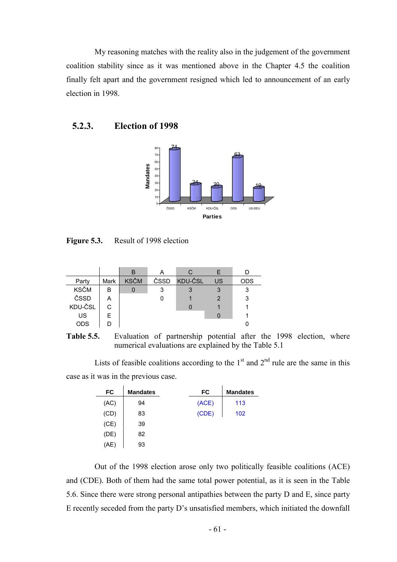My reasoning matches with the reality also in the judgement of the government coalition stability since as it was mentioned above in the Chapter 4.5 the coalition finally felt apart and the government resigned which led to announcement of an early election in 1998.

#### **5.2.3. Election of 1998**



Figure 5.3. Result of 1998 election

|             |      | B           |      |         |    |     |
|-------------|------|-------------|------|---------|----|-----|
| Party       | Mark | <b>KSČM</b> | ČSSD | KDU-ČSL | US | ODS |
| <b>KSČM</b> | B    |             | 3    |         | 3  |     |
| ČSSD        | A    |             |      |         | 2  |     |
| KDU-ČSL     |      |             |      |         |    |     |
| US          | F    |             |      |         |    |     |
| <b>ODS</b>  |      |             |      |         |    |     |

**Table 5.5.** Evaluation of partnership potential after the 1998 election, where numerical evaluations are explained by the Table 5.1

Lists of feasible coalitions according to the  $1<sup>st</sup>$  and  $2<sup>nd</sup>$  rule are the same in this case as it was in the previous case.

| FC   | <b>Mandates</b> | FC    | <b>Mandates</b> |
|------|-----------------|-------|-----------------|
| (AC) | 94              | (ACE) | 113             |
| (CD) | 83              | (CDE) | 102             |
| (CE) | 39              |       |                 |
| (DE) | 82              |       |                 |
| (AE) | 93              |       |                 |

Out of the 1998 election arose only two politically feasible coalitions (ACE) and (CDE). Both of them had the same total power potential, as it is seen in the Table 5.6. Since there were strong personal antipathies between the party D and E, since party E recently seceded from the party D's unsatisfied members, which initiated the downfall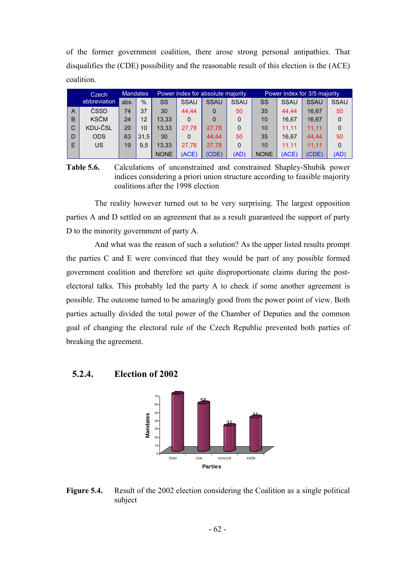of the former government coalition, there arose strong personal antipathies. That disqualifies the (CDE) possibility and the reasonable result of this election is the (ACE) coalition.

|   | Czech        | <b>Mandates</b> |      |             |             | Power index for absolute majority |             |             |             | Power index for 3/5 majority |             |
|---|--------------|-----------------|------|-------------|-------------|-----------------------------------|-------------|-------------|-------------|------------------------------|-------------|
|   | abbreviation | abs.            | $\%$ | SS          | <b>SSAU</b> | <b>SSAU</b>                       | <b>SSAU</b> | SS          | <b>SSAU</b> | <b>SSAU</b>                  | <b>SSAU</b> |
| A | ČSSD         | 74              | 37   | 30          | 44.44       | 0                                 | 50          | 35          | 44.44       | 16.67                        | 50          |
| B | <b>KSČM</b>  | 24              | 12   | 13.33       | $\Omega$    | $\Omega$                          | 0           | 10          | 16.67       | 16.67                        | $\Omega$    |
| C | KDU-ČSL      | 20              | 10   | 13.33       | 27,78       | 27.78                             | 0           | 10          | 11.11       | 11.11                        | 0           |
| D | <b>ODS</b>   | 63              | 31.5 | 30          | $\Omega$    | 44.44                             | 50          | 35          | 16.67       | 44.44                        | 50          |
| E | US           | 19              | 9.5  | 13.33       | 27.78       | 27.78                             | 0           | 10          | 11.11       | 11.11                        | $\Omega$    |
|   |              |                 |      | <b>NONE</b> | (ACE)       | (CDE)                             | (AD)        | <b>NONE</b> | (ACE)       | (CDE)                        | (AD)        |

**Table 5.6.** Calculations of unconstrained and constrained Shapley-Shubik power indices considering a priori union structure according to feasible majority coalitions after the 1998 election

The reality however turned out to be very surprising. The largest opposition parties A and D settled on an agreement that as a result guaranteed the support of party D to the minority government of party A.

And what was the reason of such a solution? As the upper listed results prompt the parties C and E were convinced that they would be part of any possible formed government coalition and therefore set quite disproportionate claims during the postelectoral talks. This probably led the party A to check if some another agreement is possible. The outcome turned to be amazingly good from the power point of view. Both parties actually divided the total power of the Chamber of Deputies and the common goal of changing the electoral rule of the Czech Republic prevented both parties of breaking the agreement.

#### **5.2.4. Election of 2002**



**Figure 5.4.** Result of the 2002 election considering the Coalition as a single political subject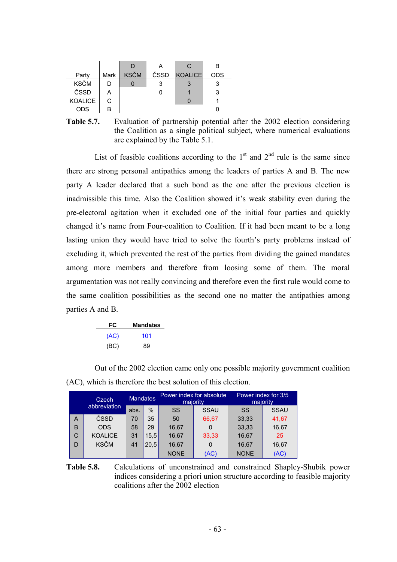|                |      |             |      | C.             |     |
|----------------|------|-------------|------|----------------|-----|
| Party          | Mark | <b>KSČM</b> | ČSSD | <b>KOALICE</b> | ODS |
| <b>KSČM</b>    |      |             |      |                |     |
| ČSSD           | A    |             |      |                | 3   |
| <b>KOALICE</b> | C.   |             |      |                |     |
| <b>ODS</b>     | R    |             |      |                |     |

**Table 5.7.** Evaluation of partnership potential after the 2002 election considering the Coalition as a single political subject, where numerical evaluations are explained by the Table 5.1.

List of feasible coalitions according to the  $1<sup>st</sup>$  and  $2<sup>nd</sup>$  rule is the same since there are strong personal antipathies among the leaders of parties A and B. The new party A leader declared that a such bond as the one after the previous election is inadmissible this time. Also the Coalition showed it's weak stability even during the pre-electoral agitation when it excluded one of the initial four parties and quickly changed it's name from Four-coalition to Coalition. If it had been meant to be a long lasting union they would have tried to solve the fourth's party problems instead of excluding it, which prevented the rest of the parties from dividing the gained mandates among more members and therefore from loosing some of them. The moral argumentation was not really convincing and therefore even the first rule would come to the same coalition possibilities as the second one no matter the antipathies among parties A and B.

| FC   | <b>Mandates</b> |
|------|-----------------|
| (AC) | 101             |
| (BC) | 89              |

Out of the 2002 election came only one possible majority government coalition (AC), which is therefore the best solution of this election.

|   | Czech          | <b>Mandates</b> |      | Power index for absolute<br>majority |             | Power index for 3/5<br>majority |             |  |
|---|----------------|-----------------|------|--------------------------------------|-------------|---------------------------------|-------------|--|
|   | abbreviation   |                 | $\%$ | SS                                   | <b>SSAU</b> | SS                              | <b>SSAU</b> |  |
| A | ČSSD           | 70              | 35   | 50                                   | 66,67       | 33,33                           | 41,67       |  |
| B | <b>ODS</b>     | 58              | 29   | 16,67                                | 0           | 33,33                           | 16,67       |  |
| C | <b>KOALICE</b> | 31              | 15.5 | 16,67                                | 33,33       | 16,67                           | 25          |  |
| D | <b>KSČM</b>    | 41              | 20.5 | 16,67                                | 0           | 16,67                           | 16,67       |  |
|   |                |                 |      | <b>NONE</b>                          | (AC)        | <b>NONE</b>                     | (AC)        |  |

**Table 5.8.** Calculations of unconstrained and constrained Shapley-Shubik power indices considering a priori union structure according to feasible majority coalitions after the 2002 election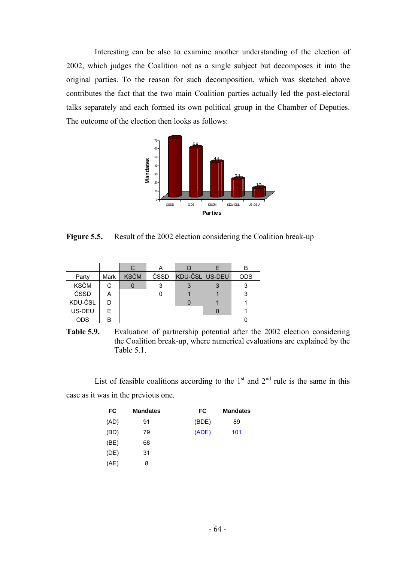Interesting can be also to examine another understanding of the election of 2002, which judges the Coalition not as a single subject but decomposes it into the original parties. To the reason for such decomposition, which was sketched above contributes the fact that the two main Coalition parties actually led the post-electoral talks separately and each formed its own political group in the Chamber of Deputies. The outcome of the election then looks as follows:



**Figure 5.5.** Result of the 2002 election considering the Coalition break-up

|             |      | C           |      |                |     |
|-------------|------|-------------|------|----------------|-----|
| Party       | Mark | <b>KSČM</b> | ČSSD | KDU-ČSL US-DEU | ODS |
| <b>KSČM</b> |      |             | 3    |                |     |
| ČSSD        | А    |             |      |                |     |
| KDU-ČSL     |      |             |      |                |     |
| US-DEU      | F    |             |      |                |     |
| ODS         | R    |             |      |                |     |



List of feasible coalitions according to the  $1<sup>st</sup>$  and  $2<sup>nd</sup>$  rule is the same in this case as it was in the previous one.

| FC   | <b>Mandates</b> | FC    | <b>Mandates</b> |
|------|-----------------|-------|-----------------|
| (AD) | 91              | (BDE) | 89              |
| (BD) | 79              | (ADE) | 101             |
| (BE) | 68              |       |                 |
| (DE) | 31              |       |                 |
| (AE) | 8               |       |                 |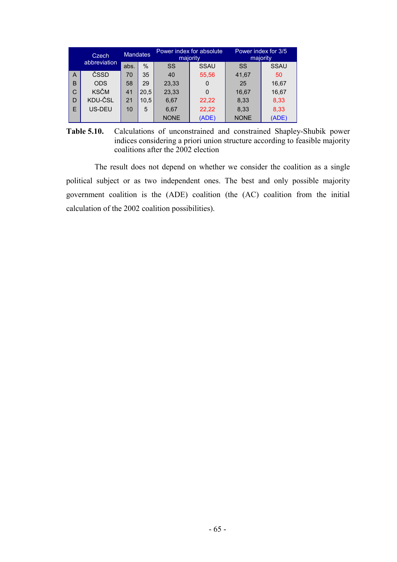|              | Czech       | <b>Mandates</b> |      |             | Power index for absolute<br>majority | Power index for 3/5<br>majority |             |
|--------------|-------------|-----------------|------|-------------|--------------------------------------|---------------------------------|-------------|
| abbreviation |             | abs.            | $\%$ | SS          | <b>SSAU</b>                          | SS                              | <b>SSAU</b> |
| A            | ČSSD        | 70              | 35   | 40          | 55,56                                | 41.67                           | 50          |
| B            | <b>ODS</b>  | 58              | 29   | 23,33       | $\Omega$                             | 25                              | 16,67       |
| С            | <b>KSČM</b> | 41              | 20,5 | 23,33       | $\Omega$                             | 16,67                           | 16,67       |
| D            | KDU-ČSL     | 21              | 10.5 | 6,67        | 22,22                                | 8,33                            | 8,33        |
| E            | US-DEU      | 10              | 5    | 6.67        | 22,22                                | 8.33                            | 8,33        |
|              |             |                 |      | <b>NONE</b> | (ADE)                                | <b>NONE</b>                     | (ADE)       |

**Table 5.10.** Calculations of unconstrained and constrained Shapley-Shubik power indices considering a priori union structure according to feasible majority coalitions after the 2002 election

The result does not depend on whether we consider the coalition as a single political subject or as two independent ones. The best and only possible majority government coalition is the (ADE) coalition (the (AC) coalition from the initial calculation of the 2002 coalition possibilities).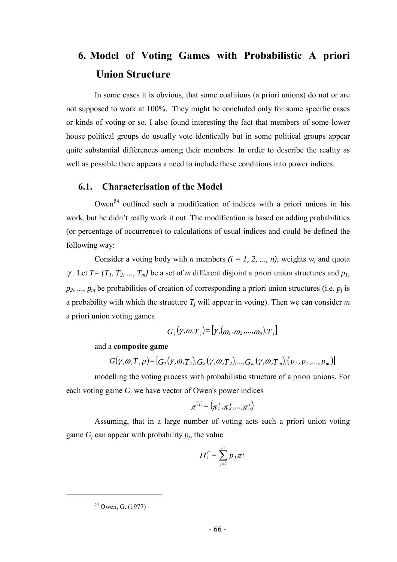# **6. Model of Voting Games with Probabilistic A priori Union Structure**

In some cases it is obvious, that some coalitions (a priori unions) do not or are not supposed to work at 100%. They might be concluded only for some specific cases or kinds of voting or so. I also found interesting the fact that members of some lower house political groups do usually vote identically but in some political groups appear quite substantial differences among their members. In order to describe the reality as well as possible there appears a need to include these conditions into power indices.

## **6.1. Characterisation of the Model**

Owen<sup>54</sup> outlined such a modification of indices with a priori unions in his work, but he didn't really work it out. The modification is based on adding probabilities (or percentage of occurrence) to calculations of usual indices and could be defined the following way:

Consider a voting body with *n* members  $(i = 1, 2, ..., n)$ , weights  $w_i$  and quota  $\gamma$ . Let  $T = \{T_1, T_2, ..., T_m\}$  be a set of *m* different disjoint a priori union structures and  $p_1$ ,  $p_2$ , ...,  $p_m$  be probabilities of creation of corresponding a priori union structures (i.e.  $p_j$  is a probability with which the structure  $T_i$  will appear in voting). Then we can consider  $m$ a priori union voting games

$$
G_j(\gamma,\omega,\overline{T}_j) = [\gamma,(\omega_1,\omega_2,...,\omega_n),\overline{T}_j]
$$

and a **composite game**

$$
G(\gamma,\omega,T,p)=[G_1(\gamma,\omega,T_1),G_2(\gamma,\omega,T_2),...,G_m(\gamma,\omega,T_m),(p_1,p_2,...,p_m)]
$$

modelling the voting process with probabilistic structure of a priori unions. For each voting game *Gj* we have vector of Owen's power indices

$$
\boldsymbol{\pi}^{(j)}\text{=}\left(\pi_1^j,\pi_2^j,\ldots,\pi_n^j\right)
$$

Assuming, that in a large number of voting acts each a priori union voting game  $G_i$  can appear with probability  $p_i$ , the value

$$
\Pi_i^C = \sum_{j=1}^m p_j \pi_i^j
$$

<sup>&</sup>lt;sup>54</sup> Owen, G. (1977)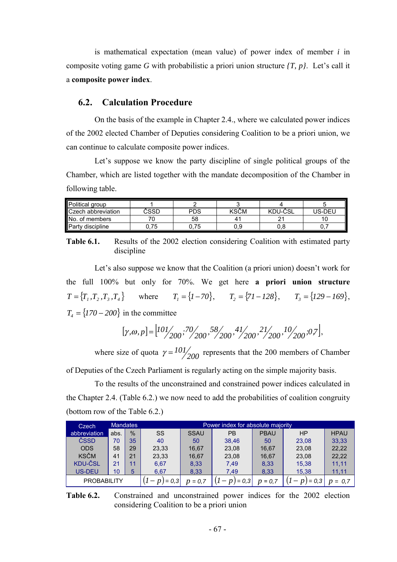is mathematical expectation (mean value) of power index of member *i* in composite voting game *G* with probabilistic a priori union structure *{T, p}*. Let's call it a **composite power index**.

### **6.2. Calculation Procedure**

On the basis of the example in Chapter 2.4., where we calculated power indices of the 2002 elected Chamber of Deputies considering Coalition to be a priori union, we can continue to calculate composite power indices.

Let's suppose we know the party discipline of single political groups of the Chamber, which are listed together with the mandate decomposition of the Chamber in following table.

| Political group         |           |            |             |         |         |
|-------------------------|-----------|------------|-------------|---------|---------|
| Czech abbreviation      | CSSD      | <b>PDS</b> | <b>KSCM</b> | KDU-ČSL | 'JS-DEU |
| <b>IN</b> o. of members |           | 58         |             |         |         |
| Party discipline        | フド<br>ن ، | 0.75       | 0.9         | v.c     |         |

**Table 6.1.** Results of the 2002 election considering Coalition with estimated party discipline

Let's also suppose we know that the Coalition (a priori union) doesn't work for the full 100% but only for 70%. We get here **a priori union structure**  $T = \{ T_1, T_2, T_3, T_4 \}$  where  $T_1 = \{ I - 70 \},$   $T_2 = \{ 7I - 128 \},$   $T_3 = \{ 129 - 169 \},$  $T_4 = \{170 - 200\}$  in the committee

$$
[\gamma, \omega, p] = \left[ \frac{101}{200}, \frac{70}{200}, \frac{58}{200}, \frac{41}{200}, \frac{21}{200}, \frac{10}{200}, 0.7 \right],
$$

where size of quota  $\gamma = \frac{101}{200}$  represents that the 200 members of Chamber of Deputies of the Czech Parliament is regularly acting on the simple majority basis.

To the results of the unconstrained and constrained power indices calculated in the Chapter 2.4. (Table 6.2.) we now need to add the probabilities of coalition congruity (bottom row of the Table 6.2.)

| Czech              |      | <b>Mandates</b> | Power index for absolute majority |             |         |             |       |             |  |  |
|--------------------|------|-----------------|-----------------------------------|-------------|---------|-------------|-------|-------------|--|--|
| abbreviation       | abs. | $\frac{0}{0}$   | SS                                | <b>SSAU</b> | РB      | <b>PBAU</b> | HP    | <b>HPAU</b> |  |  |
| ČSSD               | 70   | 35              | 40                                | 50          | 38.46   | 50          | 23.08 | 33,33       |  |  |
| <b>ODS</b>         | 58   | 29              | 23,33                             | 16.67       | 23,08   | 16.67       | 23.08 | 22.22       |  |  |
| <b>KSČM</b>        | 41   | 21              | 23,33                             | 16.67       | 23,08   | 16.67       | 23,08 | 22,22       |  |  |
| <b>KDU-ČSL</b>     | 21   | 11              | 6.67                              | 8.33        | 7.49    | 8.33        | 15,38 | 11.11       |  |  |
| <b>US-DEU</b>      | 10   | 5               | 6.67                              | 8,33        | 7.49    | 8,33        | 15,38 | 11,11       |  |  |
| <b>PROBABILITY</b> |      |                 | $= 0$ .                           | $= 0.3$     | $= 0.7$ |             |       |             |  |  |

**Table 6.2.** Constrained and unconstrained power indices for the 2002 election considering Coalition to be a priori union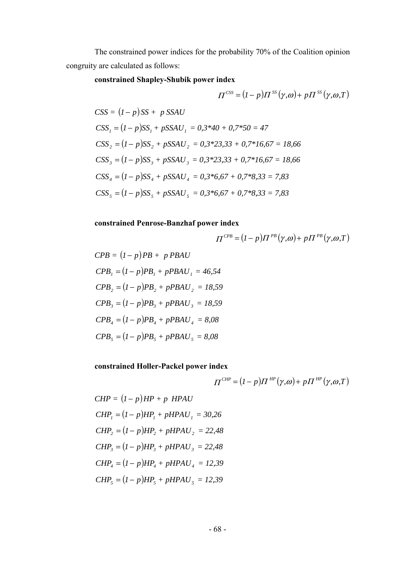The constrained power indices for the probability 70% of the Coalition opinion congruity are calculated as follows:

# **constrained Shapley-Shubik power index**

$$
\Pi^{CSS} = (I - p)\Pi^{SS}(\gamma, \omega) + p\Pi^{SS}(\gamma, \omega, T)
$$

$$
CSS = (1-p)SS + p SSAU
$$
  
\n
$$
CSS_{1} = (1-p)SS_{1} + pSSAU_{1} = 0,3*40 + 0,7*50 = 47
$$
  
\n
$$
CSS_{2} = (1-p)SS_{2} + pSSAU_{2} = 0,3*23,33 + 0,7*16,67 = 18,66
$$
  
\n
$$
CSS_{3} = (1-p)SS_{3} + pSSAU_{3} = 0,3*23,33 + 0,7*16,67 = 18,66
$$
  
\n
$$
CSS_{4} = (1-p)SS_{4} + pSSAU_{4} = 0,3*6,67 + 0,7*8,33 = 7,83
$$
  
\n
$$
CSS_{5} = (1-p)SS_{5} + pSSAU_{5} = 0,3*6,67 + 0,7*8,33 = 7,83
$$

#### **constrained Penrose-Banzhaf power index**

$$
\Pi^{CPB} = (I - p)\Pi^{PB}(\gamma,\omega) + p\Pi^{PB}(\gamma,\omega,T)
$$

$$
CPB = (I - p)PB + p PBAU
$$
  
\n
$$
CPB_1 = (I - p)PB_1 + pPBAU_1 = 46,54
$$
  
\n
$$
CPB_2 = (I - p)PB_2 + pPBAU_2 = 18,59
$$
  
\n
$$
CPB_3 = (I - p)PB_3 + pPBAU_3 = 18,59
$$
  
\n
$$
CPB_4 = (I - p)PB_4 + pPBAU_4 = 8,08
$$
  
\n
$$
CPB_5 = (I - p)PB_5 + pPBAU_5 = 8,08
$$

**constrained Holler-Packel power index**

$$
\Pi^{CHP} = (I - p)\Pi^{HP}(\gamma, \omega) + p\Pi^{HP}(\gamma, \omega, T)
$$

*CHP* = 
$$
(I - p)HP + p
$$
 *HPAU*  
\n*CHP*<sub>1</sub> =  $(I - p)HP_1 + pHPAU_1 = 30,26$   
\n*CHP*<sub>2</sub> =  $(I - p)HP_2 + pHPAU_2 = 22,48$   
\n*CHP*<sub>3</sub> =  $(I - p)HP_3 + pHPAU_3 = 22,48$   
\n*CHP*<sub>4</sub> =  $(I - p)HP_4 + pHPAU_4 = 12,39$   
\n*CHP*<sub>5</sub> =  $(I - p)HP_5 + pHPAU_5 = 12,39$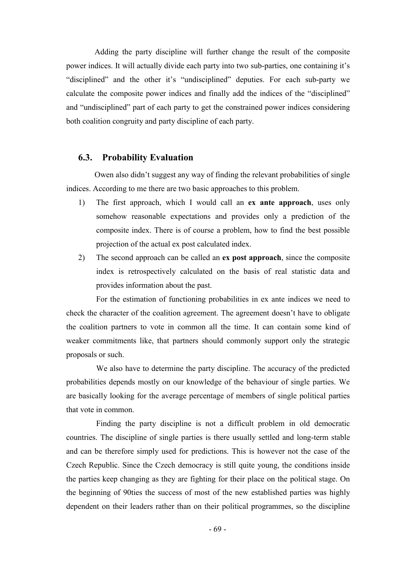Adding the party discipline will further change the result of the composite power indices. It will actually divide each party into two sub-parties, one containing it's "disciplined" and the other it's "undisciplined" deputies. For each sub-party we calculate the composite power indices and finally add the indices of the "disciplined" and "undisciplined" part of each party to get the constrained power indices considering both coalition congruity and party discipline of each party.

#### **6.3. Probability Evaluation**

Owen also didn't suggest any way of finding the relevant probabilities of single indices. According to me there are two basic approaches to this problem.

- 1) The first approach, which I would call an **ex ante approach**, uses only somehow reasonable expectations and provides only a prediction of the composite index. There is of course a problem, how to find the best possible projection of the actual ex post calculated index.
- 2) The second approach can be called an **ex post approach**, since the composite index is retrospectively calculated on the basis of real statistic data and provides information about the past.

For the estimation of functioning probabilities in ex ante indices we need to check the character of the coalition agreement. The agreement doesn't have to obligate the coalition partners to vote in common all the time. It can contain some kind of weaker commitments like, that partners should commonly support only the strategic proposals or such.

We also have to determine the party discipline. The accuracy of the predicted probabilities depends mostly on our knowledge of the behaviour of single parties. We are basically looking for the average percentage of members of single political parties that vote in common.

Finding the party discipline is not a difficult problem in old democratic countries. The discipline of single parties is there usually settled and long-term stable and can be therefore simply used for predictions. This is however not the case of the Czech Republic. Since the Czech democracy is still quite young, the conditions inside the parties keep changing as they are fighting for their place on the political stage. On the beginning of 90ties the success of most of the new established parties was highly dependent on their leaders rather than on their political programmes, so the discipline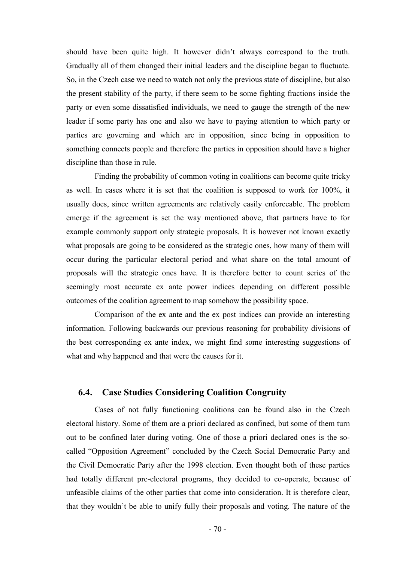should have been quite high. It however didn't always correspond to the truth. Gradually all of them changed their initial leaders and the discipline began to fluctuate. So, in the Czech case we need to watch not only the previous state of discipline, but also the present stability of the party, if there seem to be some fighting fractions inside the party or even some dissatisfied individuals, we need to gauge the strength of the new leader if some party has one and also we have to paying attention to which party or parties are governing and which are in opposition, since being in opposition to something connects people and therefore the parties in opposition should have a higher discipline than those in rule.

Finding the probability of common voting in coalitions can become quite tricky as well. In cases where it is set that the coalition is supposed to work for 100%, it usually does, since written agreements are relatively easily enforceable. The problem emerge if the agreement is set the way mentioned above, that partners have to for example commonly support only strategic proposals. It is however not known exactly what proposals are going to be considered as the strategic ones, how many of them will occur during the particular electoral period and what share on the total amount of proposals will the strategic ones have. It is therefore better to count series of the seemingly most accurate ex ante power indices depending on different possible outcomes of the coalition agreement to map somehow the possibility space.

Comparison of the ex ante and the ex post indices can provide an interesting information. Following backwards our previous reasoning for probability divisions of the best corresponding ex ante index, we might find some interesting suggestions of what and why happened and that were the causes for it.

### **6.4. Case Studies Considering Coalition Congruity**

Cases of not fully functioning coalitions can be found also in the Czech electoral history. Some of them are a priori declared as confined, but some of them turn out to be confined later during voting. One of those a priori declared ones is the socalled "Opposition Agreement" concluded by the Czech Social Democratic Party and the Civil Democratic Party after the 1998 election. Even thought both of these parties had totally different pre-electoral programs, they decided to co-operate, because of unfeasible claims of the other parties that come into consideration. It is therefore clear, that they wouldn't be able to unify fully their proposals and voting. The nature of the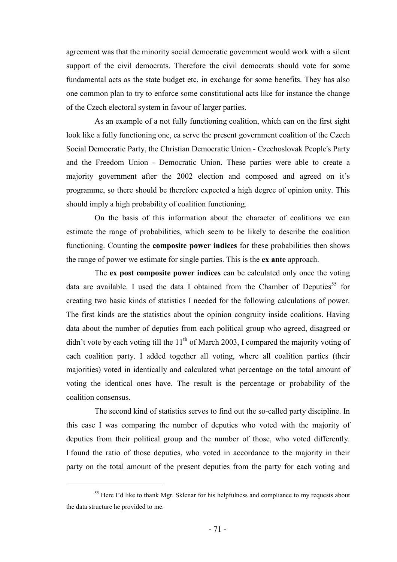agreement was that the minority social democratic government would work with a silent support of the civil democrats. Therefore the civil democrats should vote for some fundamental acts as the state budget etc. in exchange for some benefits. They has also one common plan to try to enforce some constitutional acts like for instance the change of the Czech electoral system in favour of larger parties.

As an example of a not fully functioning coalition, which can on the first sight look like a fully functioning one, ca serve the present government coalition of the Czech Social Democratic Party, the Christian Democratic Union - Czechoslovak People's Party and the Freedom Union - Democratic Union. These parties were able to create a majority government after the 2002 election and composed and agreed on it's programme, so there should be therefore expected a high degree of opinion unity. This should imply a high probability of coalition functioning.

On the basis of this information about the character of coalitions we can estimate the range of probabilities, which seem to be likely to describe the coalition functioning. Counting the **composite power indices** for these probabilities then shows the range of power we estimate for single parties. This is the **ex ante** approach.

The **ex post composite power indices** can be calculated only once the voting data are available. I used the data I obtained from the Chamber of Deputies<sup>55</sup> for creating two basic kinds of statistics I needed for the following calculations of power. The first kinds are the statistics about the opinion congruity inside coalitions. Having data about the number of deputies from each political group who agreed, disagreed or didn't vote by each voting till the  $11<sup>th</sup>$  of March 2003, I compared the majority voting of each coalition party. I added together all voting, where all coalition parties (their majorities) voted in identically and calculated what percentage on the total amount of voting the identical ones have. The result is the percentage or probability of the coalition consensus.

The second kind of statistics serves to find out the so-called party discipline. In this case I was comparing the number of deputies who voted with the majority of deputies from their political group and the number of those, who voted differently. I found the ratio of those deputies, who voted in accordance to the majority in their party on the total amount of the present deputies from the party for each voting and

<sup>&</sup>lt;sup>55</sup> Here I'd like to thank Mgr. Sklenar for his helpfulness and compliance to my requests about the data structure he provided to me.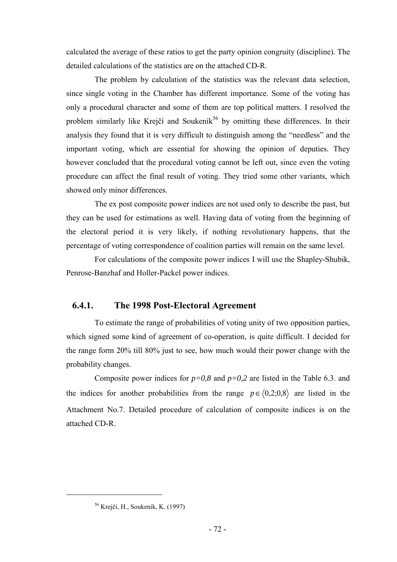calculated the average of these ratios to get the party opinion congruity (discipline). The detailed calculations of the statistics are on the attached CD-R.

The problem by calculation of the statistics was the relevant data selection, since single voting in the Chamber has different importance. Some of the voting has only a procedural character and some of them are top political matters. I resolved the problem similarly like Krejčí and Soukeník<sup>56</sup> by omitting these differences. In their analysis they found that it is very difficult to distinguish among the "needless" and the important voting, which are essential for showing the opinion of deputies. They however concluded that the procedural voting cannot be left out, since even the voting procedure can affect the final result of voting. They tried some other variants, which showed only minor differences.

The ex post composite power indices are not used only to describe the past, but they can be used for estimations as well. Having data of voting from the beginning of the electoral period it is very likely, if nothing revolutionary happens, that the percentage of voting correspondence of coalition parties will remain on the same level.

For calculations of the composite power indices I will use the Shapley-Shubik, Penrose-Banzhaf and Holler-Packel power indices.

# **6.4.1. The 1998 Post-Electoral Agreement**

To estimate the range of probabilities of voting unity of two opposition parties, which signed some kind of agreement of co-operation, is quite difficult. I decided for the range form 20% till 80% just to see, how much would their power change with the probability changes.

Composite power indices for  $p=0.8$  and  $p=0.2$  are listed in the Table 6.3. and the indices for another probabilities from the range  $p \in (0,2;0,8)$  are listed in the Attachment No.7. Detailed procedure of calculation of composite indices is on the attached CD-R.

<sup>56</sup> Krejčí, H., Soukeník, K. (1997)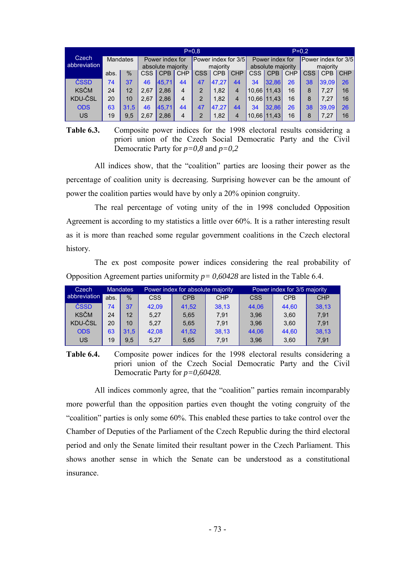|              |      | $P = 0.8$       |                   |                 |                |                     |            |                   |                 | $P = 0.2$   |            |                     |            |            |
|--------------|------|-----------------|-------------------|-----------------|----------------|---------------------|------------|-------------------|-----------------|-------------|------------|---------------------|------------|------------|
| Czech        |      | <b>Mandates</b> |                   | Power index for |                | Power index for 3/5 |            |                   | Power index for |             |            | Power index for 3/5 |            |            |
| abbreviation |      |                 | absolute majority |                 | maiority       |                     |            | absolute majority |                 |             | majority   |                     |            |            |
|              | abs. | $\frac{0}{0}$   | CSS.              | <b>CPB</b>      | <b>CHP</b>     | CSS                 | <b>CPB</b> | <b>CHP</b>        | <b>CSS</b>      | <b>CPB</b>  | <b>CHP</b> | <b>CSS</b>          | <b>CPB</b> | <b>CHP</b> |
| ČSSD         | 74   | 37              | 46                | 45.71           | 44             | 47                  | 47.27      | 44                | 34              | 32.86       | 26         | 38                  | 39.09      | 26         |
| <b>KSČM</b>  | 24   | 12              | 2.67              | 2.86            | 4              | 2                   | 1.82       | 4                 | 10,66 11,43     |             | 16         | 8                   | 7.27       | 16         |
| KDU-ČSL      | 20   | 10              | 2.67              | 2.86            | $\overline{4}$ | 2                   | 1.82       | 4                 |                 | 10.66 11.43 | 16         | 8                   | 7.27       | 16         |
| <b>ODS</b>   | 63   | 31.5            | 46                | 45.71           | 44             | 47                  | 47.27      | 44                | 34              | 32.86       | 26         | 38                  | 39,09      | 26         |
| US           | 19   | 9,5             | 2,67              | 2,86            | 4              |                     | 1,82       | 4                 | 10,66 11,43     |             | 16         | 8                   | 7,27       | 16         |

**Table 6.3.** Composite power indices for the 1998 electoral results considering a priori union of the Czech Social Democratic Party and the Civil Democratic Party for *p=0,8* and *p=0,2*

All indices show, that the "coalition" parties are loosing their power as the percentage of coalition unity is decreasing. Surprising however can be the amount of power the coalition parties would have by only a 20% opinion congruity.

The real percentage of voting unity of the in 1998 concluded Opposition Agreement is according to my statistics a little over 60%. It is a rather interesting result as it is more than reached some regular government coalitions in the Czech electoral history.

The ex post composite power indices considering the real probability of Opposition Agreement parties uniformity *p= 0,60428* are listed in the Table 6.4.

| Czech          |      | <b>Mandates</b> |            | Power index for absolute majority |            | Power index for 3/5 majority |            |            |  |
|----------------|------|-----------------|------------|-----------------------------------|------------|------------------------------|------------|------------|--|
| abbreviation   | abs. | $\%$            | <b>CSS</b> | <b>CPB</b>                        | <b>CHP</b> | <b>CSS</b>                   | <b>CPB</b> | <b>CHP</b> |  |
| ČSSD           | 74   | 37              | 42.09      | 41.52                             | 38.13      | 44.06                        | 44.60      | 38.13      |  |
| <b>KSČM</b>    | 24   | 12              | 5.27       | 5.65                              | 7.91       | 3.96                         | 3.60       | 7.91       |  |
| <b>KDU-ČSL</b> | 20   | 10              | 5.27       | 5.65                              | 7.91       | 3.96                         | 3.60       | 7.91       |  |
| <b>ODS</b>     | 63   | 31.5            | 42.08      | 41.52                             | 38.13      | 44.06                        | 44.60      | 38.13      |  |
| US             | 19   | 9.5             | 5.27       | 5,65                              | 7.91       | 3.96                         | 3,60       | 7.91       |  |

**Table 6.4.** Composite power indices for the 1998 electoral results considering a priori union of the Czech Social Democratic Party and the Civil Democratic Party for *p=0,60428.*

All indices commonly agree, that the "coalition" parties remain incomparably more powerful than the opposition parties even thought the voting congruity of the "coalition" parties is only some 60%. This enabled these parties to take control over the Chamber of Deputies of the Parliament of the Czech Republic during the third electoral period and only the Senate limited their resultant power in the Czech Parliament. This shows another sense in which the Senate can be understood as a constitutional insurance.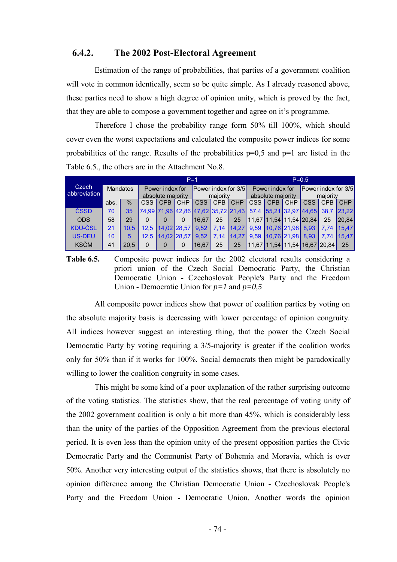#### **6.4.2. The 2002 Post-Electoral Agreement**

Estimation of the range of probabilities, that parties of a government coalition will vote in common identically, seem so be quite simple. As I already reasoned above, these parties need to show a high degree of opinion unity, which is proved by the fact, that they are able to compose a government together and agree on it's programme.

Therefore I chose the probability range form 50% till 100%, which should cover even the worst expectations and calculated the composite power indices for some probabilities of the range. Results of the probabilities  $p=0.5$  and  $p=1$  are listed in the Table 6.5., the others are in the Attachment No.8.

|                |                                 |      |              |                   | $P=1$       |       |                            | $P = 0.5$                           |      |                             |            |                               |          |            |
|----------------|---------------------------------|------|--------------|-------------------|-------------|-------|----------------------------|-------------------------------------|------|-----------------------------|------------|-------------------------------|----------|------------|
| <b>Czech</b>   | <b>Mandates</b><br>abbreviation |      |              | Power index for   |             |       | <b>Power index for 3/5</b> |                                     |      | Power index for             |            | Power index for 3/5           |          |            |
|                |                                 |      |              | absolute majority |             |       | maiority                   |                                     |      | absolute majority           |            |                               | majority |            |
|                | abs.                            | $\%$ | CSS I        | <b>CPB</b>        | <b>CHP</b>  | CSS   | CPB                        | <b>CHP</b>                          | CSS  | <b>CPB</b>                  | <b>CHP</b> | CSS I                         | CPB      | <b>CHP</b> |
| ČSSD           | 70                              | 35   |              |                   |             |       |                            | 74,99 71,96 42,86 47,62 35,72 21,43 |      |                             |            | 57,4 55,21 32,97 44,65        | 38.7     | 23.22      |
| <b>ODS</b>     | 58                              | 29   | <sup>0</sup> | $\Omega$          | 0           | 16.67 | 25                         | 25                                  |      |                             |            | 11,67 11,54 11,54 20,84       | 25       | 20.84      |
| <b>KDU-ČSL</b> | 21                              | 10.5 | 12.5         |                   | 14.02 28.57 | 9.52  | 7.14                       |                                     |      | 14,27 9,59 10,76 21,98 8,93 |            |                               | 7.74     | 15.47      |
| <b>US-DEU</b>  | 10                              | 5    | 12.5         |                   | 14.02 28.57 | 9.52  | 7,14                       | 14,27                               | 9,59 | 10,76 21,98                 |            | 8.93                          | 7.74     | 15.47      |
| <b>KSČM</b>    | 41                              | 20.5 | 0            | $\Omega$          | 0           | 16.67 | 25                         | 25                                  |      |                             |            | 11.67 11.54 11.54 16.67 20.84 |          | 25         |

**Table 6.5.** Composite power indices for the 2002 electoral results considering a priori union of the Czech Social Democratic Party, the Christian Democratic Union - Czechoslovak People's Party and the Freedom Union - Democratic Union for *p=1* and *p=0,5*

All composite power indices show that power of coalition parties by voting on the absolute majority basis is decreasing with lower percentage of opinion congruity. All indices however suggest an interesting thing, that the power the Czech Social Democratic Party by voting requiring a 3/5-majority is greater if the coalition works only for 50% than if it works for 100%. Social democrats then might be paradoxically willing to lower the coalition congruity in some cases.

This might be some kind of a poor explanation of the rather surprising outcome of the voting statistics. The statistics show, that the real percentage of voting unity of the 2002 government coalition is only a bit more than 45%, which is considerably less than the unity of the parties of the Opposition Agreement from the previous electoral period. It is even less than the opinion unity of the present opposition parties the Civic Democratic Party and the Communist Party of Bohemia and Moravia, which is over 50%. Another very interesting output of the statistics shows, that there is absolutely no opinion difference among the Christian Democratic Union - Czechoslovak People's Party and the Freedom Union - Democratic Union. Another words the opinion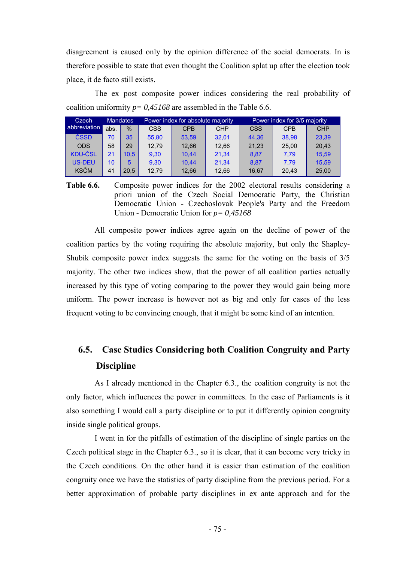disagreement is caused only by the opinion difference of the social democrats. In is therefore possible to state that even thought the Coalition splat up after the election took place, it de facto still exists.

The ex post composite power indices considering the real probability of coalition uniformity *p= 0,45168* are assembled in the Table 6.6.

| <b>Mandates</b><br>Czech |      |                |            | Power index for absolute majority |            | Power index for 3/5 majority |            |            |  |
|--------------------------|------|----------------|------------|-----------------------------------|------------|------------------------------|------------|------------|--|
| abbreviation             | abs. | $\%$           | <b>CSS</b> | <b>CPB</b>                        | <b>CHP</b> | <b>CSS</b>                   | <b>CPB</b> | <b>CHP</b> |  |
| ČSSD                     | 70   | 35             | 55.80      | 53.59                             | 32.01      | 44.36                        | 38.98      | 23,39      |  |
| <b>ODS</b>               | 58   | 29             | 12.79      | 12.66                             | 12.66      | 21,23                        | 25.00      | 20.43      |  |
| <b>KDU-ČSL</b>           | 21   | 10.5           | 9.30       | 10.44                             | 21.34      | 8.87                         | 7.79       | 15.59      |  |
| <b>US-DEU</b>            | 10   | 5              | 9.30       | 10.44                             | 21.34      | 8.87                         | 7.79       | 15.59      |  |
| <b>KSČM</b>              | 41   | $20.5^{\circ}$ | 12,79      | 12.66                             | 12,66      | 16.67                        | 20.43      | 25,00      |  |

**Table 6.6.** Composite power indices for the 2002 electoral results considering a priori union of the Czech Social Democratic Party, the Christian Democratic Union - Czechoslovak People's Party and the Freedom Union - Democratic Union for *p= 0,45168*

All composite power indices agree again on the decline of power of the coalition parties by the voting requiring the absolute majority, but only the Shapley-Shubik composite power index suggests the same for the voting on the basis of 3/5 majority. The other two indices show, that the power of all coalition parties actually increased by this type of voting comparing to the power they would gain being more uniform. The power increase is however not as big and only for cases of the less frequent voting to be convincing enough, that it might be some kind of an intention.

## **6.5. Case Studies Considering both Coalition Congruity and Party Discipline**

As I already mentioned in the Chapter 6.3., the coalition congruity is not the only factor, which influences the power in committees. In the case of Parliaments is it also something I would call a party discipline or to put it differently opinion congruity inside single political groups.

I went in for the pitfalls of estimation of the discipline of single parties on the Czech political stage in the Chapter 6.3., so it is clear, that it can become very tricky in the Czech conditions. On the other hand it is easier than estimation of the coalition congruity once we have the statistics of party discipline from the previous period. For a better approximation of probable party disciplines in ex ante approach and for the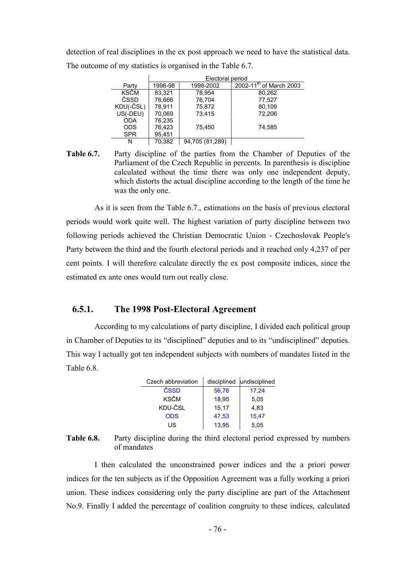detection of real disciplines in the ex post approach we need to have the statistical data. The outcome of my statistics is organised in the Table 6.7.

|             |         | Electoral period |                                     |
|-------------|---------|------------------|-------------------------------------|
| Party       | 1996-98 | 1998-2002        | 2002-11 <sup>th</sup> of March 2003 |
| <b>KSČM</b> | 83.321  | 78.954           | 80,262                              |
| ČSSD        | 76,666  | 76,704           | 77,527                              |
| KDU(-ČSL)   | 78.911  | 75,872           | 80,109                              |
| US(-DEU)    | 70,069  | 73.415           | 72.206                              |
| <b>ODA</b>  | 76,235  |                  |                                     |
| <b>ODS</b>  | 76,423  | 75.450           | 74,585                              |
| <b>SPR</b>  | 95,451  |                  |                                     |
| N           | 70,382  | 94,705 (81,289)  |                                     |

**Table 6.7.** Party discipline of the parties from the Chamber of Deputies of the Parliament of the Czech Republic in percents. In parenthesis is discipline calculated without the time there was only one independent deputy, which distorts the actual discipline according to the length of the time he was the only one.

As it is seen from the Table 6.7., estimations on the basis of previous electoral periods would work quite well. The highest variation of party discipline between two following periods achieved the Christian Democratic Union - Czechoslovak People's Party between the third and the fourth electoral periods and it reached only 4,237 of per cent points. I will therefore calculate directly the ex post composite indices, since the estimated ex ante ones would turn out really close.

#### **6.5.1. The 1998 Post-Electoral Agreement**

According to my calculations of party discipline, I divided each political group in Chamber of Deputies to its "disciplined" deputies and to its "undisciplined" deputies. This way I actually got ten independent subjects with numbers of mandates listed in the Table 6.8.

| Czech abbreviation |       | disciplined undisciplined |
|--------------------|-------|---------------------------|
| ČSSD               | 56,76 | 17,24                     |
| <b>KSČM</b>        | 18,95 | 5,05                      |
| KDU-ČSL            | 15.17 | 4.83                      |
| <b>ODS</b>         | 47,53 | 15,47                     |
| US                 | 13,95 | 5,05                      |

**Table 6.8.** Party discipline during the third electoral period expressed by numbers of mandates

I then calculated the unconstrained power indices and the a priori power indices for the ten subjects as if the Opposition Agreement was a fully working a priori union. These indices considering only the party discipline are part of the Attachment No.9. Finally I added the percentage of coalition congruity to these indices, calculated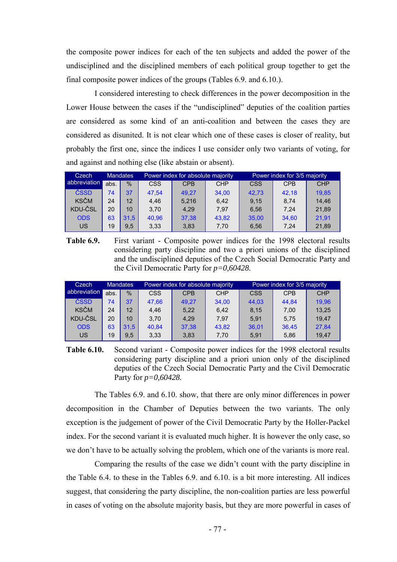the composite power indices for each of the ten subjects and added the power of the undisciplined and the disciplined members of each political group together to get the final composite power indices of the groups (Tables 6.9. and 6.10.).

I considered interesting to check differences in the power decomposition in the Lower House between the cases if the "undisciplined" deputies of the coalition parties are considered as some kind of an anti-coalition and between the cases they are considered as disunited. It is not clear which one of these cases is closer of reality, but probably the first one, since the indices I use consider only two variants of voting, for and against and nothing else (like abstain or absent).

| Czech        | <b>Mandates</b> |      |            | Power index for absolute majority |            | Power index for 3/5 majority |            |            |  |
|--------------|-----------------|------|------------|-----------------------------------|------------|------------------------------|------------|------------|--|
| abbreviation | abs.            | $\%$ | <b>CSS</b> | <b>CPB</b>                        | <b>CHP</b> | <b>CSS</b>                   | <b>CPB</b> | <b>CHP</b> |  |
| ČSSD         | 74              | 37   | 47.54      | 49.27                             | 34.00      | 42.73                        | 42.18      | 19.85      |  |
| <b>KSČM</b>  | 24              | 12   | 4.46       | 5.216                             | 6.42       | 9.15                         | 8.74       | 14.46      |  |
| KDU-ČSL      | 20              | 10   | 3.70       | 4.29                              | 7.97       | 6.56                         | 7.24       | 21.89      |  |
| <b>ODS</b>   | 63              | 31.5 | 40.96      | 37.38                             | 43.82      | 35.00                        | 34.60      | 21.91      |  |
| US           | 19              | 9.5  | 3.33       | 3,83                              | 7.70       | 6.56                         | 7.24       | 21,89      |  |

**Table 6.9.** First variant - Composite power indices for the 1998 electoral results considering party discipline and two a priori unions of the disciplined and the undisciplined deputies of the Czech Social Democratic Party and the Civil Democratic Party for *p=0,60428.*

| Czech        |      | <b>Mandates</b> |            | Power index for absolute majority |            | Power index for 3/5 majority |            |            |  |
|--------------|------|-----------------|------------|-----------------------------------|------------|------------------------------|------------|------------|--|
| abbreviation | abs. | $\frac{0}{0}$   | <b>CSS</b> | <b>CPB</b>                        | <b>CHP</b> | <b>CSS</b>                   | <b>CPB</b> | <b>CHP</b> |  |
| ČSSD         | 74   | 37              | 47.66      | 49.27                             | 34.00      | 44.03                        | 44.84      | 19.96      |  |
| <b>KSČM</b>  | 24   | 12              | 4.46       | 5,22                              | 6.42       | 8.15                         | 7.00       | 13.25      |  |
| KDU-ČSL      | 20   | 10              | 3.70       | 4.29                              | 7.97       | 5.91                         | 5.75       | 19.47      |  |
| <b>ODS</b>   | 63   | 31.5            | 40.84      | 37,38                             | 43.82      | 36,01                        | 36.45      | 27,84      |  |
| US           | 19   | 9.5             | 3,33       | 3,83                              | 7,70       | 5.91                         | 5,86       | 19.47      |  |

**Table 6.10.** Second variant - Composite power indices for the 1998 electoral results considering party discipline and a priori union only of the disciplined deputies of the Czech Social Democratic Party and the Civil Democratic Party for *p=0,60428.*

The Tables 6.9. and 6.10. show, that there are only minor differences in power decomposition in the Chamber of Deputies between the two variants. The only exception is the judgement of power of the Civil Democratic Party by the Holler-Packel index. For the second variant it is evaluated much higher. It is however the only case, so we don't have to be actually solving the problem, which one of the variants is more real.

Comparing the results of the case we didn't count with the party discipline in the Table 6.4. to these in the Tables 6.9. and 6.10. is a bit more interesting. All indices suggest, that considering the party discipline, the non-coalition parties are less powerful in cases of voting on the absolute majority basis, but they are more powerful in cases of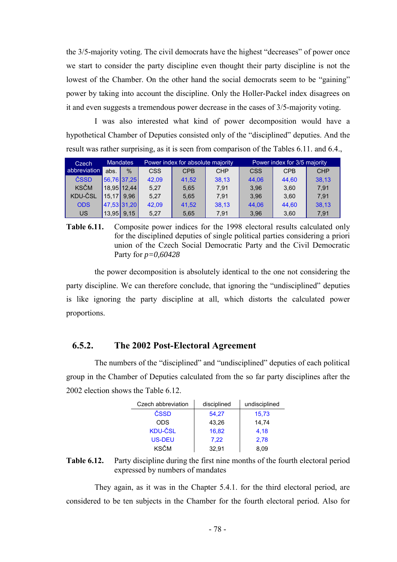the 3/5-majority voting. The civil democrats have the highest "decreases" of power once we start to consider the party discipline even thought their party discipline is not the lowest of the Chamber. On the other hand the social democrats seem to be "gaining" power by taking into account the discipline. Only the Holler-Packel index disagrees on it and even suggests a tremendous power decrease in the cases of 3/5-majority voting.

I was also interested what kind of power decomposition would have a hypothetical Chamber of Deputies consisted only of the "disciplined" deputies. And the result was rather surprising, as it is seen from comparison of the Tables 6.11. and 6.4.,

| <b>Mandates</b><br>Czech |       |               |            | Power index for absolute majority |            | Power index for 3/5 majority |            |            |  |
|--------------------------|-------|---------------|------------|-----------------------------------|------------|------------------------------|------------|------------|--|
| abbreviation             | abs.  | $\frac{0}{0}$ | <b>CSS</b> | <b>CPB</b>                        | <b>CHP</b> | <b>CSS</b>                   | <b>CPB</b> | <b>CHP</b> |  |
| ČSSD                     |       | 56,76 37,25   | 42.09      | 41.52                             | 38.13      | 44.06                        | 44.60      | 38.13      |  |
| <b>KSČM</b>              |       | $18,95$ 12,44 | 5.27       | 5.65                              | 7.91       | 3.96                         | 3.60       | 7.91       |  |
| KDU-ČSL                  |       | $15.17$ 9.96  | 5.27       | 5.65                              | 7.91       | 3.96                         | 3.60       | 7.91       |  |
| <b>ODS</b>               |       | 47,53 31,20   | 42.09      | 41.52                             | 38.13      | 44.06                        | 44.60      | 38.13      |  |
| US                       | 13,95 | 9.15          | 5.27       | 5,65                              | 7.91       | 3.96                         | 3,60       | 7.91       |  |

**Table 6.11.** Composite power indices for the 1998 electoral results calculated only for the disciplined deputies of single political parties considering a priori union of the Czech Social Democratic Party and the Civil Democratic Party for *p=0,60428*

the power decomposition is absolutely identical to the one not considering the party discipline. We can therefore conclude, that ignoring the "undisciplined" deputies is like ignoring the party discipline at all, which distorts the calculated power proportions.

#### **6.5.2. The 2002 Post-Electoral Agreement**

The numbers of the "disciplined" and "undisciplined" deputies of each political group in the Chamber of Deputies calculated from the so far party disciplines after the 2002 election shows the Table 6.12.

| Czech abbreviation | disciplined | undisciplined |
|--------------------|-------------|---------------|
| ČSSD               | 54,27       | 15,73         |
| <b>ODS</b>         | 43,26       | 14.74         |
| <b>KDU-ČSL</b>     | 16.82       | 4.18          |
| <b>US-DEU</b>      | 7.22        | 2,78          |
| <b>KSČM</b>        | 32.91       | 8.09          |

**Table 6.12.** Party discipline during the first nine months of the fourth electoral period expressed by numbers of mandates

They again, as it was in the Chapter 5.4.1. for the third electoral period, are considered to be ten subjects in the Chamber for the fourth electoral period. Also for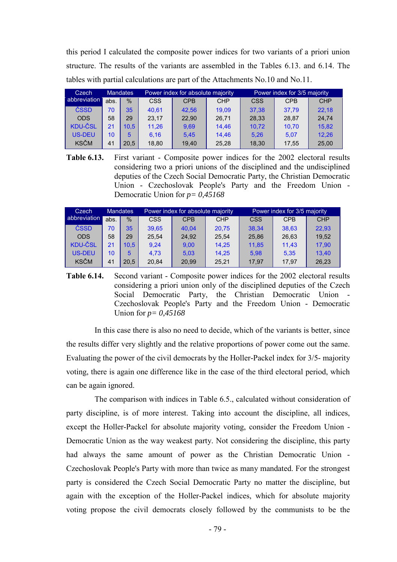this period I calculated the composite power indices for two variants of a priori union structure. The results of the variants are assembled in the Tables 6.13. and 6.14. The tables with partial calculations are part of the Attachments No.10 and No.11.

| Czech          | <b>Mandates</b> |      |       | Power index for absolute majority |            | Power index for 3/5 majority |            |            |  |
|----------------|-----------------|------|-------|-----------------------------------|------------|------------------------------|------------|------------|--|
| abbreviation   | abs.            | $\%$ | CSS   | <b>CPB</b>                        | <b>CHP</b> | <b>CSS</b>                   | <b>CPB</b> | <b>CHP</b> |  |
| ČSSD           | 70              | 35   | 40.61 | 42.56                             | 19.09      | 37.38                        | 37.79      | 22.18      |  |
| <b>ODS</b>     | 58              | 29   | 23.17 | 22.90                             | 26.71      | 28.33                        | 28.87      | 24.74      |  |
| <b>KDU-ČSL</b> | 21              | 10.5 | 11,26 | 9,69                              | 14.46      | 10.72                        | 10.70      | 15.82      |  |
| <b>US-DEU</b>  | 10              | 5    | 6.16  | 5.45                              | 14.46      | 5.26                         | 5.07       | 12.26      |  |
| <b>KSČM</b>    | 41              | 20.5 | 18,80 | 19.40                             | 25,28      | 18,30                        | 17,55      | 25,00      |  |

**Table 6.13.** First variant - Composite power indices for the 2002 electoral results considering two a priori unions of the disciplined and the undisciplined deputies of the Czech Social Democratic Party, the Christian Democratic Union - Czechoslovak People's Party and the Freedom Union - Democratic Union for *p= 0,45168*

| Czech          |      | <b>Mandates</b> |       | Power index for absolute majority |            | Power index for 3/5 majority |            |            |  |
|----------------|------|-----------------|-------|-----------------------------------|------------|------------------------------|------------|------------|--|
| abbreviation   | abs. | $\frac{0}{0}$   | CSS   | <b>CPB</b>                        | <b>CHP</b> | CSS                          | <b>CPB</b> | <b>CHP</b> |  |
| ČSSD           | 70   | 35              | 39.65 | 40.04                             | 20.75      | 38.34                        | 38.63      | 22.93      |  |
| <b>ODS</b>     | 58   | 29              | 25.54 | 24.92                             | 25.54      | 25,86                        | 26.63      | 19.52      |  |
| <b>KDU-ČSL</b> | 21   | 10.5            | 9.24  | 9,00                              | 14.25      | 11.85                        | 11.43      | 17,90      |  |
| <b>US-DEU</b>  | 10   | 5               | 4.73  | 5,03                              | 14.25      | 5.98                         | 5.35       | 13,40      |  |
| <b>KSČM</b>    | 41   | 20.5            | 20.84 | 20.99                             | 25.21      | 17,97                        | 17.97      | 26,23      |  |

**Table 6.14.** Second variant - Composite power indices for the 2002 electoral results considering a priori union only of the disciplined deputies of the Czech Social Democratic Party, the Christian Democratic Union - Czechoslovak People's Party and the Freedom Union - Democratic Union for *p= 0,45168*

In this case there is also no need to decide, which of the variants is better, since the results differ very slightly and the relative proportions of power come out the same. Evaluating the power of the civil democrats by the Holler-Packel index for 3/5- majority voting, there is again one difference like in the case of the third electoral period, which can be again ignored.

The comparison with indices in Table 6.5., calculated without consideration of party discipline, is of more interest. Taking into account the discipline, all indices, except the Holler-Packel for absolute majority voting, consider the Freedom Union - Democratic Union as the way weakest party. Not considering the discipline, this party had always the same amount of power as the Christian Democratic Union - Czechoslovak People's Party with more than twice as many mandated. For the strongest party is considered the Czech Social Democratic Party no matter the discipline, but again with the exception of the Holler-Packel indices, which for absolute majority voting propose the civil democrats closely followed by the communists to be the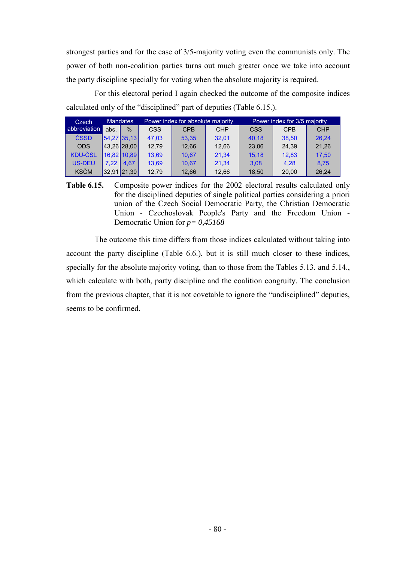strongest parties and for the case of 3/5-majority voting even the communists only. The power of both non-coalition parties turns out much greater once we take into account the party discipline specially for voting when the absolute majority is required.

For this electoral period I again checked the outcome of the composite indices calculated only of the "disciplined" part of deputies (Table 6.15.).

| <b>Mandates</b><br>Czech |      |               | Power index for absolute majority |            |            | Power index for 3/5 majority |            |            |
|--------------------------|------|---------------|-----------------------------------|------------|------------|------------------------------|------------|------------|
| abbreviation             | abs. | $\%$          | <b>CSS</b>                        | <b>CPB</b> | <b>CHP</b> | CSS                          | <b>CPB</b> | <b>CHP</b> |
| ČSSD                     |      | 54,27 35,13   | 47.03                             | 53.35      | 32.01      | 40.18                        | 38.50      | 26.24      |
| <b>ODS</b>               |      | 43.26 28.00   | 12.79                             | 12.66      | 12.66      | 23.06                        | 24.39      | 21.26      |
| <b>KDU-ČSL</b>           |      | 16.82 10.89   | 13.69                             | 10.67      | 21.34      | 15.18                        | 12.83      | 17.50      |
| <b>US-DEU</b>            | 7.22 | 4.67          | 13.69                             | 10.67      | 21.34      | 3.08                         | 4.28       | 8.75       |
| <b>KSČM</b>              |      | $32,91$ 21,30 | 12,79                             | 12.66      | 12.66      | 18,50                        | 20.00      | 26,24      |

**Table 6.15.** Composite power indices for the 2002 electoral results calculated only for the disciplined deputies of single political parties considering a priori union of the Czech Social Democratic Party, the Christian Democratic Union - Czechoslovak People's Party and the Freedom Union - Democratic Union for *p= 0,45168*

The outcome this time differs from those indices calculated without taking into account the party discipline (Table 6.6.), but it is still much closer to these indices, specially for the absolute majority voting, than to those from the Tables 5.13. and 5.14., which calculate with both, party discipline and the coalition congruity. The conclusion from the previous chapter, that it is not covetable to ignore the "undisciplined" deputies, seems to be confirmed.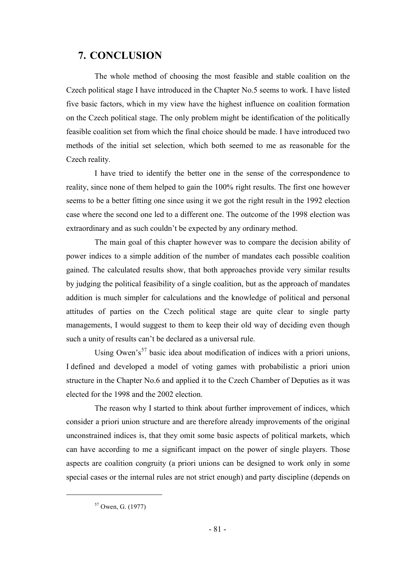## **7. CONCLUSION**

The whole method of choosing the most feasible and stable coalition on the Czech political stage I have introduced in the Chapter No.5 seems to work. I have listed five basic factors, which in my view have the highest influence on coalition formation on the Czech political stage. The only problem might be identification of the politically feasible coalition set from which the final choice should be made. I have introduced two methods of the initial set selection, which both seemed to me as reasonable for the Czech reality.

I have tried to identify the better one in the sense of the correspondence to reality, since none of them helped to gain the 100% right results. The first one however seems to be a better fitting one since using it we got the right result in the 1992 election case where the second one led to a different one. The outcome of the 1998 election was extraordinary and as such couldn't be expected by any ordinary method.

The main goal of this chapter however was to compare the decision ability of power indices to a simple addition of the number of mandates each possible coalition gained. The calculated results show, that both approaches provide very similar results by judging the political feasibility of a single coalition, but as the approach of mandates addition is much simpler for calculations and the knowledge of political and personal attitudes of parties on the Czech political stage are quite clear to single party managements, I would suggest to them to keep their old way of deciding even though such a unity of results can't be declared as a universal rule.

Using Owen's<sup>57</sup> basic idea about modification of indices with a priori unions, I defined and developed a model of voting games with probabilistic a priori union structure in the Chapter No.6 and applied it to the Czech Chamber of Deputies as it was elected for the 1998 and the 2002 election.

The reason why I started to think about further improvement of indices, which consider a priori union structure and are therefore already improvements of the original unconstrained indices is, that they omit some basic aspects of political markets, which can have according to me a significant impact on the power of single players. Those aspects are coalition congruity (a priori unions can be designed to work only in some special cases or the internal rules are not strict enough) and party discipline (depends on

<sup>57</sup> Owen, G. (1977)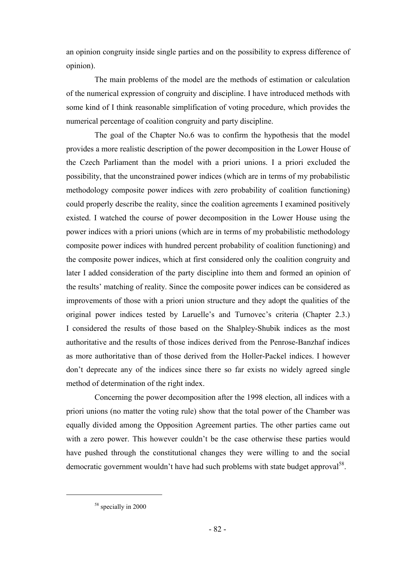an opinion congruity inside single parties and on the possibility to express difference of opinion).

The main problems of the model are the methods of estimation or calculation of the numerical expression of congruity and discipline. I have introduced methods with some kind of I think reasonable simplification of voting procedure, which provides the numerical percentage of coalition congruity and party discipline.

The goal of the Chapter No.6 was to confirm the hypothesis that the model provides a more realistic description of the power decomposition in the Lower House of the Czech Parliament than the model with a priori unions. I a priori excluded the possibility, that the unconstrained power indices (which are in terms of my probabilistic methodology composite power indices with zero probability of coalition functioning) could properly describe the reality, since the coalition agreements I examined positively existed. I watched the course of power decomposition in the Lower House using the power indices with a priori unions (which are in terms of my probabilistic methodology composite power indices with hundred percent probability of coalition functioning) and the composite power indices, which at first considered only the coalition congruity and later I added consideration of the party discipline into them and formed an opinion of the results' matching of reality. Since the composite power indices can be considered as improvements of those with a priori union structure and they adopt the qualities of the original power indices tested by Laruelle's and Turnovec's criteria (Chapter 2.3.) I considered the results of those based on the Shalpley-Shubik indices as the most authoritative and the results of those indices derived from the Penrose-Banzhaf indices as more authoritative than of those derived from the Holler-Packel indices. I however don't deprecate any of the indices since there so far exists no widely agreed single method of determination of the right index.

Concerning the power decomposition after the 1998 election, all indices with a priori unions (no matter the voting rule) show that the total power of the Chamber was equally divided among the Opposition Agreement parties. The other parties came out with a zero power. This however couldn't be the case otherwise these parties would have pushed through the constitutional changes they were willing to and the social democratic government wouldn't have had such problems with state budget approval<sup>58</sup>.

<sup>&</sup>lt;sup>58</sup> specially in 2000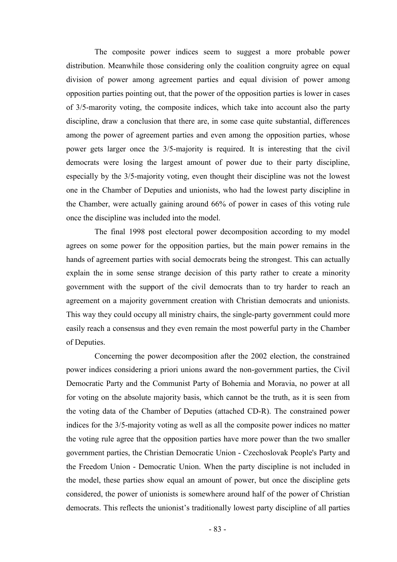The composite power indices seem to suggest a more probable power distribution. Meanwhile those considering only the coalition congruity agree on equal division of power among agreement parties and equal division of power among opposition parties pointing out, that the power of the opposition parties is lower in cases of 3/5-marority voting, the composite indices, which take into account also the party discipline, draw a conclusion that there are, in some case quite substantial, differences among the power of agreement parties and even among the opposition parties, whose power gets larger once the 3/5-majority is required. It is interesting that the civil democrats were losing the largest amount of power due to their party discipline, especially by the 3/5-majority voting, even thought their discipline was not the lowest one in the Chamber of Deputies and unionists, who had the lowest party discipline in the Chamber, were actually gaining around 66% of power in cases of this voting rule once the discipline was included into the model.

The final 1998 post electoral power decomposition according to my model agrees on some power for the opposition parties, but the main power remains in the hands of agreement parties with social democrats being the strongest. This can actually explain the in some sense strange decision of this party rather to create a minority government with the support of the civil democrats than to try harder to reach an agreement on a majority government creation with Christian democrats and unionists. This way they could occupy all ministry chairs, the single-party government could more easily reach a consensus and they even remain the most powerful party in the Chamber of Deputies.

Concerning the power decomposition after the 2002 election, the constrained power indices considering a priori unions award the non-government parties, the Civil Democratic Party and the Communist Party of Bohemia and Moravia, no power at all for voting on the absolute majority basis, which cannot be the truth, as it is seen from the voting data of the Chamber of Deputies (attached CD-R). The constrained power indices for the 3/5-majority voting as well as all the composite power indices no matter the voting rule agree that the opposition parties have more power than the two smaller government parties, the Christian Democratic Union - Czechoslovak People's Party and the Freedom Union - Democratic Union. When the party discipline is not included in the model, these parties show equal an amount of power, but once the discipline gets considered, the power of unionists is somewhere around half of the power of Christian democrats. This reflects the unionist's traditionally lowest party discipline of all parties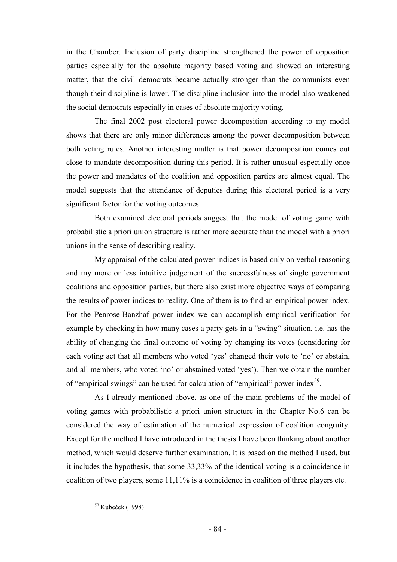in the Chamber. Inclusion of party discipline strengthened the power of opposition parties especially for the absolute majority based voting and showed an interesting matter, that the civil democrats became actually stronger than the communists even though their discipline is lower. The discipline inclusion into the model also weakened the social democrats especially in cases of absolute majority voting.

The final 2002 post electoral power decomposition according to my model shows that there are only minor differences among the power decomposition between both voting rules. Another interesting matter is that power decomposition comes out close to mandate decomposition during this period. It is rather unusual especially once the power and mandates of the coalition and opposition parties are almost equal. The model suggests that the attendance of deputies during this electoral period is a very significant factor for the voting outcomes.

Both examined electoral periods suggest that the model of voting game with probabilistic a priori union structure is rather more accurate than the model with a priori unions in the sense of describing reality.

My appraisal of the calculated power indices is based only on verbal reasoning and my more or less intuitive judgement of the successfulness of single government coalitions and opposition parties, but there also exist more objective ways of comparing the results of power indices to reality. One of them is to find an empirical power index. For the Penrose-Banzhaf power index we can accomplish empirical verification for example by checking in how many cases a party gets in a "swing" situation, i.e. has the ability of changing the final outcome of voting by changing its votes (considering for each voting act that all members who voted 'yes' changed their vote to 'no' or abstain, and all members, who voted 'no' or abstained voted 'yes'). Then we obtain the number of "empirical swings" can be used for calculation of "empirical" power index<sup>59</sup>.

As I already mentioned above, as one of the main problems of the model of voting games with probabilistic a priori union structure in the Chapter No.6 can be considered the way of estimation of the numerical expression of coalition congruity. Except for the method I have introduced in the thesis I have been thinking about another method, which would deserve further examination. It is based on the method I used, but it includes the hypothesis, that some 33,33% of the identical voting is a coincidence in coalition of two players, some 11,11% is a coincidence in coalition of three players etc.

<sup>59</sup> Kubeček (1998)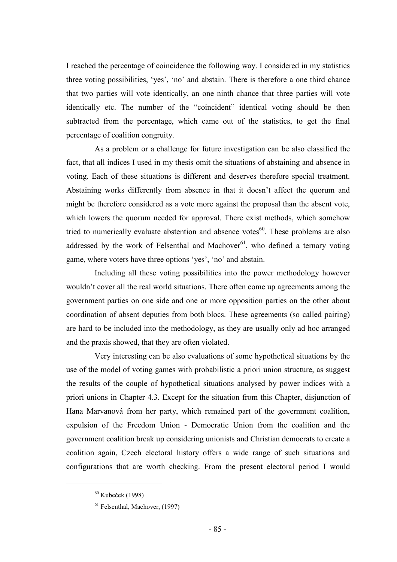I reached the percentage of coincidence the following way. I considered in my statistics three voting possibilities, 'yes', 'no' and abstain. There is therefore a one third chance that two parties will vote identically, an one ninth chance that three parties will vote identically etc. The number of the "coincident" identical voting should be then subtracted from the percentage, which came out of the statistics, to get the final percentage of coalition congruity.

As a problem or a challenge for future investigation can be also classified the fact, that all indices I used in my thesis omit the situations of abstaining and absence in voting. Each of these situations is different and deserves therefore special treatment. Abstaining works differently from absence in that it doesn't affect the quorum and might be therefore considered as a vote more against the proposal than the absent vote, which lowers the quorum needed for approval. There exist methods, which somehow tried to numerically evaluate abstention and absence votes $^{60}$ . These problems are also addressed by the work of Felsenthal and Machover<sup>61</sup>, who defined a ternary voting game, where voters have three options 'yes', 'no' and abstain.

Including all these voting possibilities into the power methodology however wouldn't cover all the real world situations. There often come up agreements among the government parties on one side and one or more opposition parties on the other about coordination of absent deputies from both blocs. These agreements (so called pairing) are hard to be included into the methodology, as they are usually only ad hoc arranged and the praxis showed, that they are often violated.

Very interesting can be also evaluations of some hypothetical situations by the use of the model of voting games with probabilistic a priori union structure, as suggest the results of the couple of hypothetical situations analysed by power indices with a priori unions in Chapter 4.3. Except for the situation from this Chapter, disjunction of Hana Marvanová from her party, which remained part of the government coalition, expulsion of the Freedom Union - Democratic Union from the coalition and the government coalition break up considering unionists and Christian democrats to create a coalition again, Czech electoral history offers a wide range of such situations and configurations that are worth checking. From the present electoral period I would

 $60$  Kubeček (1998)

<sup>61</sup> Felsenthal, Machover, (1997)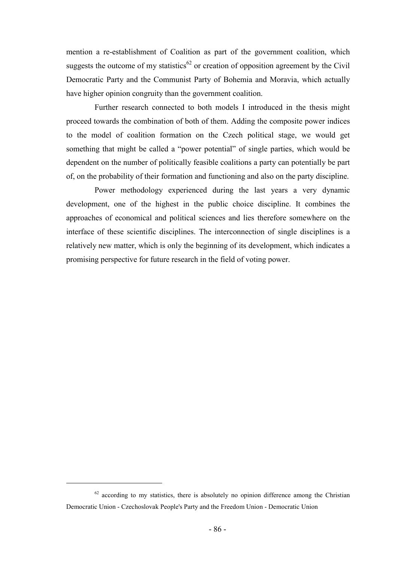mention a re-establishment of Coalition as part of the government coalition, which suggests the outcome of my statistics<sup>62</sup> or creation of opposition agreement by the Civil Democratic Party and the Communist Party of Bohemia and Moravia, which actually have higher opinion congruity than the government coalition.

Further research connected to both models I introduced in the thesis might proceed towards the combination of both of them. Adding the composite power indices to the model of coalition formation on the Czech political stage, we would get something that might be called a "power potential" of single parties, which would be dependent on the number of politically feasible coalitions a party can potentially be part of, on the probability of their formation and functioning and also on the party discipline.

Power methodology experienced during the last years a very dynamic development, one of the highest in the public choice discipline. It combines the approaches of economical and political sciences and lies therefore somewhere on the interface of these scientific disciplines. The interconnection of single disciplines is a relatively new matter, which is only the beginning of its development, which indicates a promising perspective for future research in the field of voting power.

 $62$  according to my statistics, there is absolutely no opinion difference among the Christian Democratic Union - Czechoslovak People's Party and the Freedom Union - Democratic Union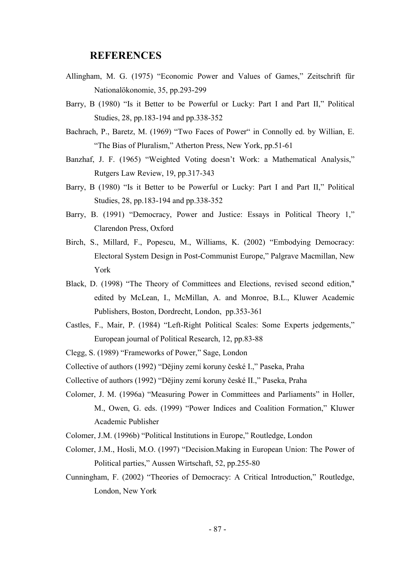#### **REFERENCES**

- Allingham, M. G. (1975) "Economic Power and Values of Games," Zeitschrift für Nationalökonomie, 35, pp.293-299
- Barry, B (1980) "Is it Better to be Powerful or Lucky: Part I and Part II," Political Studies, 28, pp.183-194 and pp.338-352
- Bachrach, P., Baretz, M. (1969) "Two Faces of Power" in Connolly ed. by Willian, E. "The Bias of Pluralism," Atherton Press, New York, pp.51-61
- Banzhaf, J. F. (1965) "Weighted Voting doesn't Work: a Mathematical Analysis," Rutgers Law Review, 19, pp.317-343
- Barry, B (1980) "Is it Better to be Powerful or Lucky: Part I and Part II," Political Studies, 28, pp.183-194 and pp.338-352
- Barry, B. (1991) "Democracy, Power and Justice: Essays in Political Theory 1," Clarendon Press, Oxford
- Birch, S., Millard, F., Popescu, M., Williams, K. (2002) "Embodying Democracy: Electoral System Design in Post-Communist Europe," Palgrave Macmillan, New York
- Black, D. (1998) "The Theory of Committees and Elections, revised second edition," edited by McLean, I., McMillan, A. and Monroe, B.L., Kluwer Academic Publishers, Boston, Dordrecht, London, pp.353-361
- Castles, F., Mair, P. (1984) "Left-Right Political Scales: Some Experts jedgements," European journal of Political Research, 12, pp.83-88
- Clegg, S. (1989) "Frameworks of Power," Sage, London

Collective of authors (1992) "Dějiny zemí koruny české I.," Paseka, Praha

- Collective of authors (1992) "Dějiny zemí koruny české II.," Paseka, Praha
- Colomer, J. M. (1996a) "Measuring Power in Committees and Parliaments" in Holler, M., Owen, G. eds. (1999) "Power Indices and Coalition Formation," Kluwer Academic Publisher
- Colomer, J.M. (1996b) "Political Institutions in Europe," Routledge, London
- Colomer, J.M., Hosli, M.O. (1997) "Decision.Making in European Union: The Power of Political parties," Aussen Wirtschaft, 52, pp.255-80
- Cunningham, F. (2002) "Theories of Democracy: A Critical Introduction," Routledge, London, New York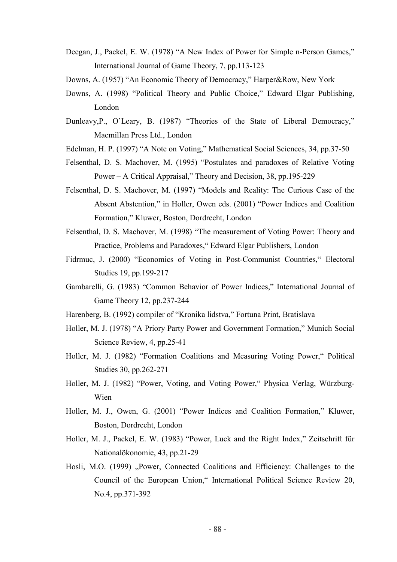- Deegan, J., Packel, E. W. (1978) "A New Index of Power for Simple n-Person Games," International Journal of Game Theory, 7, pp.113-123
- Downs, A. (1957) "An Economic Theory of Democracy," Harper&Row, New York
- Downs, A. (1998) "Political Theory and Public Choice," Edward Elgar Publishing, London
- Dunleavy,P., O'Leary, B. (1987) "Theories of the State of Liberal Democracy," Macmillan Press Ltd., London
- Edelman, H. P. (1997) "A Note on Voting," Mathematical Social Sciences, 34, pp.37-50
- Felsenthal, D. S. Machover, M. (1995) "Postulates and paradoxes of Relative Voting Power – A Critical Appraisal," Theory and Decision, 38, pp.195-229
- Felsenthal, D. S. Machover, M. (1997) "Models and Reality: The Curious Case of the Absent Abstention," in Holler, Owen eds. (2001) "Power Indices and Coalition Formation," Kluwer, Boston, Dordrecht, London
- Felsenthal, D. S. Machover, M. (1998) "The measurement of Voting Power: Theory and Practice, Problems and Paradoxes," Edward Elgar Publishers, London
- Fidrmuc, J. (2000) "Economics of Voting in Post-Communist Countries," Electoral Studies 19, pp.199-217
- Gambarelli, G. (1983) "Common Behavior of Power Indices," International Journal of Game Theory 12, pp.237-244
- Harenberg, B. (1992) compiler of "Kronika lidstva," Fortuna Print, Bratislava
- Holler, M. J. (1978) "A Priory Party Power and Government Formation," Munich Social Science Review, 4, pp.25-41
- Holler, M. J. (1982) "Formation Coalitions and Measuring Voting Power," Political Studies 30, pp.262-271
- Holler, M. J. (1982) "Power, Voting, and Voting Power," Physica Verlag, Würzburg-Wien
- Holler, M. J., Owen, G. (2001) "Power Indices and Coalition Formation," Kluwer, Boston, Dordrecht, London
- Holler, M. J., Packel, E. W. (1983) "Power, Luck and the Right Index," Zeitschrift für Nationalökonomie, 43, pp.21-29
- Hosli, M.O. (1999) "Power, Connected Coalitions and Efficiency: Challenges to the Council of the European Union," International Political Science Review 20, No.4, pp.371-392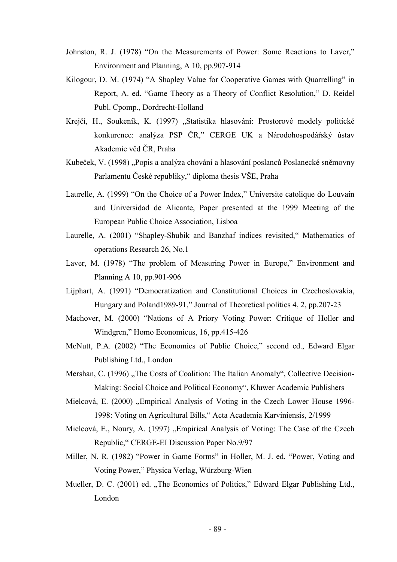- Johnston, R. J. (1978) "On the Measurements of Power: Some Reactions to Laver," Environment and Planning, A 10, pp.907-914
- Kilogour, D. M. (1974) "A Shapley Value for Cooperative Games with Quarrelling" in Report, A. ed. "Game Theory as a Theory of Conflict Resolution," D. Reidel Publ. Cpomp., Dordrecht-Holland
- Krejčí, H., Soukeník, K. (1997) "Statistika hlasování: Prostorové modely politické konkurence: analýza PSP ČR," CERGE UK a Národohospodářský ústav Akademie věd ČR, Praha
- Kubeček, V. (1998) "Popis a analýza chování a hlasování poslanců Poslanecké sněmovny Parlamentu České republiky," diploma thesis VŠE, Praha
- Laurelle, A. (1999) "On the Choice of a Power Index," Universite catolique do Louvain and Universidad de Alicante, Paper presented at the 1999 Meeting of the European Public Choice Association, Lisboa
- Laurelle, A. (2001) "Shapley-Shubik and Banzhaf indices revisited," Mathematics of operations Research 26, No.1
- Laver, M. (1978) "The problem of Measuring Power in Europe," Environment and Planning A 10, pp.901-906
- Lijphart, A. (1991) "Democratization and Constitutional Choices in Czechoslovakia, Hungary and Poland1989-91," Journal of Theoretical politics 4, 2, pp.207-23
- Machover, M. (2000) "Nations of A Priory Voting Power: Critique of Holler and Windgren," Homo Economicus, 16, pp.415-426
- McNutt, P.A. (2002) "The Economics of Public Choice," second ed., Edward Elgar Publishing Ltd., London
- Mershan, C. (1996) "The Costs of Coalition: The Italian Anomaly", Collective Decision-Making: Social Choice and Political Economy", Kluwer Academic Publishers
- Mielcová, E. (2000) "Empirical Analysis of Voting in the Czech Lower House 1996-1998: Voting on Agricultural Bills," Acta Academia Karviniensis, 2/1999
- Mielcová, E., Noury, A. (1997) "Empirical Analysis of Voting: The Case of the Czech Republic," CERGE-EI Discussion Paper No.9/97
- Miller, N. R. (1982) "Power in Game Forms" in Holler, M. J. ed. "Power, Voting and Voting Power," Physica Verlag, Würzburg-Wien
- Mueller, D. C. (2001) ed. "The Economics of Politics," Edward Elgar Publishing Ltd., London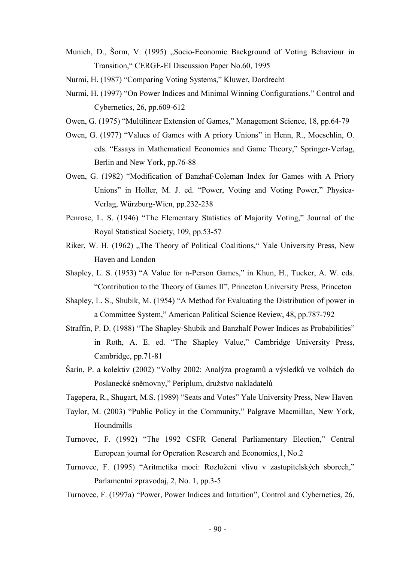Munich, D., Šorm, V. (1995) "Socio-Economic Background of Voting Behaviour in Transition," CERGE-EI Discussion Paper No.60, 1995

Nurmi, H. (1987) "Comparing Voting Systems," Kluwer, Dordrecht

- Nurmi, H. (1997) "On Power Indices and Minimal Winning Configurations," Control and Cybernetics, 26, pp.609-612
- Owen, G. (1975) "Multilinear Extension of Games," Management Science, 18, pp.64-79
- Owen, G. (1977) "Values of Games with A priory Unions" in Henn, R., Moeschlin, O. eds. "Essays in Mathematical Economics and Game Theory," Springer-Verlag, Berlin and New York, pp.76-88
- Owen, G. (1982) "Modification of Banzhaf-Coleman Index for Games with A Priory Unions" in Holler, M. J. ed. "Power, Voting and Voting Power," Physica-Verlag, Würzburg-Wien, pp.232-238
- Penrose, L. S. (1946) "The Elementary Statistics of Majority Voting," Journal of the Royal Statistical Society, 109, pp.53-57
- Riker, W. H. (1962) "The Theory of Political Coalitions," Yale University Press, New Haven and London
- Shapley, L. S. (1953) "A Value for n-Person Games," in Khun, H., Tucker, A. W. eds. "Contribution to the Theory of Games II", Princeton University Press, Princeton
- Shapley, L. S., Shubik, M. (1954) "A Method for Evaluating the Distribution of power in a Committee System," American Political Science Review, 48, pp.787-792
- Straffin, P. D. (1988) "The Shapley-Shubik and Banzhalf Power Indices as Probabilities" in Roth, A. E. ed. "The Shapley Value," Cambridge University Press, Cambridge, pp.71-81
- Šarín, P. a kolektiv (2002) "Volby 2002: Analýza programů a výsledků ve volbách do Poslanecké sněmovny," Periplum, družstvo nakladatelů
- Tagepera, R., Shugart, M.S. (1989) "Seats and Votes" Yale University Press, New Haven
- Taylor, M. (2003) "Public Policy in the Community," Palgrave Macmillan, New York, Houndmills
- Turnovec, F. (1992) "The 1992 CSFR General Parliamentary Election," Central European journal for Operation Research and Economics,1, No.2
- Turnovec, F. (1995) "Aritmetika moci: Rozložení vlivu v zastupitelských sborech," Parlamentní zpravodaj, 2, No. 1, pp.3-5
- Turnovec, F. (1997a) "Power, Power Indices and Intuition", Control and Cybernetics, 26,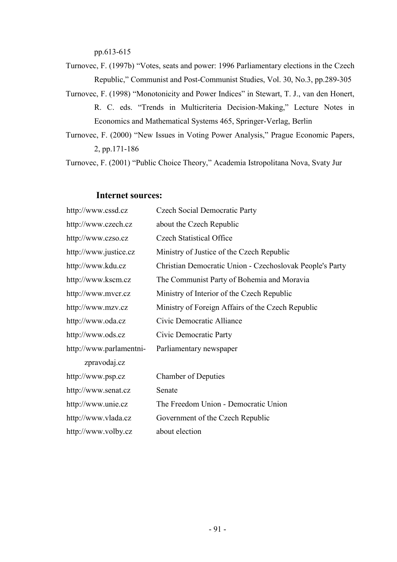pp.613-615

Turnovec, F. (1997b) "Votes, seats and power: 1996 Parliamentary elections in the Czech Republic," Communist and Post-Communist Studies, Vol. 30, No.3, pp.289-305

Turnovec, F. (1998) "Monotonicity and Power Indices" in Stewart, T. J., van den Honert, R. C. eds. "Trends in Multicriteria Decision-Making," Lecture Notes in Economics and Mathematical Systems 465, Springer-Verlag, Berlin

Turnovec, F. (2000) "New Issues in Voting Power Analysis," Prague Economic Papers, 2, pp.171-186

Turnovec, F. (2001) "Public Choice Theory," Academia Istropolitana Nova, Svaty Jur

#### **Internet sources:**

| http://www.cssd.cz      | <b>Czech Social Democratic Party</b>                     |
|-------------------------|----------------------------------------------------------|
| http://www.czech.cz     | about the Czech Republic                                 |
| http://www.czso.cz      | <b>Czech Statistical Office</b>                          |
| http://www.justice.cz   | Ministry of Justice of the Czech Republic                |
| http://www.kdu.cz       | Christian Democratic Union - Czechoslovak People's Party |
| http://www.kscm.cz      | The Communist Party of Bohemia and Moravia               |
| http://www.mvcr.cz      | Ministry of Interior of the Czech Republic               |
| http://www.mzv.cz       | Ministry of Foreign Affairs of the Czech Republic        |
| http://www.oda.cz       | Civic Democratic Alliance                                |
| http://www.ods.cz       | Civic Democratic Party                                   |
| http://www.parlamentni- | Parliamentary newspaper                                  |
| zpravodaj.cz            |                                                          |
| http://www.psp.cz       | <b>Chamber of Deputies</b>                               |
| http://www.senat.cz     | Senate                                                   |
| http://www.unie.cz      | The Freedom Union - Democratic Union                     |
| http://www.vlada.cz     | Government of the Czech Republic                         |
| http://www.volby.cz     | about election                                           |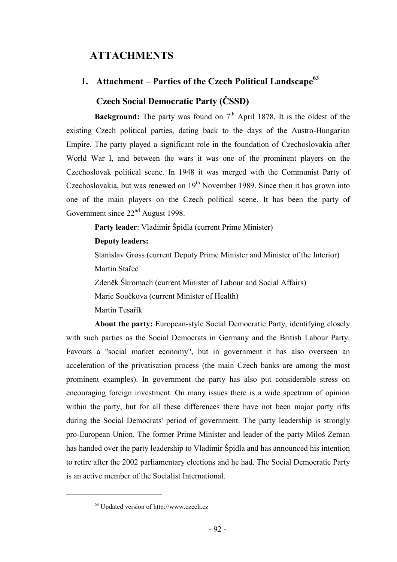## **ATTACHMENTS**

## **1. Attachment – Parties of the Czech Political Landscape63**

## **Czech Social Democratic Party (ČSSD)**

**Background:** The party was found on  $7<sup>th</sup>$  April 1878. It is the oldest of the existing Czech political parties, dating back to the days of the Austro-Hungarian Empire. The party played a significant role in the foundation of Czechoslovakia after World War I, and between the wars it was one of the prominent players on the Czechoslovak political scene. In 1948 it was merged with the Communist Party of Czechoslovakia, but was renewed on  $19<sup>th</sup>$  November 1989. Since then it has grown into one of the main players on the Czech political scene. It has been the party of Government since 22<sup>nd</sup> August 1998.

**Party leader**: Vladimir Špidla (current Prime Minister)

### **Deputy leaders:**

Stanislav Gross (current Deputy Prime Minister and Minister of the Interior)

Martin Stařec

Zdeněk Škromach (current Minister of Labour and Social Affairs)

Marie Součkova (current Minister of Health)

Martin Tesařík

**About the party:** European-style Social Democratic Party, identifying closely with such parties as the Social Democrats in Germany and the British Labour Party. Favours a "social market economy", but in government it has also overseen an acceleration of the privatisation process (the main Czech banks are among the most prominent examples). In government the party has also put considerable stress on encouraging foreign investment. On many issues there is a wide spectrum of opinion within the party, but for all these differences there have not been major party rifts during the Social Democrats' period of government. The party leadership is strongly pro-European Union. The former Prime Minister and leader of the party Miloš Zeman has handed over the party leadership to Vladimir Špidla and has announced his intention to retire after the 2002 parliamentary elections and he had. The Social Democratic Party is an active member of the Socialist International.

<sup>63</sup> Updated version of http://www.czech.cz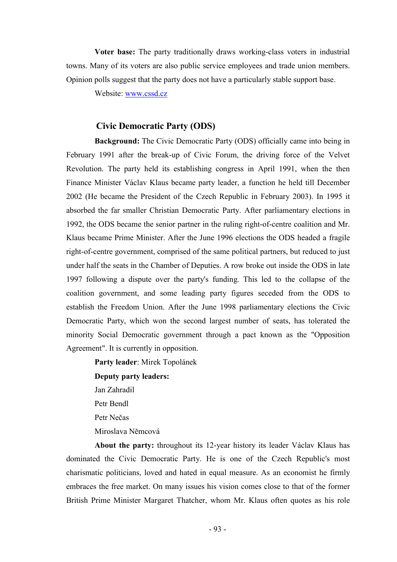**Voter base:** The party traditionally draws working-class voters in industrial towns. Many of its voters are also public service employees and trade union members. Opinion polls suggest that the party does not have a particularly stable support base.

Website: www.cssd.cz

#### **Civic Democratic Party (ODS)**

**Background:** The Civic Democratic Party (ODS) officially came into being in February 1991 after the break-up of Civic Forum, the driving force of the Velvet Revolution. The party held its establishing congress in April 1991, when the then Finance Minister Václav Klaus became party leader, a function he held till December 2002 (He became the President of the Czech Republic in February 2003). In 1995 it absorbed the far smaller Christian Democratic Party. After parliamentary elections in 1992, the ODS became the senior partner in the ruling right-of-centre coalition and Mr. Klaus became Prime Minister. After the June 1996 elections the ODS headed a fragile right-of-centre government, comprised of the same political partners, but reduced to just under half the seats in the Chamber of Deputies. A row broke out inside the ODS in late 1997 following a dispute over the party's funding. This led to the collapse of the coalition government, and some leading party figures seceded from the ODS to establish the Freedom Union. After the June 1998 parliamentary elections the Civic Democratic Party, which won the second largest number of seats, has tolerated the minority Social Democratic government through a pact known as the "Opposition Agreement". It is currently in opposition.

**Party leader**: Mirek Topolánek **Deputy party leaders:** Jan Zahradil Petr Bendl Petr Nečas Miroslava Němcová

**About the party:** throughout its 12-year history its leader Václav Klaus has dominated the Civic Democratic Party. He is one of the Czech Republic's most charismatic politicians, loved and hated in equal measure. As an economist he firmly embraces the free market. On many issues his vision comes close to that of the former British Prime Minister Margaret Thatcher, whom Mr. Klaus often quotes as his role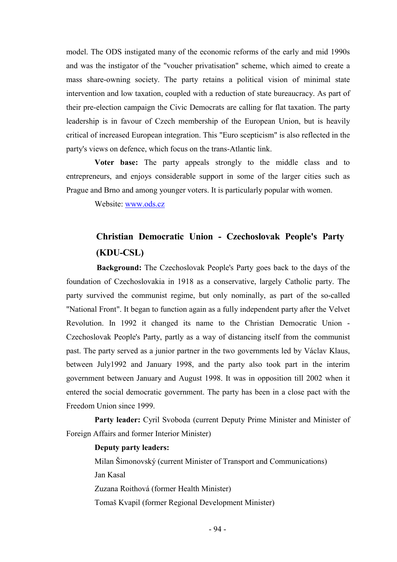model. The ODS instigated many of the economic reforms of the early and mid 1990s and was the instigator of the "voucher privatisation" scheme, which aimed to create a mass share-owning society. The party retains a political vision of minimal state intervention and low taxation, coupled with a reduction of state bureaucracy. As part of their pre-election campaign the Civic Democrats are calling for flat taxation. The party leadership is in favour of Czech membership of the European Union, but is heavily critical of increased European integration. This "Euro scepticism" is also reflected in the party's views on defence, which focus on the trans-Atlantic link.

**Voter base:** The party appeals strongly to the middle class and to entrepreneurs, and enjoys considerable support in some of the larger cities such as Prague and Brno and among younger voters. It is particularly popular with women.

Website: www.ods.cz

## **Christian Democratic Union - Czechoslovak People's Party (KDU-CSL)**

 **Background:** The Czechoslovak People's Party goes back to the days of the foundation of Czechoslovakia in 1918 as a conservative, largely Catholic party. The party survived the communist regime, but only nominally, as part of the so-called "National Front". It began to function again as a fully independent party after the Velvet Revolution. In 1992 it changed its name to the Christian Democratic Union - Czechoslovak People's Party, partly as a way of distancing itself from the communist past. The party served as a junior partner in the two governments led by Václav Klaus, between July1992 and January 1998, and the party also took part in the interim government between January and August 1998. It was in opposition till 2002 when it entered the social democratic government. The party has been in a close pact with the Freedom Union since 1999.

Party leader: Cyril Svoboda (current Deputy Prime Minister and Minister of Foreign Affairs and former Interior Minister)

#### **Deputy party leaders:**

Milan Šimonovský (current Minister of Transport and Communications) Jan Kasal Zuzana Roithová (former Health Minister) Tomaš Kvapil (former Regional Development Minister)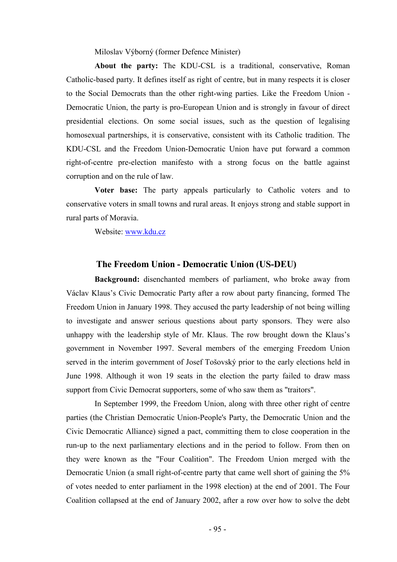Miloslav Výborný (former Defence Minister)

**About the party:** The KDU-CSL is a traditional, conservative, Roman Catholic-based party. It defines itself as right of centre, but in many respects it is closer to the Social Democrats than the other right-wing parties. Like the Freedom Union - Democratic Union, the party is pro-European Union and is strongly in favour of direct presidential elections. On some social issues, such as the question of legalising homosexual partnerships, it is conservative, consistent with its Catholic tradition. The KDU-CSL and the Freedom Union-Democratic Union have put forward a common right-of-centre pre-election manifesto with a strong focus on the battle against corruption and on the rule of law.

**Voter base:** The party appeals particularly to Catholic voters and to conservative voters in small towns and rural areas. It enjoys strong and stable support in rural parts of Moravia.

Website: www.kdu.cz

#### **The Freedom Union - Democratic Union (US-DEU)**

**Background:** disenchanted members of parliament, who broke away from Václav Klaus's Civic Democratic Party after a row about party financing, formed The Freedom Union in January 1998. They accused the party leadership of not being willing to investigate and answer serious questions about party sponsors. They were also unhappy with the leadership style of Mr. Klaus. The row brought down the Klaus's government in November 1997. Several members of the emerging Freedom Union served in the interim government of Josef Tošovský prior to the early elections held in June 1998. Although it won 19 seats in the election the party failed to draw mass support from Civic Democrat supporters, some of who saw them as "traitors".

In September 1999, the Freedom Union, along with three other right of centre parties (the Christian Democratic Union-People's Party, the Democratic Union and the Civic Democratic Alliance) signed a pact, committing them to close cooperation in the run-up to the next parliamentary elections and in the period to follow. From then on they were known as the "Four Coalition". The Freedom Union merged with the Democratic Union (a small right-of-centre party that came well short of gaining the 5% of votes needed to enter parliament in the 1998 election) at the end of 2001. The Four Coalition collapsed at the end of January 2002, after a row over how to solve the debt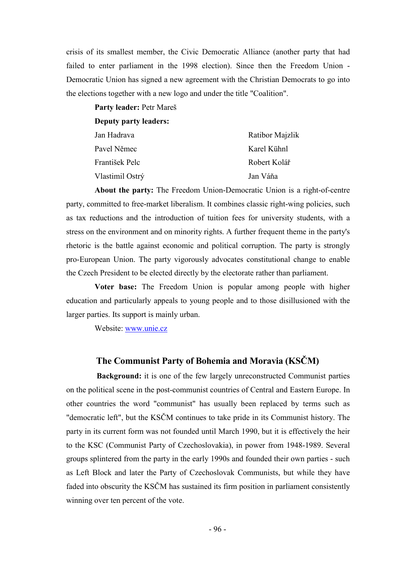crisis of its smallest member, the Civic Democratic Alliance (another party that had failed to enter parliament in the 1998 election). Since then the Freedom Union - Democratic Union has signed a new agreement with the Christian Democrats to go into the elections together with a new logo and under the title "Coalition".

**Party leader:** Petr Mareš

**Deputy party leaders:**

| Ratibor Majzlik |
|-----------------|
| Karel Kühnl     |
| Robert Kolář    |
| Jan Váňa        |
|                 |

**About the party:** The Freedom Union-Democratic Union is a right-of-centre party, committed to free-market liberalism. It combines classic right-wing policies, such as tax reductions and the introduction of tuition fees for university students, with a stress on the environment and on minority rights. A further frequent theme in the party's rhetoric is the battle against economic and political corruption. The party is strongly pro-European Union. The party vigorously advocates constitutional change to enable the Czech President to be elected directly by the electorate rather than parliament.

**Voter base:** The Freedom Union is popular among people with higher education and particularly appeals to young people and to those disillusioned with the larger parties. Its support is mainly urban.

Website: www.unie.cz

## **The Communist Party of Bohemia and Moravia (KSČM)**

 **Background:** it is one of the few largely unreconstructed Communist parties on the political scene in the post-communist countries of Central and Eastern Europe. In other countries the word "communist" has usually been replaced by terms such as "democratic left", but the KSČM continues to take pride in its Communist history. The party in its current form was not founded until March 1990, but it is effectively the heir to the KSC (Communist Party of Czechoslovakia), in power from 1948-1989. Several groups splintered from the party in the early 1990s and founded their own parties - such as Left Block and later the Party of Czechoslovak Communists, but while they have faded into obscurity the KSČM has sustained its firm position in parliament consistently winning over ten percent of the vote.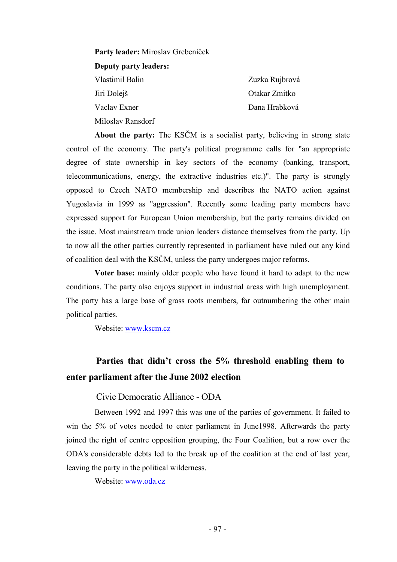**Party leader:** Miroslav Grebeníček **Deputy party leaders:** Vlastimil Balin Jiri Dolejš Vaclav Exner Miloslav Ransdorf

Zuzka Rujbrová Otakar Zmitko Dana Hrabková

**About the party:** The KSČM is a socialist party, believing in strong state control of the economy. The party's political programme calls for "an appropriate degree of state ownership in key sectors of the economy (banking, transport, telecommunications, energy, the extractive industries etc.)". The party is strongly opposed to Czech NATO membership and describes the NATO action against Yugoslavia in 1999 as "aggression". Recently some leading party members have expressed support for European Union membership, but the party remains divided on the issue. Most mainstream trade union leaders distance themselves from the party. Up to now all the other parties currently represented in parliament have ruled out any kind of coalition deal with the KSČM, unless the party undergoes major reforms.

**Voter base:** mainly older people who have found it hard to adapt to the new conditions. The party also enjoys support in industrial areas with high unemployment. The party has a large base of grass roots members, far outnumbering the other main political parties.

Website: www.kscm.cz

## **Parties that didn't cross the 5% threshold enabling them to enter parliament after the June 2002 election**

Civic Democratic Alliance - ODA

Between 1992 and 1997 this was one of the parties of government. It failed to win the 5% of votes needed to enter parliament in June1998. Afterwards the party joined the right of centre opposition grouping, the Four Coalition, but a row over the ODA's considerable debts led to the break up of the coalition at the end of last year, leaving the party in the political wilderness.

Website: www.oda.cz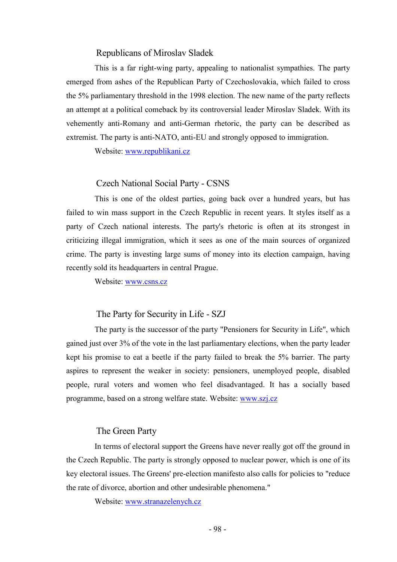#### Republicans of Miroslav Sladek

This is a far right-wing party, appealing to nationalist sympathies. The party emerged from ashes of the Republican Party of Czechoslovakia, which failed to cross the 5% parliamentary threshold in the 1998 election. The new name of the party reflects an attempt at a political comeback by its controversial leader Miroslav Sladek. With its vehemently anti-Romany and anti-German rhetoric, the party can be described as extremist. The party is anti-NATO, anti-EU and strongly opposed to immigration.

Website: www.republikani.cz

#### Czech National Social Party - CSNS

This is one of the oldest parties, going back over a hundred years, but has failed to win mass support in the Czech Republic in recent years. It styles itself as a party of Czech national interests. The party's rhetoric is often at its strongest in criticizing illegal immigration, which it sees as one of the main sources of organized crime. The party is investing large sums of money into its election campaign, having recently sold its headquarters in central Prague.

Website: www.csns.cz

#### The Party for Security in Life - SZJ

The party is the successor of the party "Pensioners for Security in Life", which gained just over 3% of the vote in the last parliamentary elections, when the party leader kept his promise to eat a beetle if the party failed to break the 5% barrier. The party aspires to represent the weaker in society: pensioners, unemployed people, disabled people, rural voters and women who feel disadvantaged. It has a socially based programme, based on a strong welfare state. Website: www.szj.cz

#### The Green Party

In terms of electoral support the Greens have never really got off the ground in the Czech Republic. The party is strongly opposed to nuclear power, which is one of its key electoral issues. The Greens' pre-election manifesto also calls for policies to "reduce the rate of divorce, abortion and other undesirable phenomena."

Website: www.stranazelenych.cz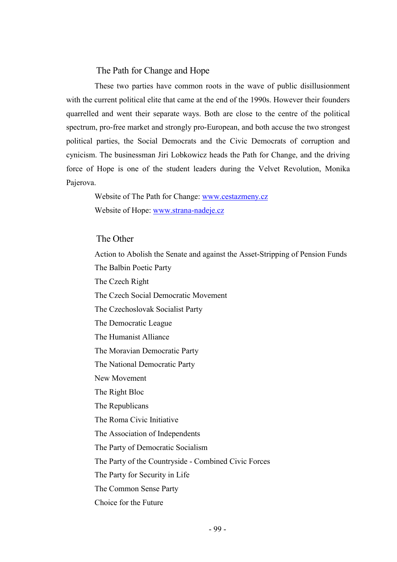#### The Path for Change and Hope

These two parties have common roots in the wave of public disillusionment with the current political elite that came at the end of the 1990s. However their founders quarrelled and went their separate ways. Both are close to the centre of the political spectrum, pro-free market and strongly pro-European, and both accuse the two strongest political parties, the Social Democrats and the Civic Democrats of corruption and cynicism. The businessman Jiri Lobkowicz heads the Path for Change, and the driving force of Hope is one of the student leaders during the Velvet Revolution, Monika Pajerova.

Website of The Path for Change: www.cestazmeny.cz Website of Hope: www.strana-nadeje.cz

#### The Other

Action to Abolish the Senate and against the Asset-Stripping of Pension Funds The Balbin Poetic Party The Czech Right The Czech Social Democratic Movement The Czechoslovak Socialist Party The Democratic League The Humanist Alliance The Moravian Democratic Party The National Democratic Party New Movement The Right Bloc The Republicans The Roma Civic Initiative The Association of Independents The Party of Democratic Socialism The Party of the Countryside - Combined Civic Forces The Party for Security in Life The Common Sense Party Choice for the Future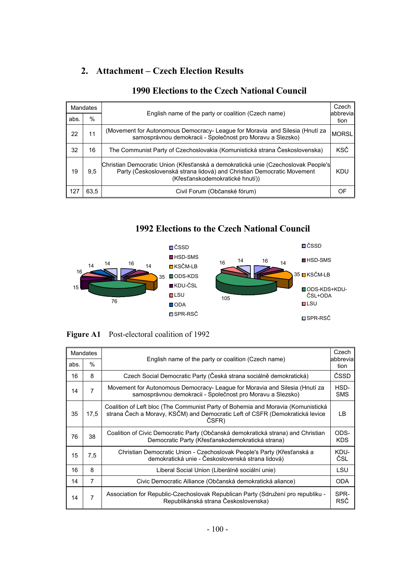## **2. Attachment – Czech Election Results**

| Mandates |      |                                                                                                                                                                                                |              |  |  |
|----------|------|------------------------------------------------------------------------------------------------------------------------------------------------------------------------------------------------|--------------|--|--|
| abs.     | $\%$ | English name of the party or coalition (Czech name)<br>abbrevia                                                                                                                                |              |  |  |
| 22       | 11   | (Movement for Autonomous Democracy- League for Moravia and Silesia (Hnutí za<br>samosprávnou demokracii - Společnost pro Moravu a Slezsko)                                                     | <b>MORSL</b> |  |  |
| 32       | 16   | The Communist Party of Czechoslovakia (Komunistická strana Československa)                                                                                                                     | <b>KSČ</b>   |  |  |
| 19       | 9,5  | Christian Democratic Union (Křesťanská a demokratická unie (Czechoslovak People's<br>Party (Československá strana lidová) and Christian Democratic Movement<br>(Křesťanskodemokratické hnutí)) | <b>KDU</b>   |  |  |
| 127      | 63,5 | Civil Forum (Občanské fórum)                                                                                                                                                                   | ΩF           |  |  |

## **1990 Elections to the Czech National Council**

## **1992 Elections to the Czech National Council**



**Figure A1** Post-electoral coalition of 1992

| <b>Mandates</b> |      | English name of the party or coalition (Czech name)                                                                                                                       |                    |  |  |  |
|-----------------|------|---------------------------------------------------------------------------------------------------------------------------------------------------------------------------|--------------------|--|--|--|
| abs.            | $\%$ | abbrevial                                                                                                                                                                 |                    |  |  |  |
| 16              | 8    | Czech Social Democratic Party (Česká strana sociálně demokratická)                                                                                                        | ČSSD               |  |  |  |
| 14              | 7    | Movement for Autonomous Democracy- League for Moravia and Silesia (Hnutí za<br>samosprávnou demokracii - Společnost pro Moravu a Slezsko)                                 | HSD-<br><b>SMS</b> |  |  |  |
| 35              | 17.5 | Coalition of Left bloc (The Communist Party of Bohemia and Moravia (Komunistická<br>strana Čech a Moravy, KSČM) and Democratic Left of CSFR (Demokratická levice<br>ČSFR) | LB.                |  |  |  |
| 76              | 38   | Coalition of Civic Democratic Party (Občanská demokratická strana) and Christian<br>Democratic Party (Křesťanskodemokratická strana)                                      | ODS-<br><b>KDS</b> |  |  |  |
| 15              | 7,5  | Christian Democratic Union - Czechoslovak People's Party (Křesťanská a<br>demokratická unie - Československá strana lidová)                                               | KDU-<br>ČSL        |  |  |  |
| 16              | 8    | Liberal Social Union (Liberálně sociální unie)                                                                                                                            | LSU                |  |  |  |
| 14              | 7    | Civic Democratic Alliance (Občanská demokratická aliance)                                                                                                                 | <b>ODA</b>         |  |  |  |
| 14              | 7    | Association for Republic-Czechoslovak Republican Party (Sdružení pro republiku -<br>Republikánská strana Československa)                                                  | SPR-<br>RSČ        |  |  |  |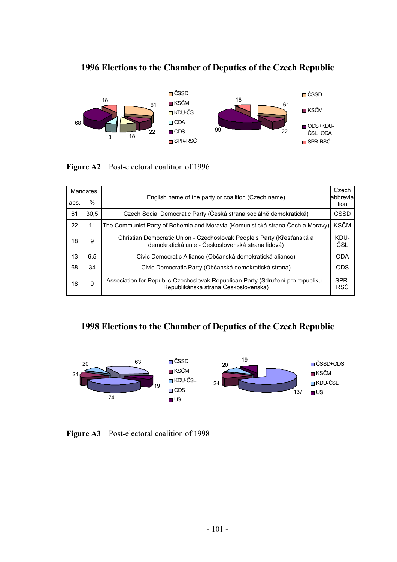## **1996 Elections to the Chamber of Deputies of the Czech Republic**



#### **Figure A2** Post-electoral coalition of 1996

| Mandates |      |                                                                                                                             |             |  |  |
|----------|------|-----------------------------------------------------------------------------------------------------------------------------|-------------|--|--|
| abs.     | $\%$ | English name of the party or coalition (Czech name)<br>abbrevia                                                             |             |  |  |
| 61       | 30.5 | Czech Social Democratic Party (Česká strana sociálně demokratická)                                                          | ČSSD        |  |  |
| 22       | 11   | The Communist Party of Bohemia and Moravia (Komunistická strana Čech a Moravy)                                              | <b>KSČM</b> |  |  |
| 18       | 9    | Christian Democratic Union - Czechoslovak People's Party (Křesťanská a<br>demokratická unie - Československá strana lidová) | KDU-<br>ČSL |  |  |
| 13       | 6,5  | Civic Democratic Alliance (Občanská demokratická aliance)                                                                   | <b>ODA</b>  |  |  |
| 68       | 34   | Civic Democratic Party (Občanská demokratická strana)                                                                       | <b>ODS</b>  |  |  |
| 18       | 9    | Association for Republic-Czechoslovak Republican Party (Sdružení pro republiku -<br>Republikánská strana Československa)    | SPR-<br>RSČ |  |  |

## **1998 Elections to the Chamber of Deputies of the Czech Republic**



**Figure A3** Post-electoral coalition of 1998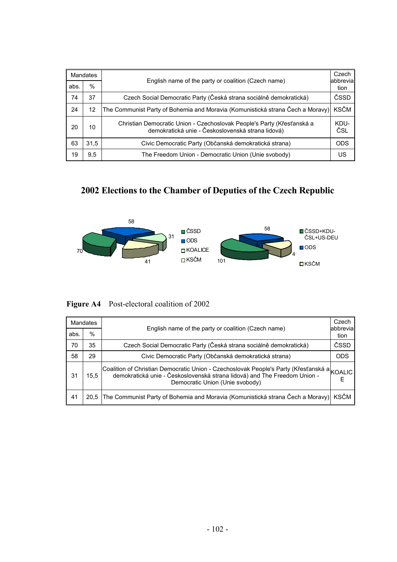| Mandates |      |                                                                                                                             |             |  |  |
|----------|------|-----------------------------------------------------------------------------------------------------------------------------|-------------|--|--|
| abs.     | %    | English name of the party or coalition (Czech name)<br>abbrevia                                                             |             |  |  |
| 74       | 37   | Czech Social Democratic Party (Česká strana sociálně demokratická)                                                          | ČSSD        |  |  |
| 24       | 12   | The Communist Party of Bohemia and Moravia (Komunistická strana Čech a Moravy)                                              | <b>KSČM</b> |  |  |
| 20       | 10   | Christian Democratic Union - Czechoslovak People's Party (Křesťanská a<br>demokratická unie - Československá strana lidová) | KDU-<br>ČSL |  |  |
| 63       | 31.5 | Civic Democratic Party (Občanská demokratická strana)                                                                       | <b>ODS</b>  |  |  |
| 19       | 9.5  | The Freedom Union - Democratic Union (Unie svobody)                                                                         | US          |  |  |

# **2002 Elections to the Chamber of Deputies of the Czech Republic**



**Figure A4** Post-electoral coalition of 2002

| <b>Mandates</b> |      |                                                                                                                                                                                                            |             |  |  |
|-----------------|------|------------------------------------------------------------------------------------------------------------------------------------------------------------------------------------------------------------|-------------|--|--|
| abs.            | $\%$ | English name of the party or coalition (Czech name)<br>abbrevia                                                                                                                                            |             |  |  |
| 70              | 35   | Czech Social Democratic Party (Česká strana sociálně demokratická)                                                                                                                                         | ČSSD        |  |  |
| 58              | 29   | Civic Democratic Party (Občanská demokratická strana)                                                                                                                                                      | <b>ODS</b>  |  |  |
| 31              | 15.5 | Coalition of Christian Democratic Union - Czechoslovak People's Party (Křesťanská a KOALIC<br>demokratická unie - Československá strana lidová) and The Freedom Union -<br>Democratic Union (Unie svobody) | F           |  |  |
| 41              | 20.5 | The Communist Party of Bohemia and Moravia (Komunistická strana Čech a Moravy)                                                                                                                             | <b>KSČM</b> |  |  |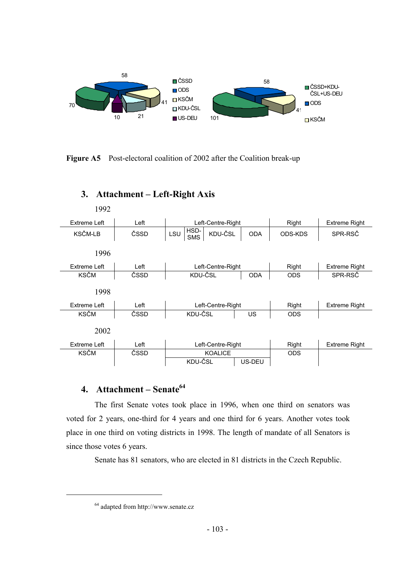

**Figure A5** Post-electoral coalition of 2002 after the Coalition break-up



## **3. Attachment – Left-Right Axis**

## **4. Attachment – Senate64**

The first Senate votes took place in 1996, when one third on senators was voted for 2 years, one-third for 4 years and one third for 6 years. Another votes took place in one third on voting districts in 1998. The length of mandate of all Senators is since those votes 6 years.

Senate has 81 senators, who are elected in 81 districts in the Czech Republic.

<sup>64</sup> adapted from http://www.senate.cz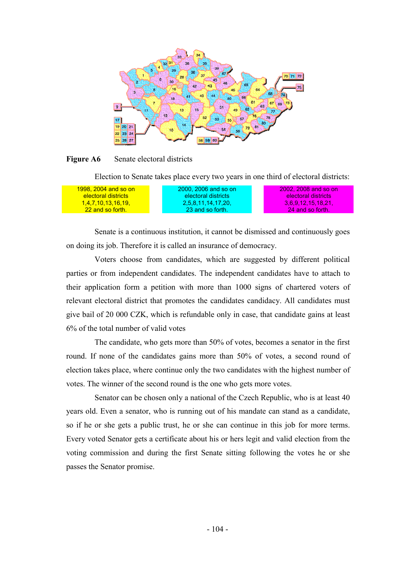

#### **Figure A6** Senate electoral districts

Election to Senate takes place every two years in one third of electoral districts:

| <u>1998. 2004 and so on</u> | 2000, 2006 and so on | 2002, 2008 and so on |
|-----------------------------|----------------------|----------------------|
| electoral districts         | electoral districts  | electoral districts  |
| <u>1,4,7,10,13,16,19,</u>   | 2.5.8.11.14.17.20.   | 3.6.9.12.15.18.21.   |
| 22 and so forth.            | 23 and so forth.     | 24 and so forth.     |

Senate is a continuous institution, it cannot be dismissed and continuously goes on doing its job. Therefore it is called an insurance of democracy.

Voters choose from candidates, which are suggested by different political parties or from independent candidates. The independent candidates have to attach to their application form a petition with more than 1000 signs of chartered voters of relevant electoral district that promotes the candidates candidacy. All candidates must give bail of 20 000 CZK, which is refundable only in case, that candidate gains at least 6% of the total number of valid votes

The candidate, who gets more than 50% of votes, becomes a senator in the first round. If none of the candidates gains more than 50% of votes, a second round of election takes place, where continue only the two candidates with the highest number of votes. The winner of the second round is the one who gets more votes.

Senator can be chosen only a national of the Czech Republic, who is at least 40 years old. Even a senator, who is running out of his mandate can stand as a candidate, so if he or she gets a public trust, he or she can continue in this job for more terms. Every voted Senator gets a certificate about his or hers legit and valid election from the voting commission and during the first Senate sitting following the votes he or she passes the Senator promise.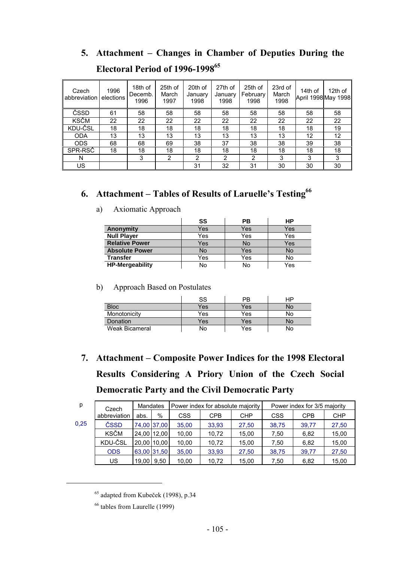## **5. Attachment – Changes in Chamber of Deputies During the Electoral Period of 1996-199865**

| Czech<br>abbreviation | 1996<br>elections | 18th of<br>Decemb.<br>1996 | 25th of<br>March<br>1997 | 20th of<br>January<br>1998 | 27th of<br>January<br>1998 | 25th of<br>February<br>1998 | 23rd of<br>March<br>1998 | 14th of<br>April 1998 May 1998 | 12th of |
|-----------------------|-------------------|----------------------------|--------------------------|----------------------------|----------------------------|-----------------------------|--------------------------|--------------------------------|---------|
| ČSSD                  | 61                | 58                         | 58                       | 58                         | 58                         | 58                          | 58                       | 58                             | 58      |
| <b>KSČM</b>           | 22                | 22                         | 22                       | 22                         | 22                         | 22                          | 22                       | 22                             | 22      |
| KDU-ČSL               | 18                | 18                         | 18                       | 18                         | 18                         | 18                          | 18                       | 18                             | 19      |
| <b>ODA</b>            | 13                | 13                         | 13                       | 13                         | 13                         | 13                          | 13                       | 12                             | 12      |
| <b>ODS</b>            | 68                | 68                         | 69                       | 38                         | 37                         | 38                          | 38                       | 39                             | 38      |
| SPR-RSČ               | 18                | 18                         | 18                       | 18                         | 18                         | 18                          | 18                       | 18                             | 18      |
| N                     |                   | 3                          | 2                        | 2                          | 2                          | 2                           | 3                        | 3                              | 3       |
| US                    |                   |                            |                          | 31                         | 32                         | 31                          | 30                       | 30                             | 30      |

## **6. Attachment – Tables of Results of Laruelle's Testing66**

|                        | SS  | РB  | НP  |
|------------------------|-----|-----|-----|
| Anonymity              | Yes | Yes | Yes |
| <b>Null Player</b>     | Yes | Yes | Yes |
| <b>Relative Power</b>  | Yes | No  | Yes |
| <b>Absolute Power</b>  | No  | Yes | No  |
| <b>Transfer</b>        | Yes | Yes | No  |
| <b>HP-Mergeability</b> | No  | No  | Yes |

### a) Axiomatic Approach

#### b) Approach Based on Postulates

|                       | SS  | ΡB  | НP |
|-----------------------|-----|-----|----|
| <b>Bloc</b>           | Yes | Yes | No |
| Monotonicity          | Yes | Yes | N٥ |
| Donation              | Yes | Yes | No |
| <b>Weak Bicameral</b> | No  | Yes | No |

# **7. Attachment – Composite Power Indices for the 1998 Electoral Results Considering A Priory Union of the Czech Social Democratic Party and the Civil Democratic Party**

| p    | Czech        | Mandates    |      |       | Power index for absolute majority |       | Power index for 3/5 majority |            |            |
|------|--------------|-------------|------|-------|-----------------------------------|-------|------------------------------|------------|------------|
|      | abbreviation | abs.        | $\%$ | CSS   | CPB                               | CHP   | CSS                          | <b>CPB</b> | <b>CHP</b> |
| 0,25 | ČSSD         | 74,00 37,00 |      | 35,00 | 33.93                             | 27,50 | 38,75                        | 39.77      | 27,50      |
|      | <b>KSČM</b>  | 24.00 12.00 |      | 10,00 | 10.72                             | 15,00 | 7.50                         | 6,82       | 15,00      |
|      | KDU-ČSL      | 20.00 10.00 |      | 10,00 | 10.72                             | 15,00 | 7.50                         | 6,82       | 15,00      |
|      | <b>ODS</b>   | 63.00 31.50 |      | 35,00 | 33.93                             | 27,50 | 38.75                        | 39.77      | 27,50      |
|      | US           | 19.00       | 9.50 | 10,00 | 10.72                             | 15,00 | 7,50                         | 6,82       | 15,00      |

<sup>&</sup>lt;sup>65</sup> adapted from Kubeček (1998), p.34

<sup>66</sup> tables from Laurelle (1999)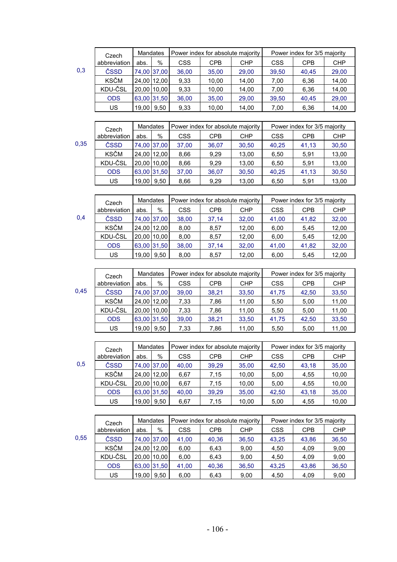|     | Czech        | Mandates    |             |            | Power index for absolute majority |            | Power index for 3/5 majority |            |            |
|-----|--------------|-------------|-------------|------------|-----------------------------------|------------|------------------------------|------------|------------|
|     | abbreviation | abs.        | %           | <b>CSS</b> | <b>CPB</b>                        | <b>CHP</b> | CSS                          | <b>CPB</b> | <b>CHP</b> |
| 0,3 | ČSSD         |             | 74,00 37,00 | 36,00      | 35,00                             | 29,00      | 39,50                        | 40.45      | 29,00      |
|     | <b>KSČM</b>  | 24,00 12,00 |             | 9,33       | 10,00                             | 14,00      | 7.00                         | 6,36       | 14,00      |
|     | KDU-ČSL      | 20,00 10,00 |             | 9.33       | 10,00                             | 14,00      | 7.00                         | 6,36       | 14,00      |
|     | <b>ODS</b>   | 63,00 31,50 |             | 36,00      | 35,00                             | 29,00      | 39,50                        | 40.45      | 29,00      |
|     | US           | 19,00       | 9,50        | 9,33       | 10,00                             | 14,00      | 7,00                         | 6,36       | 14,00      |

|      | Czech        | <b>Mandates</b> |             | Power index for absolute majority |            |            | Power index for 3/5 majority |            |            |
|------|--------------|-----------------|-------------|-----------------------------------|------------|------------|------------------------------|------------|------------|
|      | abbreviation | abs.            | %           | <b>CSS</b>                        | <b>CPB</b> | <b>CHP</b> | <b>CSS</b>                   | <b>CPB</b> | <b>CHP</b> |
| 0,35 | ČSSD         |                 | 74.00 37.00 | 37,00                             | 36,07      | 30,50      | 40,25                        | 41,13      | 30,50      |
|      | <b>KSČM</b>  |                 | 24.00 12.00 | 8,66                              | 9,29       | 13,00      | 6,50                         | 5,91       | 13,00      |
|      | KDU-ČSL      |                 | 20,00 10,00 | 8,66                              | 9.29       | 13,00      | 6,50                         | 5,91       | 13,00      |
|      | <b>ODS</b>   | 63,00 31,50     |             | 37,00                             | 36,07      | 30,50      | 40,25                        | 41,13      | 30,50      |
|      | <b>US</b>    | 19,00           | 9,50        | 8,66                              | 9,29       | 13,00      | 6,50                         | 5,91       | 13,00      |

|     | Czech        | <b>Mandates</b> |             |            |       | Power index for absolute majority | Power index for 3/5 majority |            |            |  |
|-----|--------------|-----------------|-------------|------------|-------|-----------------------------------|------------------------------|------------|------------|--|
|     | abbreviation | abs.            | %           | <b>CSS</b> | CPB   | <b>CHP</b>                        | <b>CSS</b>                   | <b>CPB</b> | <b>CHP</b> |  |
| 0,4 | ČSSD         |                 | 74,00 37,00 | 38,00      | 37.14 | 32,00                             | 41,00                        | 41,82      | 32,00      |  |
|     | <b>KSČM</b>  | 24,00 12,00     |             | 8,00       | 8,57  | 12,00                             | 6,00                         | 5,45       | 12,00      |  |
|     | KDU-ČSL      | 20,00 10,00     |             | 8,00       | 8,57  | 12,00                             | 6,00                         | 5.45       | 12,00      |  |
|     | <b>ODS</b>   | 63,00 31,50     |             | 38.00      | 37.14 | 32.00                             | 41,00                        | 41,82      | 32,00      |  |
|     | US           | 19,00 9.50      |             | 8,00       | 8,57  | 12.00                             | 6,00                         | 5,45       | 12,00      |  |

|      | Czech        | <b>Mandates</b> |             |            |            | Power index for absolute majority | Power index for 3/5 majority |            |            |
|------|--------------|-----------------|-------------|------------|------------|-----------------------------------|------------------------------|------------|------------|
|      | abbreviation | abs.            | %           | <b>CSS</b> | <b>CPB</b> | CHP.                              | <b>CSS</b>                   | <b>CPB</b> | <b>CHP</b> |
| 0.45 | ČSSD         |                 | 74.00 37.00 | 39.00      | 38.21      | 33,50                             | 41,75                        | 42,50      | 33,50      |
|      | <b>KSČM</b>  | 24.00 12.00     |             | 7,33       | 7.86       | 11,00                             | 5,50                         | 5,00       | 11,00      |
|      | KDU-ČSL      | 20.00 10.00     |             | 7.33       | 7.86       | 11.00                             | 5.50                         | 5,00       | 11,00      |
|      | <b>ODS</b>   | 63.00 31.50     |             | 39.00      | 38,21      | 33,50                             | 41,75                        | 42,50      | 33,50      |
|      | US           | 19,00           | 9,50        | 7.33       | 7.86       | 11,00                             | 5,50                         | 5,00       | 11,00      |

|     | Czech        | <b>Mandates</b> |             |            |            | Power index for absolute majority | Power index for 3/5 majority |            |            |
|-----|--------------|-----------------|-------------|------------|------------|-----------------------------------|------------------------------|------------|------------|
|     | abbreviation | abs.            | %           | <b>CSS</b> | <b>CPB</b> | CHP                               | <b>CSS</b>                   | <b>CPB</b> | <b>CHP</b> |
| 0,5 | ČSSD         |                 | 74,00 37,00 | 40,00      | 39,29      | 35,00                             | 42,50                        | 43,18      | 35,00      |
|     | <b>KSČM</b>  | 24,00 12,00     |             | 6,67       | 7.15       | 10,00                             | 5,00                         | 4,55       | 10,00      |
|     | KDU-ČSL      | 20,00 10,00     |             | 6.67       | 7.15       | 10,00                             | 5,00                         | 4,55       | 10,00      |
|     | <b>ODS</b>   | 63,00 31,50     |             | 40,00      | 39,29      | 35,00                             | 42,50                        | 43,18      | 35,00      |
|     | US           | 19,00 9.50      |             | 6,67       | 7.15       | 10,00                             | 5,00                         | 4,55       | 10,00      |

|      |                       | <b>Mandates</b> |             | Power index for absolute majority |            |       | Power index for 3/5 majority |            |            |
|------|-----------------------|-----------------|-------------|-----------------------------------|------------|-------|------------------------------|------------|------------|
|      | Czech<br>abbreviation | abs.            | %           | <b>CSS</b>                        | <b>CPB</b> | CHP   | CSS                          | <b>CPB</b> | <b>CHP</b> |
| 0,55 | ČSSD                  |                 | 74,00 37,00 | 41,00                             | 40,36      | 36,50 | 43,25                        | 43,86      | 36,50      |
|      | <b>KSČM</b>           |                 | 24.00 12.00 | 6,00                              | 6,43       | 9,00  | 4,50                         | 4,09       | 9,00       |
|      | KDU-ČSL               |                 | 20.00 10.00 | 6.00                              | 6,43       | 9,00  | 4.50                         | 4,09       | 9,00       |
|      | <b>ODS</b>            |                 | 63,00 31,50 | 41,00                             | 40,36      | 36,50 | 43,25                        | 43,86      | 36,50      |
|      | US                    | 19,00           | 9.50        | 6.00                              | 6,43       | 9,00  | 4,50                         | 4,09       | 9,00       |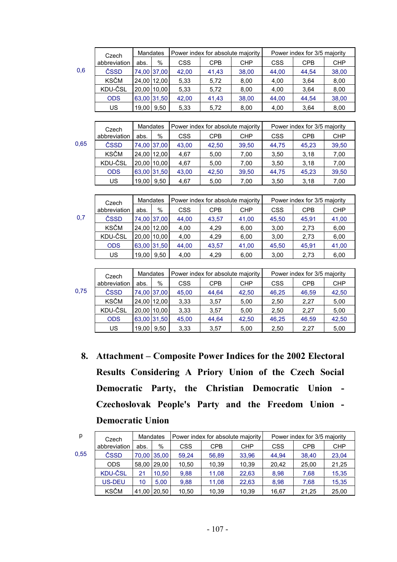|      | Czech        | Mandates    |             |            | Power index for absolute majority |            |            | Power index for 3/5 majority |            |
|------|--------------|-------------|-------------|------------|-----------------------------------|------------|------------|------------------------------|------------|
|      | abbreviation | abs.        | $\%$        | <b>CSS</b> | <b>CPB</b>                        | <b>CHP</b> | <b>CSS</b> | <b>CPB</b>                   | CHP        |
| 0,6  | ČSSD         |             | 74,00 37,00 | 42,00      | 41,43                             | 38,00      | 44,00      | 44,54                        | 38,00      |
|      | KSČM         |             | 24,00 12,00 | 5,33       | 5,72                              | 8,00       | 4,00       | 3,64                         | 8,00       |
|      | KDU-ČSL      |             | 20,00 10,00 | 5,33       | 5,72                              | 8,00       | 4,00       | 3,64                         | 8,00       |
|      | <b>ODS</b>   |             | 63,00 31,50 | 42,00      | 41,43                             | 38,00      | 44,00      | 44,54                        | 38,00      |
|      | <b>US</b>    | 19,00 9,50  |             | 5,33       | 5,72                              | 8,00       | 4,00       | 3,64                         | 8,00       |
|      |              |             |             |            |                                   |            |            |                              |            |
|      | Czech        | Mandates    |             |            | Power index for absolute majority |            |            | Power index for 3/5 majority |            |
|      | abbreviation | abs.        | %           | <b>CSS</b> | <b>CPB</b>                        | <b>CHP</b> | <b>CSS</b> | <b>CPB</b>                   | <b>CHP</b> |
| 0,65 | ČSSD         |             | 74,00 37,00 | 43,00      | 42,50                             | 39,50      | 44,75      | 45,23                        | 39,50      |
|      | KSČM         |             | 24,00 12,00 | 4,67       | 5,00                              | 7,00       | 3,50       | 3,18                         | 7,00       |
|      | KDU-ČSL      |             | 20,00 10,00 | 4,67       | 5,00                              | 7,00       | 3,50       | 3,18                         | 7,00       |
|      | <b>ODS</b>   |             | 63,00 31,50 | 43,00      | 42,50                             | 39,50      | 44,75      | 45,23                        | 39,50      |
|      | <b>US</b>    | 19,00 9,50  |             | 4,67       | 5,00                              | 7,00       | 3,50       | 3,18                         | 7,00       |
|      |              |             |             |            |                                   |            |            |                              |            |
|      | Czech        | Mandates    |             |            | Power index for absolute majority |            |            | Power index for 3/5 majority |            |
|      | abbreviation | abs.        | %           | <b>CSS</b> | <b>CPB</b>                        | <b>CHP</b> | <b>CSS</b> | <b>CPB</b>                   | CHP        |
| 0,7  | ČSSD         |             | 74,00 37,00 | 44,00      | 43,57                             | 41,00      | 45,50      | 45,91                        | 41,00      |
|      | KSČM         |             | 24,00 12,00 | 4,00       | 4,29                              | 6,00       | 3,00       | 2,73                         | 6,00       |
|      | KDU-ČSL      |             | 20,00 10,00 | 4,00       | 4,29                              | 6,00       | 3,00       | 2,73                         | 6,00       |
|      | <b>ODS</b>   |             | 63,00 31,50 | 44,00      | 43,57                             | 41,00      | 45,50      | 45,91                        | 41,00      |
|      | <b>US</b>    | 19,00 9,50  |             | 4,00       | 4,29                              | 6,00       | 3,00       | 2,73                         | 6,00       |
|      |              |             |             |            |                                   |            |            |                              |            |
|      | Czech        | Mandates    |             |            | Power index for absolute majority |            |            | Power index for 3/5 majority |            |
|      | abbreviation | abs.        | $\%$        | <b>CSS</b> | <b>CPB</b>                        | <b>CHP</b> | <b>CSS</b> | <b>CPB</b>                   | <b>CHP</b> |
| 0,75 | ČSSD         | 74,00 37,00 |             | 45,00      | 44,64                             | 42,50      | 46,25      | 46,59                        | 42,50      |
|      | KSČM         |             | 24,00 12,00 | 3,33       | 3,57                              | 5,00       | 2,50       | 2,27                         | 5,00       |
|      | KDU-ČSL      |             | 20,00 10,00 | 3,33       | 3,57                              | 5,00       | 2,50       | 2,27                         | 5,00       |
|      |              |             |             |            |                                   |            |            |                              |            |
|      | <b>ODS</b>   |             | 63,00 31,50 | 45,00      | 44,64                             | 42,50      | 46,25      | 46,59                        | 42,50      |

**8. Attachment – Composite Power Indices for the 2002 Electoral Results Considering A Priory Union of the Czech Social Democratic Party, the Christian Democratic Union - Czechoslovak People's Party and the Freedom Union - Democratic Union**

| р    | Czech          | Mandates |             |       | Power index for absolute majority |            |            | Power index for 3/5 majority |            |
|------|----------------|----------|-------------|-------|-----------------------------------|------------|------------|------------------------------|------------|
|      | abbreviation   | abs.     | %           | CSS   | <b>CPB</b>                        | <b>CHP</b> | <b>CSS</b> | <b>CPB</b>                   | <b>CHP</b> |
| 0.55 | ČSSD           |          | 70,00 35,00 | 59,24 | 56,89                             | 33,96      | 44.94      | 38,40                        | 23,04      |
|      | <b>ODS</b>     |          | 58,00 29,00 | 10,50 | 10,39                             | 10.39      | 20.42      | 25,00                        | 21,25      |
|      | <b>KDU-ČSL</b> | 21       | 10,50       | 9,88  | 11,08                             | 22,63      | 8,98       | 7,68                         | 15,35      |
|      | US-DEU         | 10       | 5.00        | 9,88  | 11,08                             | 22,63      | 8,98       | 7,68                         | 15,35      |
|      | <b>KSČM</b>    |          | 41,00 20,50 | 10,50 | 10.39                             | 10.39      | 16.67      | 21.25                        | 25,00      |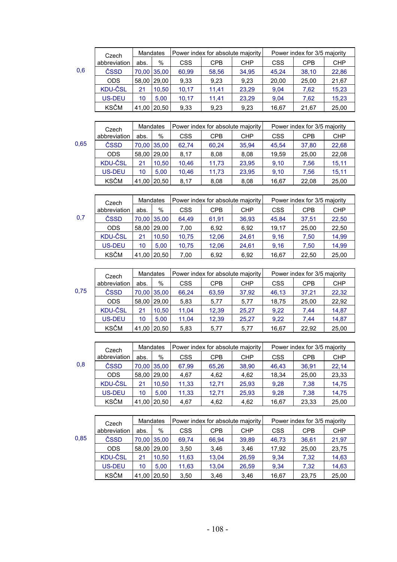|     | Czech          | <b>Mandates</b> |             |            |       | Power index for absolute majority | Power index for 3/5 majority |            |            |
|-----|----------------|-----------------|-------------|------------|-------|-----------------------------------|------------------------------|------------|------------|
|     | abbreviation   | abs.            | %           | <b>CSS</b> | CPB   | <b>CHP</b>                        | <b>CSS</b>                   | <b>CPB</b> | <b>CHP</b> |
| 0,6 | ČSSD           |                 | 70,00 35,00 | 60,99      | 58,56 | 34,95                             | 45.24                        | 38,10      | 22,86      |
|     | <b>ODS</b>     |                 | 58.00 29.00 | 9,33       | 9,23  | 9,23                              | 20.00                        | 25,00      | 21,67      |
|     | <b>KDU-ČSL</b> | 21              | 10.50       | 10,17      | 11.41 | 23,29                             | 9,04                         | 7.62       | 15,23      |
|     | <b>US-DEU</b>  | 10              | 5.00        | 10,17      | 11,41 | 23,29                             | 9,04                         | 7,62       | 15,23      |
|     | <b>KSČM</b>    |                 | 41,00 20,50 | 9,33       | 9,23  | 9,23                              | 16,67                        | 21,67      | 25,00      |

|      | Czech          | <b>Mandates</b> |             | Power index for absolute majority |            |            | Power index for 3/5 majority |            |            |
|------|----------------|-----------------|-------------|-----------------------------------|------------|------------|------------------------------|------------|------------|
|      | abbreviation   | abs.            | %           | CSS.                              | <b>CPB</b> | <b>CHP</b> | CSS                          | <b>CPB</b> | <b>CHP</b> |
| 0,65 | ČSSD           |                 | 70,00 35,00 | 62,74                             | 60,24      | 35.94      | 45.54                        | 37,80      | 22,68      |
|      | <b>ODS</b>     |                 | 58.00 29.00 | 8,17                              | 8,08       | 8,08       | 19.59                        | 25,00      | 22,08      |
|      | <b>KDU-ČSL</b> | 21              | 10.50       | 10.46                             | 11,73      | 23.95      | 9.10                         | 7.56       | 15.11      |
|      | <b>US-DEU</b>  | 10              | 5.00        | 10.46                             | 11,73      | 23,95      | 9.10                         | 7.56       | 15.11      |
|      | <b>KSČM</b>    |                 | 41,00 20,50 | 8,17                              | 8,08       | 8,08       | 16,67                        | 22,08      | 25,00      |

| 0,7 |  |  |
|-----|--|--|
|     |  |  |
|     |  |  |
|     |  |  |

| Czech |                | Mandates |             | Power index for absolute majority |            |            | Power index for 3/5 majority |            |            |
|-------|----------------|----------|-------------|-----------------------------------|------------|------------|------------------------------|------------|------------|
|       | abbreviation   | abs.     | %           | <b>CSS</b>                        | <b>CPB</b> | <b>CHP</b> | <b>CSS</b>                   | <b>CPB</b> | <b>CHP</b> |
| 0,7   | ČSSD           |          | 70,00 35,00 | 64.49                             | 61,91      | 36,93      | 45.84                        | 37,51      | 22,50      |
|       | <b>ODS</b>     |          | 58,00 29,00 | 7.00                              | 6.92       | 6.92       | 19.17                        | 25.00      | 22,50      |
|       | <b>KDU-ČSL</b> | 21       | 10.50       | 10,75                             | 12.06      | 24,61      | 9.16                         | 7.50       | 14,99      |
|       | US-DEU         | 10       | 5.00        | 10,75                             | 12.06      | 24.61      | 9.16                         | 7,50       | 14.99      |
|       | <b>KSČM</b>    |          | 41,00 20,50 | 7.00                              | 6,92       | 6,92       | 16,67                        | 22,50      | 25,00      |

| Czech |                | <b>Mandates</b> |       | Power index for absolute majority |            |       | Power index for 3/5 majority |            |            |
|-------|----------------|-----------------|-------|-----------------------------------|------------|-------|------------------------------|------------|------------|
|       | abbreviation   | abs.            | %     | <b>CSS</b>                        | <b>CPB</b> | CHP   | <b>CSS</b>                   | <b>CPB</b> | <b>CHP</b> |
| 0.75  | ČSSD           | 70.00           | 35.00 | 66.24                             | 63.59      | 37.92 | 46.13                        | 37.21      | 22.32      |
|       | <b>ODS</b>     | 58.00           | 29.00 | 5,83                              | 5,77       | 5,77  | 18.75                        | 25.00      | 22,92      |
|       | <b>KDU-ČSL</b> | 21              | 10.50 | 11,04                             | 12,39      | 25,27 | 9,22                         | 7.44       | 14,87      |
|       | US-DEU         | 10              | 5.00  | 11,04                             | 12,39      | 25,27 | 9,22                         | 7.44       | 14,87      |
|       | <b>KSČM</b>    | 41.00           | 20,50 | 5,83                              | 5,77       | 5,77  | 16,67                        | 22.92      | 25,00      |

| Czech |                | <b>Mandates</b> |             |            |            | Power index for absolute majority | Power index for 3/5 majority |            |            |
|-------|----------------|-----------------|-------------|------------|------------|-----------------------------------|------------------------------|------------|------------|
|       | abbreviation   | abs.            | %           | <b>CSS</b> | <b>CPB</b> | <b>CHP</b>                        | <b>CSS</b>                   | <b>CPB</b> | <b>CHP</b> |
| 0,8   | ČSSD           |                 | 70,00 35,00 | 67,99      | 65,26      | 38,90                             | 46.43                        | 36,91      | 22,14      |
|       | <b>ODS</b>     |                 | 58,00 29,00 | 4,67       | 4,62       | 4,62                              | 18.34                        | 25,00      | 23,33      |
|       | <b>KDU-ČSL</b> | 21              | 10.50       | 11,33      | 12.71      | 25,93                             | 9,28                         | 7,38       | 14,75      |
|       | <b>US-DEU</b>  | 10              | 5.00        | 11,33      | 12,71      | 25.93                             | 9.28                         | 7,38       | 14.75      |
|       | <b>KSČM</b>    |                 | 41,00 20,50 | 4,67       | 4,62       | 4,62                              | 16,67                        | 23,33      | 25,00      |

| ×<br>۰, | - | . .<br>۰. |
|---------|---|-----------|

|      | Czech          |      | <b>Mandates</b> | Power index for absolute majority |            |            | Power index for 3/5 majority |            |            |
|------|----------------|------|-----------------|-----------------------------------|------------|------------|------------------------------|------------|------------|
|      | abbreviation   | abs. | %               | <b>CSS</b>                        | <b>CPB</b> | <b>CHP</b> | CSS                          | <b>CPB</b> | <b>CHP</b> |
| 0.85 | ČSSD           |      | 70.00 35.00     | 69.74                             | 66.94      | 39,89      | 46.73                        | 36.61      | 21,97      |
|      | <b>ODS</b>     |      | 58.00 29.00     | 3.50                              | 3.46       | 3.46       | 17.92                        | 25.00      | 23,75      |
|      | <b>KDU-ČSL</b> | 21   | 10.50           | 11,63                             | 13.04      | 26.59      | 9.34                         | 7.32       | 14.63      |
|      | US-DEU         | 10   | 5.00            | 11,63                             | 13.04      | 26.59      | 9.34                         | 7.32       | 14,63      |
|      | <b>KSČM</b>    |      | 41,00 20,50     | 3,50                              | 3,46       | 3,46       | 16,67                        | 23,75      | 25,00      |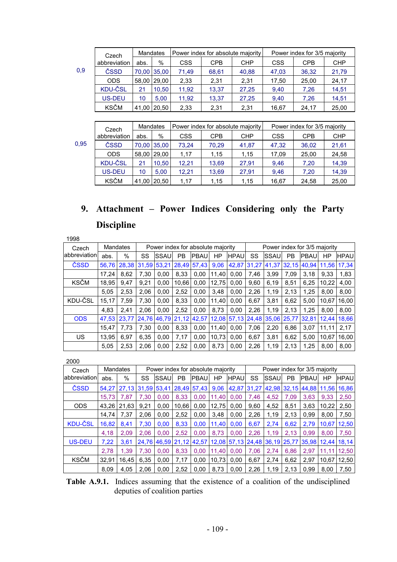| I<br>×<br>$\sim$ | л. | $\sim$ |
|------------------|----|--------|

|     | Czech          |             | <b>Mandates</b> |            | Power index for absolute majority |            | Power index for 3/5 majority |            |            |  |  |
|-----|----------------|-------------|-----------------|------------|-----------------------------------|------------|------------------------------|------------|------------|--|--|
|     | abbreviation   | abs.        | $\%$            | <b>CSS</b> | <b>CPB</b>                        | <b>CHP</b> | <b>CSS</b>                   | <b>CPB</b> | <b>CHP</b> |  |  |
| 0,9 | ČSSD           |             | 70,00 35,00     | 71,49      | 68,61                             | 40,88      | 47,03                        | 36,32      | 21,79      |  |  |
|     | <b>ODS</b>     | 58,00 29,00 |                 | 2,33       | 2,31                              | 2,31       | 17,50                        | 25,00      | 24,17      |  |  |
|     | <b>KDU-ČSL</b> | 21          | 10.50           | 11,92      | 13,37                             | 27,25      | 9,40                         | 7,26       | 14,51      |  |  |
|     | US-DEU         | 10          | 5.00            | 11,92      | 13,37                             | 27,25      | 9,40                         | 7,26       | 14,51      |  |  |
|     | <b>KSČM</b>    |             | 41,00 20,50     | 2,33       | 2,31                              | 2,31       | 16,67                        | 24,17      | 25,00      |  |  |
|     |                |             |                 |            |                                   |            |                              |            |            |  |  |

|      | Czech          | <b>Mandates</b> |             |            |       | Power index for absolute majority | Power index for 3/5 majority |            |            |  |  |
|------|----------------|-----------------|-------------|------------|-------|-----------------------------------|------------------------------|------------|------------|--|--|
|      | abbreviation   | abs.            | $\%$        | <b>CSS</b> | CPB   | <b>CHP</b>                        | <b>CSS</b>                   | <b>CPB</b> | <b>CHP</b> |  |  |
| 0.95 | ČSSD           |                 | 70,00 35,00 | 73.24      | 70.29 | 41,87                             | 47,32                        | 36.02      | 21,61      |  |  |
|      | <b>ODS</b>     |                 | 58,00 29,00 | 1.17       | 1,15  | 1,15                              | 17,09                        | 25,00      | 24,58      |  |  |
|      | <b>KDU-ČSL</b> | 21              | 10.50       | 12.21      | 13.69 | 27.91                             | 9.46                         | 7.20       | 14,39      |  |  |
|      | US-DEU         | 10              | 5.00        | 12.21      | 13.69 | 27.91                             | 9.46                         | 7.20       | 14,39      |  |  |
|      | <b>KSČM</b>    |                 | 41,00 20,50 | 1,17       | 1,15  | 1.15                              | 16,67                        | 24,58      | 25,00      |  |  |

# **9. Attachment – Power Indices Considering only the Party Discipline**

| 1998           |       |          |       |       |       |                                   |       |             |       |       |           |                              |       |             |
|----------------|-------|----------|-------|-------|-------|-----------------------------------|-------|-------------|-------|-------|-----------|------------------------------|-------|-------------|
| Czech          |       | Mandates |       |       |       | Power index for absolute majority |       |             |       |       |           | Power index for 3/5 majority |       |             |
| labbreviationl | abs.  | %        | SS    | SSAU  | PB    | PBAU                              | HP    | <b>HPAU</b> | SS    | SSAU  | <b>PB</b> | PBAU                         | ΗP    | <b>HPAU</b> |
| ČSSD           | 56.76 | 28,38    | 31.59 | 53.21 | 28.49 | 57.43                             | 9,06  | 42.87       | 31,27 | 41,37 |           | 32.15 40.94                  | 11.56 | 17.34       |
|                | 17,24 | 8.62     | 7,30  | 0.00  | 8,33  | 0,00                              | 11.40 | 0.00        | 7,46  | 3,99  | 7,09      | 3,18                         | 9,33  | 1,83        |
| <b>KSČM</b>    | 18,95 | 9.47     | 9,21  | 0.00  | 10.66 | 0,00                              | 12,75 | 0,00        | 9,60  | 6,19  | 8,51      | 6,25                         | 10,22 | 4,00        |
|                | 5.05  | 2.53     | 2,06  | 0.00  | 2.52  | 0.00                              | 3.48  | 0.00        | 2,26  | 1,19  | 2,13      | 1,25                         | 8.00  | 8,00        |
| KDU-ČSL        | 15.17 | 7.59     | 7,30  | 0.00  | 8.33  | 0.00                              | 11.40 | 0.00        | 6,67  | 3.81  | 6.62      | 5,00                         | 10.67 | 16.00       |
|                | 4.83  | 2.41     | 2.06  | 0.00  | 2.52  | 0.00                              | 8.73  | 0.00        | 2,26  | 1,19  | 2.13      | 1.25                         | 8.00  | 8,00        |
| <b>ODS</b>     | 47.53 | 23,77    | 24.76 | 46,79 | 21,12 | 42,57                             |       | 12,08 57,13 |       |       |           | 24,48 35,06 25,77 32,81      | 12.44 | 18.66       |
|                | 15.47 | 7,73     | 7,30  | 0.00  | 8,33  | 0.00                              | 11.40 | 0.00        | 7,06  | 2,20  | 6.86      | 3,07                         | 11,11 | 2,17        |
| US             | 13,95 | 6.97     | 6,35  | 0,00  | 7,17  | 0,00                              | 10,73 | 0,00        | 6,67  | 3,81  | 6,62      | 5,00                         | 10.67 | 16,00       |
|                | 5,05  | 2,53     | 2,06  | 0.00  | 2,52  | 0.00                              | 8,73  | 0.00        | 2,26  | 1,19  | 2,13      | 1,25                         | 8,00  | 8,00        |

2000

| ∠∪∪            |          |       |             |                         |               |                                   |       |                         |       |       |           |                              |       |             |
|----------------|----------|-------|-------------|-------------------------|---------------|-----------------------------------|-------|-------------------------|-------|-------|-----------|------------------------------|-------|-------------|
| Czech          | Mandates |       |             |                         |               | Power index for absolute majority |       |                         |       |       |           | Power index for 3/5 majority |       |             |
| labbreviationl | abs.     | %     | SS          | SSAU                    | PB            | <b>PBAU</b>                       | ΗP    | HPAU                    | SS    | SSAU  | <b>PB</b> | <b>PBAU</b>                  | ΗP    | <b>HPAU</b> |
| ČSSD           | 54.27    | 27.13 | 31,59 53,41 |                         | $28,49$ 57,43 |                                   | 9.06  | 42.87                   | 31,27 | 42.98 | 32,15     | 44.88 11.56                  |       | 16,86       |
|                | 15.73    | 7.87  | 7,30        | 0.00                    | 8.33          | 0,00                              | 11,40 | 0,00                    | 7,46  | 4,52  | 7,09      | 3.63                         | 9,33  | 2,50        |
| <b>ODS</b>     | 43.26    | 21.63 | 9,21        | 0.00                    | 10.66         | 0,00                              | 12,75 | 0,00                    | 9,60  | 4,52  | 8,51      | 3,63                         | 10,22 | 2,50        |
|                | 14.74    | 7.37  | 2,06        | 0.00                    | 2,52          | 0,00                              | 3,48  | 0,00                    | 2,26  | 1,19  | 2,13      | 0.99                         | 8,00  | 7,50        |
| <b>KDU-ČSL</b> | 16,82    | 8.41  | 7,30        | 0.00                    | 8.33          | 0,00                              | 11.40 | 0.00                    | 6,67  | 2.74  | 6,62      | 2,79                         | 10.67 | 12.50       |
|                | 4,18     | 2.09  | 2.06        | 0.00                    | 2.52          | 0,00                              | 8,73  | 0.00                    | 2,26  | 1.19  | 2.13      | 0.99                         | 8.00  | 7,50        |
| <b>US-DEU</b>  | 7,22     | 3.61  |             | 24.76 46.59 21.12 42.57 |               |                                   |       | 12,08 57,13 24,48 36,19 |       |       |           | 25,77 35,98 12,44            |       | 18.14       |
|                | 2,78     | 1.39  | 7,30        | 0.00                    | 8,33          | 0,00                              | 11.40 | 0,00                    | 7,06  | 2,74  | 6,86      | 2,97                         | 11.11 | 12,50       |
| <b>KSČM</b>    | 32.91    | 16.45 | 6,35        | 0,00                    | 7,17          | 0,00                              | 10,73 | 0,00                    | 6,67  | 2,74  | 6,62      | 2,97                         | 10,67 | 12,50       |
|                | 8,09     | 4,05  | 2,06        | 0.00                    | 2,52          | 0,00                              | 8,73  | 0,00                    | 2,26  | 1,19  | 2,13      | 0,99                         | 8,00  | 7,50        |

**Table A.9.1.** Indices assuming that the existence of a coalition of the undisciplined deputies of coalition parties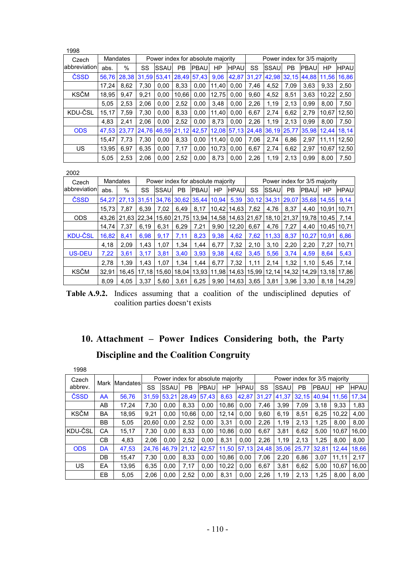| 1998          |       |          |       |       |             |                                   |       |             |       |      |           |                                     |             |             |
|---------------|-------|----------|-------|-------|-------------|-----------------------------------|-------|-------------|-------|------|-----------|-------------------------------------|-------------|-------------|
| Czech         |       | Mandates |       |       |             | Power index for absolute majority |       |             |       |      |           | Power index for 3/5 majority        |             |             |
| labbreviation | abs.  | $\%$     | SS    | SSAU  | PB          | <b>PBAU</b>                       | ΗP    | <b>HPAU</b> | SS    | SSAU | <b>PB</b> | PBAU                                | ΗP          | <b>HPAU</b> |
| ČSSD          | 56.76 | 28,38    | 31.59 | 53.41 | 28,49       | 57.43                             | 9,06  | 42,87       | 31,27 |      |           | 42,98 32,15 44,88                   | 11.56       | 16.86       |
|               | 17.24 | 8,62     | 7,30  | 0.00  | 8,33        | 0.00                              | 11.40 | 0.00        | 7,46  | 4,52 | 7.09      | 3,63                                | 9.33        | 2,50        |
| <b>KSČM</b>   | 18.95 | 9.47     | 9,21  | 0.00  | 10.66       | 0,00                              | 12.75 | 0.00        | 9,60  | 4,52 | 8.51      | 3,63                                | 10.22       | 2,50        |
|               | 5,05  | 2.53     | 2,06  | 0,00  | 2,52        | 0.00                              | 3.48  | 0.00        | 2,26  | 1,19 | 2,13      | 0,99                                | 8.00        | 7,50        |
| KDU-ČSL       | 15.17 | 7.59     | 7,30  | 0.00  | 8.33        | 0.00                              | 11.40 | 0.00        | 6,67  | 2.74 | 6.62      | 2,79                                | 10.67       | 12.50       |
|               | 4,83  | 2.41     | 2,06  | 0.00  | 2,52        | 0.00                              | 8.73  | 0.00        | 2,26  | 1,19 | 2.13      | 0,99                                | 8.00        | 7,50        |
| <b>ODS</b>    | 47.53 | 23.77    | 24,76 | 46,59 | 21,12 42,57 |                                   |       |             |       |      |           | 12,08 57,13 24,48 36,19 25,77 35,98 | 12.44 18.14 |             |
|               | 15,47 | 7,73     | 7,30  | 0,00  | 8,33        | 0,00                              | 11.40 | 0,00        | 7,06  | 2,74 | 6,86      | 2,97                                | 11,11       | 12,50       |
| US            | 13.95 | 6.97     | 6,35  | 0.00  | 7,17        | 0,00                              | 10,73 | 0,00        | 6,67  | 2,74 | 6,62      | 2,97                                | 10.67       | 12,50       |
|               | 5,05  | 2,53     | 2,06  | 0,00  | 2,52        | 0,00                              | 8,73  | 0,00        | 2,26  | 1,19 | 2,13      | 0,99                                | 8.00        | 7,50        |

| Czech          |       | Mandates |       |       |               | Power index for absolute majority |       |             |       |             |           | Power index for 3/5 majority |       |             |
|----------------|-------|----------|-------|-------|---------------|-----------------------------------|-------|-------------|-------|-------------|-----------|------------------------------|-------|-------------|
| abbreviation   | abs.  | %        | SS    | SSAU  | PB            | <b>PBAU</b>                       | ΗP    | <b>HPAU</b> | SS    | SSAU        | <b>PB</b> | <b>PBAU</b>                  | HP    | <b>HPAU</b> |
| ČSSD           | 54.27 | 27.13    | 31.51 |       | 34,76 30,62   | 35.44                             | 10,94 | 5,39        | 30,12 | 34,31       |           | 29.07 35.68                  | 14.55 | 9.14        |
|                | 15.73 | 7.87     | 6.39  | 7.02  | 6.49          | 8,17                              | 10.42 | 14,63       | 7,62  | 4,76        | 8.37      | 4.40                         | 10.91 | 10.71       |
| <b>ODS</b>     | 43.26 | 21.63    | 22.34 |       | 15.60   21.75 | 13.94                             | 14.58 | 14,63 21,67 |       | 18,10 21,37 |           | 19.78                        | 10.45 | 7.14        |
|                | 14.74 | 7.37     | 6,19  | 6,31  | 6,29          | 7,21                              | 9,90  | 12.20       | 6,67  | 4,76        | 7,27      | 4.40                         | 10.45 | 10.71       |
| <b>KDU-ČSL</b> | 16,82 | 8.41     | 6,98  | 9,17  | 7,11          | 8,23                              | 9,38  | 4,62        | 7,62  | 11,33       | 8,37      | 10,27                        | 10.91 | 6,86        |
|                | 4,18  | 2,09     | 1,43  | 1,07  | 1.34          | 1,44                              | 6,77  | 7,32        | 2,10  | 3,10        | 2,20      | 2,20                         | 7,27  | 10,71       |
| <b>US-DEU</b>  | 7,22  | 3,61     | 3,17  | 3,81  | 3,40          | 3,93                              | 9,38  | 4,62        | 3,45  | 5,56        | 3,74      | 4,59                         | 8,64  | 5,43        |
|                | 2,78  | 1,39     | 1,43  | 1,07  | 1,34          | 1,44                              | 6,77  | 7,32        | 1,11  | 2,14        | 1,32      | 1,10                         | 5.45  | 7,14        |
| <b>KSČM</b>    | 32,91 | 16.45    | 17,18 | 15,60 | 18,04         | 13,93                             | 11,98 | 14,63       | 15,99 | 12,14       | 14,32     | 14,29                        | 13,18 | 17,86       |
|                | 8,09  | 4,05     | 3,37  | 5,60  | 3,61          | 6,25                              | 9,90  | 14,63       | 3,65  | 3,81        | 3,96      | 3,30                         | 8,18  | 14,29       |

**Table A.9.2.** Indices assuming that a coalition of the undisciplined deputies of coalition parties doesn't exists

# **10. Attachment – Power Indices Considering both, the Party Discipline and the Coalition Congruity**

| 1998        |           |               |       |       |       |                                   |       |             |       |       |           |                              |       |             |
|-------------|-----------|---------------|-------|-------|-------|-----------------------------------|-------|-------------|-------|-------|-----------|------------------------------|-------|-------------|
| Czech       |           |               |       |       |       | Power index for absolute majority |       |             |       |       |           | Power index for 3/5 majority |       |             |
| abbrev.     |           | Mark Mandates | SS    | SSAU  | PB    | PBAU                              | ΗP    | <b>HPAU</b> | SS    | SSAU  | <b>PB</b> | PBAU                         | HP    | <b>HPAU</b> |
| ČSSD        | AA        | 56.76         | 31.59 | 53,21 | 28.49 | 57.43                             | 8,63  | 42.87       | 31.27 | 41,37 | 32.15     | 40.94                        | 11.56 | 17.34       |
|             | AB        | 17.24         | 7,30  | 0.00  | 8.33  | 0,00                              | 10,86 | 0,00        | 7,46  | 3,99  | 7,09      | 3,18                         | 9,33  | 1,83        |
| <b>KSČM</b> | BA        | 18,95         | 9,21  | 0.00  | 10.66 | 0,00                              | 12,14 | 0.00        | 9,60  | 6,19  | 8,51      | 6,25                         | 10,22 | 4,00        |
|             | <b>BB</b> | 5,05          | 20.60 | 0.00  | 2.52  | 0.00                              | 3.31  | 0.00        | 2,26  | 1,19  | 2,13      | 1,25                         | 8.00  | 8,00        |
| KDU-ČSL     | CА        | 15.17         | 7.30  | 0.00  | 8.33  | 0,00                              | 10.86 | 0.00        | 6,67  | 3,81  | 6,62      | 5,00                         | 10.67 | 16,00       |
|             | CВ        | 4.83          | 2.06  | 0.00  | 2,52  | 0.00                              | 8.31  | 0.00        | 2,26  | 1,19  | 2,13      | 1,25                         | 8.00  | 8.00        |
| <b>ODS</b>  | DA        | 47.53         | 24.76 | 46.79 | 21,12 | 42.57                             | 11,50 | 57,13       | 24,48 | 35,06 | 25,77     | 32,81                        | 12.44 | 18.66       |
|             | DB        | 15.47         | 7,30  | 0.00  | 8.33  | 0.00                              | 10.86 | 0.00        | 7,06  | 2,20  | 6,86      | 3,07                         | 11,11 | 2,17        |
| US          | EA        | 13.95         | 6,35  | 0.00  | 7,17  | 0,00                              | 10.22 | 0.00        | 6,67  | 3,81  | 6,62      | 5,00                         | 10.67 | 16,00       |
|             | EВ        | 5.05          | 2.06  | 0.00  | 2.52  | 0.00                              | 8.31  | 0.00        | 2.26  | 1,19  | 2.13      | 1,25                         | 8.00  | 8.00        |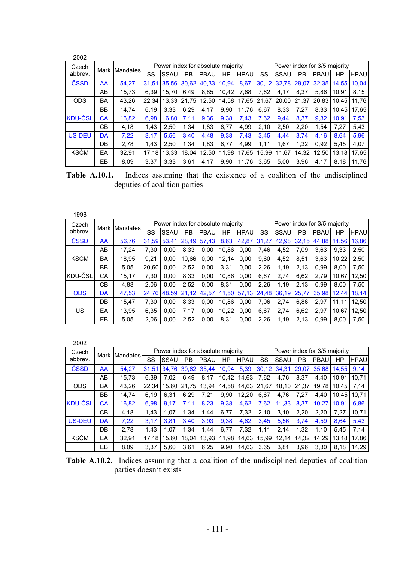| 2002           |           |               |       |       |       |                                   |       |             |       |       |       |                              |       |             |
|----------------|-----------|---------------|-------|-------|-------|-----------------------------------|-------|-------------|-------|-------|-------|------------------------------|-------|-------------|
| Czech          |           | Mark Mandates |       |       |       | Power index for absolute majority |       |             |       |       |       | Power index for 3/5 majority |       |             |
| abbrev.        |           |               | SS    | SSAU  | PB    | PBAU                              | HP    | <b>HPAU</b> | SS    | SSAU  | PB    | PBAU                         | ΗP    | <b>HPAU</b> |
| ČSSD           | AA        | 54.27         | 31.51 | 35.56 | 30,62 | 40.33                             | 10.94 | 8,67        | 30.12 | 32,78 | 29.07 | 32.35                        | 14.55 | 10.04       |
|                | AB        | 15.73         | 6.39  | 15.70 | 6.49  | 8,85                              | 10.42 | 7.68        | 7,62  | 4.17  | 8.37  | 5,86                         | 10.91 | 8,15        |
| <b>ODS</b>     | BA        | 43.26         | 22.34 | 13.33 | 21.75 | 12,50                             | 14,58 | 17,65       | 21,67 | 20,00 | 21,37 | 20.83                        | 10.45 | 11.76       |
|                | <b>BB</b> | 14.74         | 6.19  | 3,33  | 6.29  | 4,17                              | 9.90  | 11.76       | 6.67  | 8,33  | 7,27  | 8,33                         | 10.45 | 17,65       |
| <b>KDU-ČSL</b> | СA        | 16,82         | 6,98  | 16,80 | 7,11  | 9,36                              | 9,38  | 7.43        | 7,62  | 9,44  | 8,37  | 9,32                         | 10.91 | 7,53        |
|                | CВ        | 4,18          | 1,43  | 2,50  | 1,34  | 1,83                              | 6,77  | 4.99        | 2,10  | 2,50  | 2,20  | 1,54                         | 7,27  | 5,43        |
| US-DEU         | DA        | 7,22          | 3.17  | 5,56  | 3.40  | 4,48                              | 9.38  | 7.43        | 3,45  | 4.44  | 3.74  | 4,16                         | 8,64  | 5,96        |
|                | DB        | 2,78          | 1.43  | 2,50  | 1,34  | 1,83                              | 6.77  | 4.99        | 1,11  | 1,67  | 1,32  | 0,92                         | 5.45  | 4,07        |
| <b>KSČM</b>    | EA        | 32,91         | 17.18 | 13.33 | 18.04 | 12,50                             | 11.98 | 17,65       | 15.99 | 11.67 | 14.32 | 12.50                        | 13.18 | 17.65       |
|                | EB        | 8,09          | 3,37  | 3,33  | 3,61  | 4,17                              | 9.90  | 11,76       | 3,65  | 5,00  | 3,96  | 4,17                         | 8,18  | 11,76       |

**Table A.10.1.** Indices assuming that the existence of a coalition of the undisciplined deputies of coalition parties

| 1998        |           |               |       |       |           |                                   |           |             |       |       |       |                              |           |             |
|-------------|-----------|---------------|-------|-------|-----------|-----------------------------------|-----------|-------------|-------|-------|-------|------------------------------|-----------|-------------|
| Czech       |           |               |       |       |           | Power index for absolute majority |           |             |       |       |       | Power index for 3/5 majority |           |             |
| abbrev.     |           | Mark Mandates | SS    | SSAU  | <b>PB</b> | <b>PBAU</b>                       | <b>HP</b> | <b>HPAU</b> | SS    | SSAU  | PB    | <b>PBAU</b>                  | <b>HP</b> | <b>HPAU</b> |
| ČSSD        | AA        | 56,76         | 31,59 | 53.41 | 28.49     | 57.43                             | 8,63      | 42,87       | 31.27 | 42,98 | 32.15 | 44.88                        | 11.56     | 16,86       |
|             | AB        | 17.24         | 7,30  | 0.00  | 8.33      | 0,00                              | 10.86     | 0.00        | 7,46  | 4,52  | 7,09  | 3,63                         | 9,33      | 2,50        |
| <b>KSČM</b> | BA        | 18.95         | 9.21  | 0.00  | 10.66     | 0.00                              | 12.14     | 0.00        | 9,60  | 4,52  | 8,51  | 3,63                         | 10,22     | 2,50        |
|             | BB        | 5,05          | 20.60 | 0.00  | 2,52      | 0,00                              | 3,31      | 0,00        | 2,26  | 1,19  | 2,13  | 0,99                         | 8,00      | 7,50        |
| KDU-ČSL     | СA        | 15.17         | 7,30  | 0.00  | 8.33      | 0.00                              | 10.86     | 0.00        | 6,67  | 2.74  | 6,62  | 2,79                         | 10.67     | 12.50       |
|             | <b>CB</b> | 4,83          | 2,06  | 0.00  | 2,52      | 0.00                              | 8,31      | 0.00        | 2,26  | 1,19  | 2,13  | 0.99                         | 8.00      | 7,50        |
| <b>ODS</b>  | DA        | 47.53         | 24,76 | 48.59 | 21.12     | 42,57                             | 11.50     | 57.13       | 24.48 | 36.19 | 25,77 | 35.98                        | 12.44     | 18.14       |
|             | DB        | 15.47         | 7,30  | 0.00  | 8,33      | 0,00                              | 10.86     | 0.00        | 7,06  | 2,74  | 6,86  | 2,97                         | 11,11     | 12,50       |
| US.         | EA        | 13.95         | 6,35  | 0,00  | 7,17      | 0,00                              | 10,22     | 0,00        | 6,67  | 2,74  | 6,62  | 2,97                         | 10.67     | 12,50       |
|             | EB        | 5,05          | 2.06  | 0.00  | 2,52      | 0.00                              | 8,31      | 0.00        | 2,26  | 1,19  | 2.13  | 0.99                         | 8.00      | 7,50        |

| 2002           |    |               |       |       |       |                                   |           |             |       |       |           |                              |       |             |
|----------------|----|---------------|-------|-------|-------|-----------------------------------|-----------|-------------|-------|-------|-----------|------------------------------|-------|-------------|
| Czech          |    |               |       |       |       | Power index for absolute majority |           |             |       |       |           | Power index for 3/5 majority |       |             |
| abbrev.        |    | Mark Mandates | SS    | SSAU  | PB    | PBAU                              | <b>HP</b> | <b>HPAU</b> | SS    | SSAU  | <b>PB</b> | PBAU                         | HP    | <b>HPAU</b> |
| ČSSD           | AA | 54,27         | 31.51 | 34.76 | 30.62 | 35.44                             | 10.94     | 5,39        | 30.12 | 34.31 | 29.07     | 35.68                        | 14.55 | 9.14        |
|                | AB | 15,73         | 6.39  | 7.02  | 6.49  | 8.17                              | 10.42     | 14.63       | 7,62  | 4,76  | 8.37      | 4.40                         | 10.91 | 10.71       |
| <b>ODS</b>     | BA | 43.26         | 22.34 | 15.60 | 21.75 | 13.94                             | 14.58     | 14.63       | 21.67 | 18.10 | 21.37     | 19.78                        | 10.45 | 7,14        |
|                | BB | 14.74         | 6,19  | 6.31  | 6.29  | 7.21                              | 9.90      | 12.20       | 6.67  | 4,76  | 7.27      | 4.40                         | 10.45 | 10.71       |
| <b>KDU-ČSL</b> | СA | 16.82         | 6.98  | 9.17  | 7.11  | 8,23                              | 9.38      | 4.62        | 7,62  | 11.33 | 8,37      | 10.27                        | 10.91 | 6.86        |
|                | CВ | 4,18          | 1,43  | 1,07  | 1,34  | 1,44                              | 6,77      | 7,32        | 2,10  | 3,10  | 2,20      | 2,20                         | 7,27  | 10,71       |
| <b>US-DEU</b>  | DA | 7,22          | 3.17  | 3.81  | 3.40  | 3,93                              | 9.38      | 4,62        | 3,45  | 5,56  | 3,74      | 4,59                         | 8,64  | 5,43        |
|                | DB | 2,78          | 1.43  | 1,07  | 1,34  | 1,44                              | 6,77      | 7,32        | 1,11  | 2,14  | 1,32      | 1,10                         | 5,45  | 7,14        |
| <b>KSČM</b>    | EA | 32,91         | 17.18 | 15.60 | 18.04 | 13.93                             | 11,98     | 14,63       | 15,99 | 12.14 | 14,32     | 14,29                        | 13.18 | 17.86       |
|                | EB | 8.09          | 3.37  | 5.60  | 3.61  | 6.25                              | 9.90      | 14.63       | 3.65  | 3,81  | 3.96      | 3.30                         | 8.18  | 14.29       |

**Table A.10.2.** Indices assuming that a coalition of the undisciplined deputies of coalition parties doesn't exists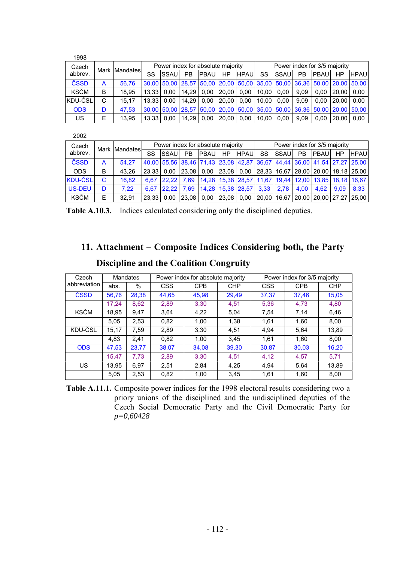| 1998        |      |          |                                   |             |       |               |           |             |                              |               |           |                                                                                               |       |             |
|-------------|------|----------|-----------------------------------|-------------|-------|---------------|-----------|-------------|------------------------------|---------------|-----------|-----------------------------------------------------------------------------------------------|-------|-------------|
| Czech       | Mark | Mandates | Power index for absolute majority |             |       |               |           |             | Power index for 3/5 majority |               |           |                                                                                               |       |             |
| abbrev.     |      |          | SS                                | <b>SSAU</b> | PB    | <b>IPBAUI</b> | HP        | <b>HPAU</b> | SS                           | <b>ISSAUI</b> | <b>PB</b> | <b>PBAUI</b>                                                                                  | HP    | <b>HPAU</b> |
| ČSSD        | A    | 56.76    |                                   |             |       |               |           |             |                              |               |           | 30,00 50,00 28,57 50,00 20,00 50,00 35,00 50,00 36,36 50,00 20,00 50,00                       |       |             |
| <b>KSČM</b> | B    | 18.95    | 13.33                             | 0.00        | 14.29 | 0.00          | 20.00     | 0.00        | $10.00$   0.00               |               | 9.09      | 0.00                                                                                          | 20.00 | 0.00        |
| KDU-ČSL     | C    | 15.17    | 13.33                             | 0.00        | 14.29 | 0.00          | l 20.00 l | 0.00        | $10.00$   0.00               |               | 9.09      | 0.00                                                                                          | 20.00 | 0.00        |
| <b>ODS</b>  | D    | 47.53    |                                   |             |       |               |           |             |                              |               |           | 30,00   50,00   28,57   50,00   20,00   50,00   35,00   50,00   36,36   50,00   20,00   50,00 |       |             |
| US.         | Е    | 13.95    | 13.33                             | 0.00        | 14.29 | 0.00          | 20.00     | 0.00        | 10.00                        | 0.00          | 9.09      | 0.00                                                                                          | 20.00 | 0.00        |

| 2002             |   |               |                                   |              |                |             |           |                        |                              |               |      |                                                                              |      |                                                                                                                |
|------------------|---|---------------|-----------------------------------|--------------|----------------|-------------|-----------|------------------------|------------------------------|---------------|------|------------------------------------------------------------------------------|------|----------------------------------------------------------------------------------------------------------------|
| Czech<br>abbrev. |   | Mark Mandates | Power index for absolute majority |              |                |             |           |                        | Power index for 3/5 majority |               |      |                                                                              |      |                                                                                                                |
|                  |   |               | SS                                | <b>ISSAU</b> | P <sub>B</sub> | <b>PBAU</b> | <b>HP</b> | <b>HPAU</b>            | <b>SS</b>                    | <b>ISSAUI</b> | PB.  | <b>PBAU</b>                                                                  | HP   | <b>HPAU</b>                                                                                                    |
| ČSSD             | A | 54.27         |                                   |              |                |             |           |                        |                              |               |      |                                                                              |      | 40,00 55,56 38,46 71,43 23,08 42,87 36,67 44,44 36,00 41,54 27,27 25,00                                        |
| <b>ODS</b>       | B | 43.26         | 23.33                             | 0.00         | 23.08          | 0.00        | 23.08     | 0.00                   |                              |               |      |                                                                              |      | 28,33 16,67 28,00 20,00 18,18 25,00                                                                            |
| <b>KDU-ČSL</b>   | C | 16.82         | 6.67                              | 22.22        |                |             |           |                        |                              |               |      | 7,69   14,28   15,38   28,57   11,67   19,44   12,00   13,85   18,18   16,67 |      |                                                                                                                |
| US-DEU           | D | 7.22          | 6.67                              | 22.22        |                |             |           | 7.69 14.28 15.38 28.57 | 3.33                         | 2.78          | 4.00 | 4.62                                                                         | 9.09 | 8.33                                                                                                           |
| <b>KSČM</b>      | E | 32.91         | 23.33                             | 0.00         | 23,08 0.00     |             |           |                        |                              |               |      |                                                                              |      | $\vert$ 23,08 $\vert$ 0,00 $\vert$ 20,00 $\vert$ 16,67 $\vert$ 20,00 $\vert$ 20,00 $\vert$ 27,27 $\vert$ 25,00 |

**Table A.10.3.** Indices calculated considering only the disciplined deputies.

### **11. Attachment – Composite Indices Considering both, the Party**

| Czech        | <b>Mandates</b> |       |            | Power index for absolute majority |            | Power index for 3/5 majority |            |            |  |
|--------------|-----------------|-------|------------|-----------------------------------|------------|------------------------------|------------|------------|--|
| abbreviation | abs.            | $\%$  | <b>CSS</b> | <b>CPB</b>                        | <b>CHP</b> | <b>CSS</b>                   | <b>CPB</b> | <b>CHP</b> |  |
| ČSSD         | 56,76           | 28,38 | 44,65      | 45,98                             | 29,49      | 37,37                        | 37,46      | 15,05      |  |
|              | 17.24           | 8,62  | 2,89       | 3.30                              | 4,51       | 5,36                         | 4,73       | 4,80       |  |
| <b>KSČM</b>  | 18.95           | 9.47  | 3.64       | 4,22                              | 5.04       | 7.54                         | 7.14       | 6.46       |  |
|              | 5,05            | 2,53  | 0.82       | 1,00                              | 1,38       | 1.61                         | 1,60       | 8,00       |  |
| KDU-ČSL      | 15,17           | 7,59  | 2,89       | 3,30                              | 4,51       | 4.94                         | 5.64       | 13,89      |  |
|              | 4.83            | 2.41  | 0.82       | 1.00                              | 3.45       | 1.61                         | 1,60       | 8.00       |  |
| <b>ODS</b>   | 47,53           | 23,77 | 38,07      | 34,08                             | 39,30      | 30.87                        | 30,03      | 16,20      |  |
|              | 15,47           | 7,73  | 2,89       | 3,30                              | 4,51       | 4,12                         | 4,57       | 5,71       |  |
| <b>US</b>    | 13.95           | 6.97  | 2,51       | 2.84                              | 4.25       | 4.94                         | 5.64       | 13,89      |  |
|              | 5,05            | 2,53  | 0.82       | 1,00                              | 3,45       | 1,61                         | 1,60       | 8,00       |  |

### **Discipline and the Coalition Congruity**

**Table A.11.1.** Composite power indices for the 1998 electoral results considering two a priory unions of the disciplined and the undisciplined deputies of the Czech Social Democratic Party and the Civil Democratic Party for *p=0,60428*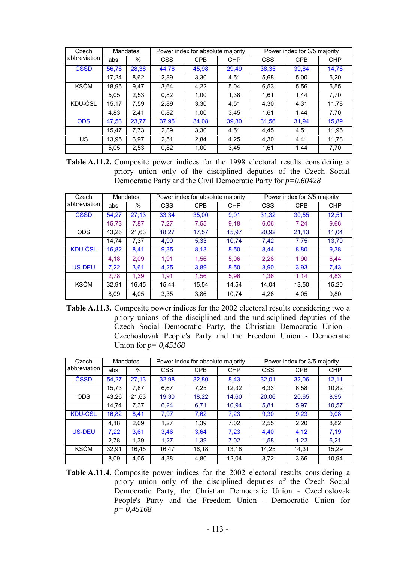| Czech        | <b>Mandates</b> |       |            | Power index for absolute majority |            | Power index for 3/5 majority |            |            |  |
|--------------|-----------------|-------|------------|-----------------------------------|------------|------------------------------|------------|------------|--|
| abbreviation | abs.            | %     | <b>CSS</b> | <b>CPB</b>                        | <b>CHP</b> | <b>CSS</b>                   | <b>CPB</b> | <b>CHP</b> |  |
| ČSSD         | 56,76           | 28,38 | 44,78      | 45,98                             | 29,49      | 38,35                        | 39,84      | 14,76      |  |
|              | 17.24           | 8,62  | 2,89       | 3.30                              | 4,51       | 5,68                         | 5,00       | 5,20       |  |
| KSČM         | 18,95           | 9,47  | 3.64       | 4,22                              | 5,04       | 6,53                         | 5,56       | 5,55       |  |
|              | 5,05            | 2,53  | 0.82       | 1,00                              | 1,38       | 1.61                         | 1.44       | 7,70       |  |
| KDU-ČSL      | 15,17           | 7,59  | 2,89       | 3,30                              | 4,51       | 4.30                         | 4,31       | 11,78      |  |
|              | 4,83            | 2.41  | 0.82       | 1,00                              | 3,45       | 1.61                         | 1.44       | 7,70       |  |
| <b>ODS</b>   | 47,53           | 23,77 | 37.95      | 34,08                             | 39,30      | 31,56                        | 31.94      | 15,89      |  |
|              | 15,47           | 7,73  | 2,89       | 3,30                              | 4,51       | 4,45                         | 4,51       | 11,95      |  |
| <b>US</b>    | 13.95           | 6,97  | 2,51       | 2,84                              | 4,25       | 4.30                         | 4.41       | 11,78      |  |
|              | 5,05            | 2,53  | 0.82       | 1,00                              | 3,45       | 1,61                         | 1.44       | 7,70       |  |

**Table A.11.2.** Composite power indices for the 1998 electoral results considering a priory union only of the disciplined deputies of the Czech Social Democratic Party and the Civil Democratic Party for *p=0,60428*

| Czech          | <b>Mandates</b> |       |            | Power index for absolute majority |            | Power index for 3/5 majority |            |            |  |
|----------------|-----------------|-------|------------|-----------------------------------|------------|------------------------------|------------|------------|--|
| abbreviation   | abs.            | %     | <b>CSS</b> | <b>CPB</b>                        | <b>CHP</b> | <b>CSS</b>                   | <b>CPB</b> | <b>CHP</b> |  |
| ČSSD           | 54.27           | 27.13 | 33.34      | 35.00                             | 9.91       | 31,32                        | 30,55      | 12,51      |  |
|                | 15.73           | 7.87  | 7.27       | 7.55                              | 9.18       | 6.06                         | 7.24       | 9,66       |  |
| <b>ODS</b>     | 43.26           | 21,63 | 18,27      | 17,57                             | 15,97      | 20,92                        | 21,13      | 11.04      |  |
|                | 14.74           | 7,37  | 4.90       | 5,33                              | 10,74      | 7,42                         | 7,75       | 13,70      |  |
| <b>KDU-ČSL</b> | 16,82           | 8.41  | 9,35       | 8,13                              | 8,50       | 8.44                         | 8,80       | 9,38       |  |
|                | 4,18            | 2,09  | 1.91       | 1.56                              | 5,96       | 2,28                         | 1.90       | 6.44       |  |
| US-DEU         | 7,22            | 3,61  | 4,25       | 3,89                              | 8,50       | 3.90                         | 3.93       | 7,43       |  |
|                | 2,78            | 1,39  | 1,91       | 1,56                              | 5,96       | 1,36                         | 1,14       | 4,83       |  |
| <b>KSČM</b>    | 32,91           | 16.45 | 15.44      | 15,54                             | 14.54      | 14.04                        | 13,50      | 15,20      |  |
|                | 8,09            | 4,05  | 3.35       | 3.86                              | 10.74      | 4.26                         | 4.05       | 9.80       |  |

**Table A.11.3.** Composite power indices for the 2002 electoral results considering two a priory unions of the disciplined and the undisciplined deputies of the Czech Social Democratic Party, the Christian Democratic Union - Czechoslovak People's Party and the Freedom Union - Democratic Union for *p= 0,45168*

| Czech          | <b>Mandates</b> |       |            | Power index for absolute majority |            | Power index for 3/5 majority |            |            |  |
|----------------|-----------------|-------|------------|-----------------------------------|------------|------------------------------|------------|------------|--|
| abbreviation   | abs.            | %     | <b>CSS</b> | <b>CPB</b>                        | <b>CHP</b> | <b>CSS</b>                   | <b>CPB</b> | <b>CHP</b> |  |
| ČSSD           | 54.27           | 27.13 | 32,98      | 32.80                             | 8,43       | 32.01                        | 32,06      | 12.11      |  |
|                | 15.73           | 7,87  | 6.67       | 7.25                              | 12.32      | 6.33                         | 6.58       | 10.82      |  |
| <b>ODS</b>     | 43.26           | 21,63 | 19.30      | 18,22                             | 14,60      | 20.06                        | 20,65      | 8.95       |  |
|                | 14.74           | 7,37  | 6.24       | 6,71                              | 10.94      | 5.81                         | 5,97       | 10,57      |  |
| <b>KDU-CSL</b> | 16,82           | 8,41  | 7,97       | 7,62                              | 7,23       | 9.30                         | 9,23       | 9,08       |  |
|                | 4,18            | 2,09  | 1.27       | 1,39                              | 7,02       | 2,55                         | 2,20       | 8,82       |  |
| US-DEU         | 7,22            | 3,61  | 3,46       | 3.64                              | 7,23       | 4.40                         | 4,12       | 7,19       |  |
|                | 2,78            | 1,39  | 1.27       | 1.39                              | 7,02       | 1,58                         | 1,22       | 6.21       |  |
| <b>KSČM</b>    | 32,91           | 16.45 | 16,47      | 16,18                             | 13,18      | 14,25                        | 14,31      | 15,29      |  |
|                | 8,09            | 4.05  | 4,38       | 4.80                              | 12,04      | 3.72                         | 3.66       | 10.94      |  |

**Table A.11.4.** Composite power indices for the 2002 electoral results considering a priory union only of the disciplined deputies of the Czech Social Democratic Party, the Christian Democratic Union - Czechoslovak People's Party and the Freedom Union - Democratic Union for *p= 0,45168*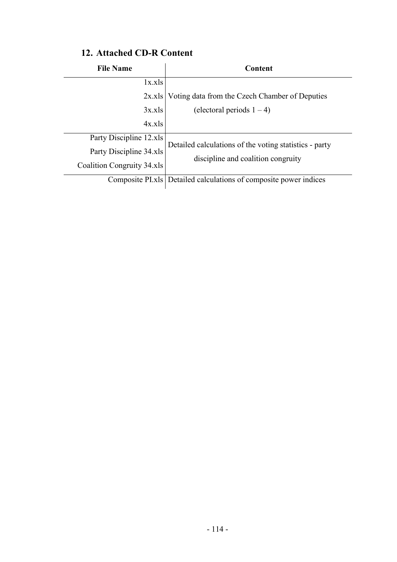| <b>File Name</b>           | Content                                                          |
|----------------------------|------------------------------------------------------------------|
| 1x.xls                     |                                                                  |
| 2x.xls                     | Voting data from the Czech Chamber of Deputies                   |
| 3x.xls                     | (electoral periods $1 - 4$ )                                     |
| 4x.xls                     |                                                                  |
| Party Discipline 12.xls    | Detailed calculations of the voting statistics - party           |
| Party Discipline 34.xls    |                                                                  |
| Coalition Congruity 34.xls | discipline and coalition congruity                               |
|                            | Composite PLxls Detailed calculations of composite power indices |

### **12. Attached CD-R Content**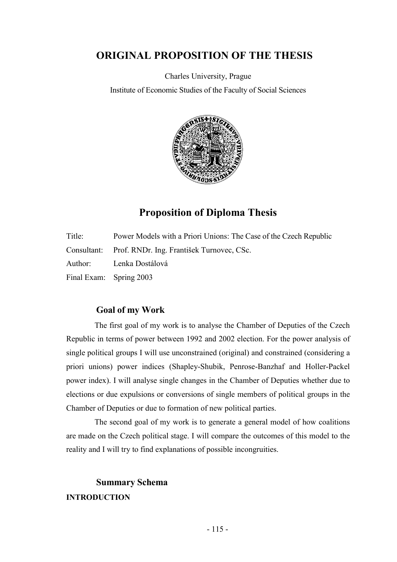### **ORIGINAL PROPOSITION OF THE THESIS**

Charles University, Prague

Institute of Economic Studies of the Faculty of Social Sciences



## **Proposition of Diploma Thesis**

| Title: | Power Models with a Priori Unions: The Case of the Czech Republic |
|--------|-------------------------------------------------------------------|
|        | Consultant: Prof. RNDr. Ing. František Turnovec, CSc.             |
|        | Author: Lenka Dostálová                                           |
|        | Final Exam: Spring 2003                                           |

### **Goal of my Work**

The first goal of my work is to analyse the Chamber of Deputies of the Czech Republic in terms of power between 1992 and 2002 election. For the power analysis of single political groups I will use unconstrained (original) and constrained (considering a priori unions) power indices (Shapley-Shubik, Penrose-Banzhaf and Holler-Packel power index). I will analyse single changes in the Chamber of Deputies whether due to elections or due expulsions or conversions of single members of political groups in the Chamber of Deputies or due to formation of new political parties.

The second goal of my work is to generate a general model of how coalitions are made on the Czech political stage. I will compare the outcomes of this model to the reality and I will try to find explanations of possible incongruities.

### **Summary Schema INTRODUCTION**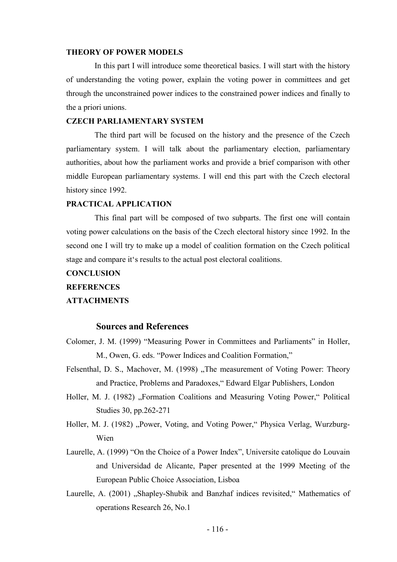#### **THEORY OF POWER MODELS**

In this part I will introduce some theoretical basics. I will start with the history of understanding the voting power, explain the voting power in committees and get through the unconstrained power indices to the constrained power indices and finally to the a priori unions.

#### **CZECH PARLIAMENTARY SYSTEM**

The third part will be focused on the history and the presence of the Czech parliamentary system. I will talk about the parliamentary election, parliamentary authorities, about how the parliament works and provide a brief comparison with other middle European parliamentary systems. I will end this part with the Czech electoral history since 1992.

#### **PRACTICAL APPLICATION**

This final part will be composed of two subparts. The first one will contain voting power calculations on the basis of the Czech electoral history since 1992. In the second one I will try to make up a model of coalition formation on the Czech political stage and compare it's results to the actual post electoral coalitions.

## **CONCLUSION REFERENCES ATTACHMENTS**

#### **Sources and References**

- Colomer, J. M. (1999) "Measuring Power in Committees and Parliaments" in Holler, M., Owen, G. eds. "Power Indices and Coalition Formation,"
- Felsenthal, D. S., Machover, M. (1998) "The measurement of Voting Power: Theory and Practice, Problems and Paradoxes," Edward Elgar Publishers, London
- Holler, M. J. (1982) "Formation Coalitions and Measuring Voting Power," Political Studies 30, pp.262-271
- Holler, M. J. (1982) "Power, Voting, and Voting Power," Physica Verlag, Wurzburg-Wien
- Laurelle, A. (1999) "On the Choice of a Power Index", Universite catolique do Louvain and Universidad de Alicante, Paper presented at the 1999 Meeting of the European Public Choice Association, Lisboa
- Laurelle, A. (2001) "Shapley-Shubik and Banzhaf indices revisited," Mathematics of operations Research 26, No.1